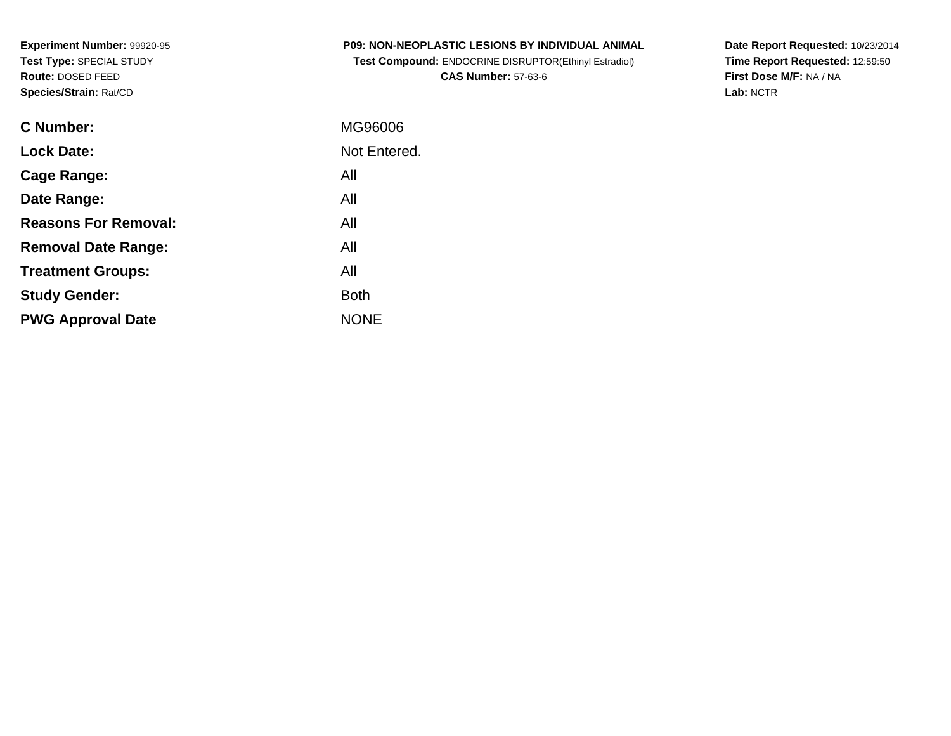**Experiment Number:** 99920-95**Test Type:** SPECIAL STUDY**Route:** DOSED FEED**Species/Strain:** Rat/CD

| <b>P09: NON-NEOPLASTIC LESIONS BY INDIVIDUAL ANIMAL</b>      |  |
|--------------------------------------------------------------|--|
| <b>Test Compound: ENDOCRINE DISRUPTOR(Ethinyl Estradiol)</b> |  |

**CAS Number:** 57-63-6

**Date Report Requested:** 10/23/2014 **Time Report Requested:** 12:59:50**First Dose M/F:** NA / NA**Lab:** NCTR

| C Number:                   | MG96006      |
|-----------------------------|--------------|
| <b>Lock Date:</b>           | Not Entered. |
| Cage Range:                 | All          |
| Date Range:                 | All          |
| <b>Reasons For Removal:</b> | All          |
| <b>Removal Date Range:</b>  | All          |
| <b>Treatment Groups:</b>    | All          |
| <b>Study Gender:</b>        | <b>Both</b>  |
| <b>PWG Approval Date</b>    | <b>NONE</b>  |
|                             |              |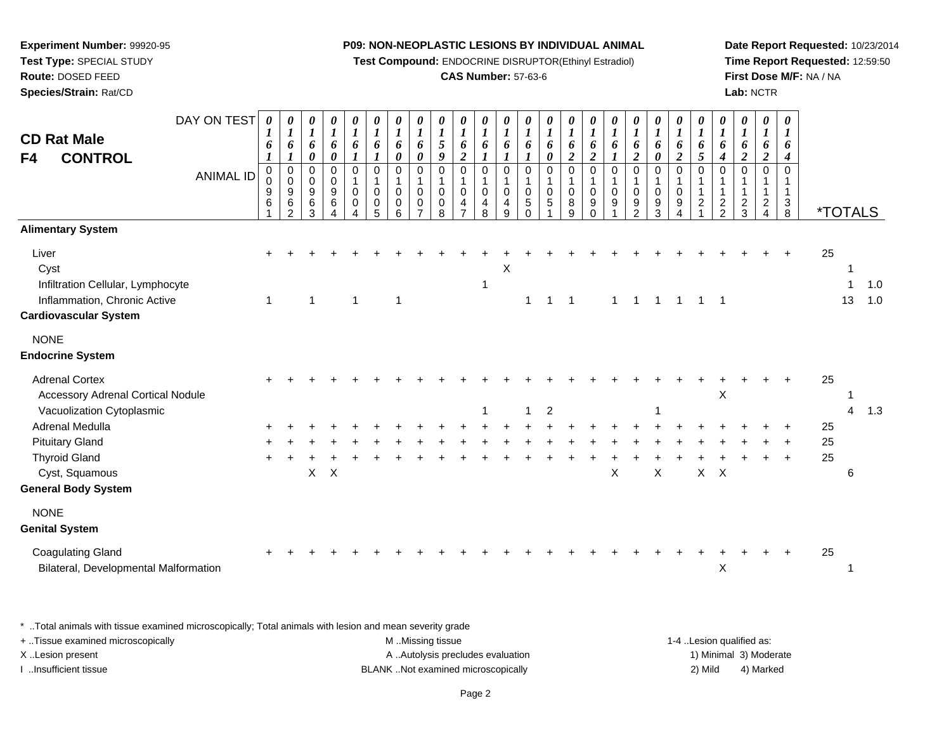**Experiment Number:** 99920-95**Test Type:** SPECIAL STUDY**Route:** DOSED FEED**Species/Strain:** Rat/CD

**Test Compound:** ENDOCRINE DISRUPTOR(Ethinyl Estradiol)

#### **CAS Number:** 57-63-6

**Date Report Requested:** 10/23/2014**Time Report Requested:** 12:59:50**First Dose M/F:** NA / NA**Lab:** NCTR

|                                                                                                                    |                  | 6<br>$\boldsymbol{l}$ | 6<br>$\boldsymbol{l}$                                             | $\boldsymbol{l}$<br>6<br>$\pmb{\theta}$ | $\boldsymbol{l}$<br>6<br>0                | $\boldsymbol{l}$<br>6<br>$\boldsymbol{l}$       | $\boldsymbol{l}$<br>6<br>$\boldsymbol{l}$                  | $\boldsymbol{l}$<br>6<br>$\boldsymbol{\theta}$     | $\boldsymbol{l}$<br>6<br>$\pmb{\theta}$                                     | $\boldsymbol{l}$<br>$\mathfrak{s}$<br>$\boldsymbol{g}$         | $\boldsymbol{l}$<br>6<br>$\boldsymbol{2}$                                      | 0<br>$\boldsymbol{l}$<br>6<br>$\boldsymbol{l}$                   | 0<br>$\boldsymbol{l}$<br>6<br>$\boldsymbol{l}$ | $\boldsymbol{\theta}$<br>$\boldsymbol{l}$<br>6<br>$\boldsymbol{l}$ | 0<br>$\boldsymbol{l}$<br>6<br>$\pmb{\theta}$ | $\boldsymbol{\theta}$<br>$\boldsymbol{l}$<br>6<br>$\boldsymbol{2}$ | 0<br>$\boldsymbol{l}$<br>6<br>$\boldsymbol{2}$    | 0<br>$\boldsymbol{l}$<br>6<br>$\boldsymbol{l}$ | 0<br>$\boldsymbol{l}$<br>6<br>$\overline{2}$                                | $\pmb{\theta}$<br>$\boldsymbol{l}$<br>6<br>$\pmb{\theta}$       | 0<br>$\boldsymbol{l}$<br>6<br>$\boldsymbol{2}$     | $\pmb{\theta}$<br>$\boldsymbol{l}$<br>6<br>$\sqrt{5}$         | 0<br>$\boldsymbol{l}$<br>6<br>$\boldsymbol{4}$    | $\pmb{\theta}$<br>$\boldsymbol{l}$<br>6<br>$\boldsymbol{2}$ | $\boldsymbol{\theta}$<br>$\boldsymbol{l}$<br>6<br>$\boldsymbol{2}$             | 0<br>$\boldsymbol{l}$<br>6<br>$\boldsymbol{4}$        |                       |                          |            |
|--------------------------------------------------------------------------------------------------------------------|------------------|-----------------------|-------------------------------------------------------------------|-----------------------------------------|-------------------------------------------|-------------------------------------------------|------------------------------------------------------------|----------------------------------------------------|-----------------------------------------------------------------------------|----------------------------------------------------------------|--------------------------------------------------------------------------------|------------------------------------------------------------------|------------------------------------------------|--------------------------------------------------------------------|----------------------------------------------|--------------------------------------------------------------------|---------------------------------------------------|------------------------------------------------|-----------------------------------------------------------------------------|-----------------------------------------------------------------|----------------------------------------------------|---------------------------------------------------------------|---------------------------------------------------|-------------------------------------------------------------|--------------------------------------------------------------------------------|-------------------------------------------------------|-----------------------|--------------------------|------------|
| <b>CONTROL</b><br>F4                                                                                               | <b>ANIMAL ID</b> | 0<br>0<br>9<br>6      | $\pmb{0}$<br>$\pmb{0}$<br>$\boldsymbol{9}$<br>6<br>$\mathfrak{p}$ | 0<br>$\mathsf 0$<br>9<br>$\,6$<br>3     | $\pmb{0}$<br>$\pmb{0}$<br>9<br>$\,6$<br>4 | $\pmb{0}$<br>$\mathbf{1}$<br>0<br>$\Omega$<br>4 | $\pmb{0}$<br>$\mathbf{1}$<br>$\pmb{0}$<br>$\mathbf 0$<br>5 | $\pmb{0}$<br>$\mathbf{1}$<br>0<br>$\mathbf 0$<br>6 | $\mathsf 0$<br>$\mathbf{1}$<br>$\mathbf 0$<br>$\mathbf 0$<br>$\overline{7}$ | $\mathbf 0$<br>$\mathbf{1}$<br>$\mathbf 0$<br>$\mathbf 0$<br>8 | $\mathsf 0$<br>$\mathbf{1}$<br>$\mathsf 0$<br>$\overline{4}$<br>$\overline{7}$ | $\pmb{0}$<br>$\mathbf{1}$<br>$\mathsf{O}$<br>$\overline{4}$<br>8 | 0<br>$\mathbf{1}$<br>$\mathsf 0$<br>4<br>9     | $\pmb{0}$<br>$\overline{1}$<br>$\mathbf 0$<br>5<br>$\Omega$        | 0<br>1<br>$\pmb{0}$<br>$\,$ 5 $\,$           | $\mathbf 0$<br>$\mathbf{1}$<br>$\pmb{0}$<br>8<br>9                 | $\mathbf 0$<br>$\mathbf{1}$<br>0<br>9<br>$\Omega$ | $\mathbf 0$<br>$\mathbf{1}$<br>$\pmb{0}$<br>9  | $\pmb{0}$<br>$\mathbf{1}$<br>$\pmb{0}$<br>$\boldsymbol{9}$<br>$\mathcal{P}$ | $\pmb{0}$<br>$\mathbf{1}$<br>$\pmb{0}$<br>$\boldsymbol{9}$<br>3 | $\pmb{0}$<br>$\mathbf{1}$<br>$\mathbf 0$<br>9<br>4 | $\mathbf 0$<br>$\mathbf{1}$<br>$\mathbf{1}$<br>$\overline{c}$ | $\Omega$<br>1<br>$\overline{c}$<br>$\overline{2}$ | $\Omega$<br>1<br>$\overline{2}$<br>3                        | $\mathbf 0$<br>$\mathbf 1$<br>$\mathbf{1}$<br>$\overline{2}$<br>$\overline{4}$ | $\mathbf 0$<br>$\mathbf{1}$<br>$\mathbf{1}$<br>$_8^3$ | <i><b>*TOTALS</b></i> |                          |            |
| <b>Alimentary System</b>                                                                                           |                  |                       |                                                                   |                                         |                                           |                                                 |                                                            |                                                    |                                                                             |                                                                |                                                                                |                                                                  |                                                |                                                                    |                                              |                                                                    |                                                   |                                                |                                                                             |                                                                 |                                                    |                                                               |                                                   |                                                             |                                                                                |                                                       |                       |                          |            |
| Liver<br>Cyst<br>Infiltration Cellular, Lymphocyte<br>Inflammation, Chronic Active<br><b>Cardiovascular System</b> |                  | +<br>$\mathbf{1}$     |                                                                   | 1                                       |                                           | $\mathbf 1$                                     |                                                            | 1                                                  |                                                                             |                                                                |                                                                                | 1                                                                | Χ                                              | 1                                                                  | $\mathbf{1}$                                 | $\overline{1}$                                                     |                                                   | $\mathbf{1}$                                   | $\overline{1}$                                                              | $\overline{1}$                                                  | $\overline{1}$                                     | $\mathbf{1}$                                                  | $\overline{\phantom{0}}$ 1                        |                                                             |                                                                                |                                                       | 25                    | -1<br>$\mathbf{1}$<br>13 | 1.0<br>1.0 |
| <b>NONE</b><br><b>Endocrine System</b>                                                                             |                  |                       |                                                                   |                                         |                                           |                                                 |                                                            |                                                    |                                                                             |                                                                |                                                                                |                                                                  |                                                |                                                                    |                                              |                                                                    |                                                   |                                                |                                                                             |                                                                 |                                                    |                                                               |                                                   |                                                             |                                                                                |                                                       |                       |                          |            |
| <b>Adrenal Cortex</b><br><b>Accessory Adrenal Cortical Nodule</b><br>Vacuolization Cytoplasmic                     |                  |                       |                                                                   |                                         |                                           |                                                 |                                                            |                                                    |                                                                             |                                                                |                                                                                | 1                                                                |                                                | $\mathbf{1}$                                                       | $\overline{c}$                               |                                                                    |                                                   |                                                |                                                                             |                                                                 |                                                    |                                                               | X                                                 |                                                             |                                                                                | $\ddot{}$                                             | 25                    | 1<br>$\overline{4}$      | 1.3        |
| Adrenal Medulla                                                                                                    |                  |                       |                                                                   |                                         |                                           |                                                 |                                                            |                                                    |                                                                             |                                                                |                                                                                |                                                                  |                                                |                                                                    |                                              |                                                                    |                                                   |                                                |                                                                             |                                                                 |                                                    |                                                               |                                                   |                                                             |                                                                                |                                                       | 25                    |                          |            |
| <b>Pituitary Gland</b>                                                                                             |                  |                       |                                                                   |                                         |                                           |                                                 |                                                            |                                                    |                                                                             |                                                                |                                                                                |                                                                  |                                                |                                                                    |                                              |                                                                    |                                                   |                                                |                                                                             |                                                                 |                                                    |                                                               |                                                   |                                                             |                                                                                |                                                       | 25                    |                          |            |
| <b>Thyroid Gland</b>                                                                                               |                  |                       |                                                                   |                                         |                                           |                                                 |                                                            |                                                    |                                                                             |                                                                |                                                                                |                                                                  |                                                |                                                                    |                                              |                                                                    |                                                   |                                                |                                                                             |                                                                 |                                                    |                                                               |                                                   |                                                             |                                                                                | $\ddot{}$                                             | 25                    |                          |            |
| Cyst, Squamous<br><b>General Body System</b>                                                                       |                  |                       |                                                                   | $\mathsf{X}$                            | $\mathsf{X}$                              |                                                 |                                                            |                                                    |                                                                             |                                                                |                                                                                |                                                                  |                                                |                                                                    |                                              |                                                                    |                                                   | $\boldsymbol{\mathsf{X}}$                      |                                                                             | $\sf X$                                                         |                                                    | X                                                             | $\mathsf{X}$                                      |                                                             |                                                                                |                                                       |                       | 6                        |            |
| <b>NONE</b><br><b>Genital System</b>                                                                               |                  |                       |                                                                   |                                         |                                           |                                                 |                                                            |                                                    |                                                                             |                                                                |                                                                                |                                                                  |                                                |                                                                    |                                              |                                                                    |                                                   |                                                |                                                                             |                                                                 |                                                    |                                                               |                                                   |                                                             |                                                                                |                                                       |                       |                          |            |
| <b>Coagulating Gland</b><br>Bilateral, Developmental Malformation                                                  |                  |                       |                                                                   |                                         |                                           |                                                 |                                                            |                                                    |                                                                             |                                                                |                                                                                |                                                                  |                                                |                                                                    |                                              |                                                                    |                                                   |                                                |                                                                             |                                                                 |                                                    |                                                               | Χ                                                 |                                                             |                                                                                |                                                       | 25                    | $\mathbf 1$              |            |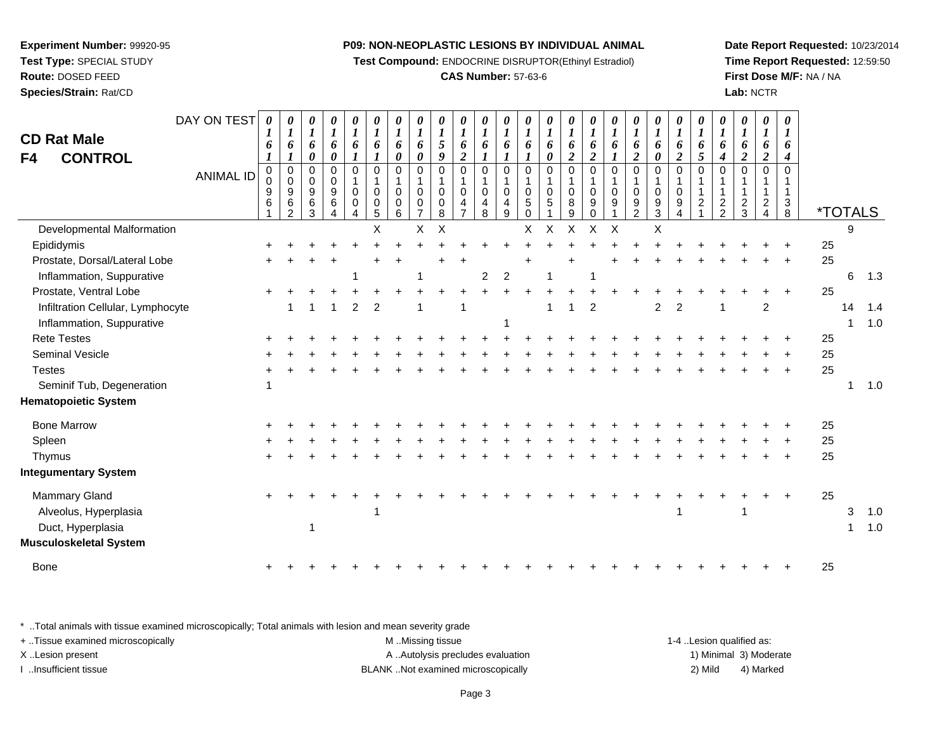**Test Compound:** ENDOCRINE DISRUPTOR(Ethinyl Estradiol)

#### **CAS Number:** 57-63-6

**Date Report Requested:** 10/23/2014**Time Report Requested:** 12:59:50**First Dose M/F:** NA / NA**Lab:** NCTR

| <b>CD Rat Male</b><br><b>CONTROL</b><br>F4                                            | DAY ON TEST<br><b>ANIMAL ID</b> | $\boldsymbol{\theta}$<br>6<br>$\pmb{0}$<br>$\mathbf 0$<br>9<br>$\,6$ | 0<br>$\boldsymbol{l}$<br>6<br>1<br>0<br>$\mathbf 0$<br>9<br>6<br>$\mathfrak{p}$ | $\boldsymbol{\theta}$<br>$\boldsymbol{I}$<br>6<br>$\boldsymbol{\theta}$<br>$\mathbf 0$<br>$\mathbf 0$<br>9<br>$\,6\,$<br>3 | 0<br>$\boldsymbol{l}$<br>6<br>0<br>0<br>0<br>9<br>$\,6\,$<br>$\overline{4}$ | 0<br>$\boldsymbol{l}$<br>6<br>1<br>$\mathbf 0$<br>1<br>$\mathbf 0$<br>0<br>4 | 0<br>$\boldsymbol{l}$<br>6<br>0<br>1<br>$\mathbf 0$<br>0<br>5 | 0<br>$\boldsymbol{l}$<br>6<br>0<br>$\Omega$<br>$\mathbf 0$<br>$\mathbf 0$<br>6 | 0<br>1<br>6<br>0<br>$\Omega$<br>$\Omega$<br>0 | 0<br>$\boldsymbol{l}$<br>5<br>9<br>$\Omega$<br>$\mathbf 0$<br>0<br>8 | 0<br>$\boldsymbol{l}$<br>6<br>$\overline{c}$<br>$\mathbf 0$<br>$\mathbf{1}$<br>$\mathbf 0$<br>4 | 0<br>$\boldsymbol{l}$<br>6<br>$\boldsymbol{l}$<br>$\mathbf 0$<br>0<br>4<br>8 | 0<br>$\boldsymbol{l}$<br>6<br>1<br>$\mathbf 0$<br>$\mathbf{1}$<br>$\boldsymbol{0}$<br>4<br>9 | 0<br>$\boldsymbol{l}$<br>6<br>$\mathbf 0$<br>1<br>$\mathbf 0$<br>5<br>$\mathbf 0$ | 0<br>$\boldsymbol{l}$<br>6<br>$\boldsymbol{\theta}$<br>$\mathbf 0$<br>$\mathbf{1}$<br>$\mathbf 0$<br>5 | 0<br>$\boldsymbol{l}$<br>6<br>$\boldsymbol{2}$<br>$\mathbf 0$<br>$\mathbf{1}$<br>$\mathbf 0$<br>8<br>9 | 0<br>$\boldsymbol{l}$<br>6<br>$\boldsymbol{2}$<br>$\mathbf 0$<br>$\mathbf{1}$<br>$\mathbf 0$<br>9<br>$\Omega$ | 0<br>$\boldsymbol{l}$<br>6<br>$\mathbf 0$<br>$\mathbf 0$<br>9 | 0<br>$\boldsymbol{l}$<br>6<br>$\overline{\mathbf{c}}$<br>$\mathbf 0$<br>$\mathbf 0$<br>9<br>$\overline{2}$ | $\pmb{\theta}$<br>$\boldsymbol{l}$<br>6<br>0<br>$\mathbf 0$<br>$\mathbf 0$<br>9<br>$\mathbf{3}$ | $\pmb{\theta}$<br>$\boldsymbol{l}$<br>6<br>$\boldsymbol{2}$<br>$\pmb{0}$<br>$\mathbf 1$<br>$\mathbf 0$<br>9<br>4 | $\pmb{\theta}$<br>$\boldsymbol{l}$<br>6<br>5<br>$\mathbf 0$<br>$\mathbf{1}$<br>$\mathbf{1}$<br>$\overline{c}$ | $\pmb{\theta}$<br>$\boldsymbol{l}$<br>6<br>$\boldsymbol{4}$<br>$\mathbf 0$<br>$\mathbf{1}$<br>$\mathbf{1}$<br>$\frac{2}{2}$ | $\pmb{\theta}$<br>$\boldsymbol{l}$<br>6<br>$\boldsymbol{2}$<br>$\Omega$<br>$\frac{2}{3}$ | $\boldsymbol{\theta}$<br>$\boldsymbol{l}$<br>6<br>$\boldsymbol{2}$<br>$\Omega$<br>$\overline{2}$<br>4 | 0<br>1<br>6<br>4<br>$\mathbf 0$<br>1<br>$\mathbf{1}$<br>$\sqrt{3}$<br>$\overline{8}$ | <i><b>*TOTALS</b></i> |        |            |
|---------------------------------------------------------------------------------------|---------------------------------|----------------------------------------------------------------------|---------------------------------------------------------------------------------|----------------------------------------------------------------------------------------------------------------------------|-----------------------------------------------------------------------------|------------------------------------------------------------------------------|---------------------------------------------------------------|--------------------------------------------------------------------------------|-----------------------------------------------|----------------------------------------------------------------------|-------------------------------------------------------------------------------------------------|------------------------------------------------------------------------------|----------------------------------------------------------------------------------------------|-----------------------------------------------------------------------------------|--------------------------------------------------------------------------------------------------------|--------------------------------------------------------------------------------------------------------|---------------------------------------------------------------------------------------------------------------|---------------------------------------------------------------|------------------------------------------------------------------------------------------------------------|-------------------------------------------------------------------------------------------------|------------------------------------------------------------------------------------------------------------------|---------------------------------------------------------------------------------------------------------------|-----------------------------------------------------------------------------------------------------------------------------|------------------------------------------------------------------------------------------|-------------------------------------------------------------------------------------------------------|--------------------------------------------------------------------------------------|-----------------------|--------|------------|
| Developmental Malformation                                                            |                                 |                                                                      |                                                                                 |                                                                                                                            |                                                                             |                                                                              | X                                                             |                                                                                | X                                             | $\times$                                                             |                                                                                                 |                                                                              |                                                                                              | X                                                                                 | X                                                                                                      | X                                                                                                      | X                                                                                                             | $\times$                                                      |                                                                                                            | X                                                                                               |                                                                                                                  |                                                                                                               |                                                                                                                             |                                                                                          |                                                                                                       |                                                                                      |                       | 9      |            |
| Epididymis                                                                            |                                 |                                                                      |                                                                                 |                                                                                                                            |                                                                             |                                                                              |                                                               |                                                                                |                                               |                                                                      |                                                                                                 |                                                                              |                                                                                              |                                                                                   |                                                                                                        |                                                                                                        |                                                                                                               |                                                               |                                                                                                            |                                                                                                 |                                                                                                                  |                                                                                                               |                                                                                                                             |                                                                                          |                                                                                                       |                                                                                      | 25                    |        |            |
| Prostate, Dorsal/Lateral Lobe                                                         |                                 | +                                                                    |                                                                                 |                                                                                                                            |                                                                             |                                                                              |                                                               |                                                                                |                                               |                                                                      | $\div$                                                                                          |                                                                              |                                                                                              |                                                                                   |                                                                                                        |                                                                                                        |                                                                                                               |                                                               |                                                                                                            |                                                                                                 |                                                                                                                  |                                                                                                               |                                                                                                                             |                                                                                          |                                                                                                       | $\overline{ }$                                                                       | 25                    |        |            |
| Inflammation, Suppurative                                                             |                                 |                                                                      |                                                                                 |                                                                                                                            |                                                                             | -1                                                                           |                                                               |                                                                                |                                               |                                                                      |                                                                                                 | $\boldsymbol{2}$                                                             | $\overline{2}$                                                                               |                                                                                   | $\mathbf 1$                                                                                            |                                                                                                        | -1                                                                                                            |                                                               |                                                                                                            |                                                                                                 |                                                                                                                  |                                                                                                               |                                                                                                                             |                                                                                          |                                                                                                       |                                                                                      |                       | 6      | 1.3        |
| Prostate, Ventral Lobe                                                                |                                 |                                                                      |                                                                                 |                                                                                                                            |                                                                             |                                                                              |                                                               |                                                                                |                                               |                                                                      |                                                                                                 |                                                                              |                                                                                              |                                                                                   |                                                                                                        |                                                                                                        |                                                                                                               |                                                               |                                                                                                            |                                                                                                 |                                                                                                                  |                                                                                                               |                                                                                                                             |                                                                                          |                                                                                                       | ÷                                                                                    | 25                    |        |            |
| Infiltration Cellular, Lymphocyte                                                     |                                 |                                                                      | 1                                                                               | 1                                                                                                                          | 1                                                                           | $\overline{2}$                                                               | $\overline{c}$                                                |                                                                                |                                               |                                                                      |                                                                                                 |                                                                              |                                                                                              |                                                                                   | 1                                                                                                      |                                                                                                        | $\overline{2}$                                                                                                |                                                               |                                                                                                            | $\overline{c}$                                                                                  | $\overline{2}$                                                                                                   |                                                                                                               | 1                                                                                                                           |                                                                                          | $\overline{c}$                                                                                        |                                                                                      |                       | 14     | 1.4        |
| Inflammation, Suppurative                                                             |                                 |                                                                      |                                                                                 |                                                                                                                            |                                                                             |                                                                              |                                                               |                                                                                |                                               |                                                                      |                                                                                                 |                                                                              |                                                                                              |                                                                                   |                                                                                                        |                                                                                                        |                                                                                                               |                                                               |                                                                                                            |                                                                                                 |                                                                                                                  |                                                                                                               |                                                                                                                             |                                                                                          |                                                                                                       |                                                                                      |                       | 1      | 1.0        |
| <b>Rete Testes</b>                                                                    |                                 |                                                                      |                                                                                 |                                                                                                                            |                                                                             |                                                                              |                                                               |                                                                                |                                               |                                                                      |                                                                                                 |                                                                              |                                                                                              |                                                                                   |                                                                                                        |                                                                                                        |                                                                                                               |                                                               |                                                                                                            |                                                                                                 |                                                                                                                  |                                                                                                               |                                                                                                                             |                                                                                          |                                                                                                       |                                                                                      | 25                    |        |            |
| <b>Seminal Vesicle</b>                                                                |                                 |                                                                      |                                                                                 |                                                                                                                            |                                                                             |                                                                              |                                                               |                                                                                |                                               |                                                                      |                                                                                                 |                                                                              |                                                                                              |                                                                                   |                                                                                                        |                                                                                                        |                                                                                                               |                                                               |                                                                                                            |                                                                                                 |                                                                                                                  |                                                                                                               |                                                                                                                             |                                                                                          |                                                                                                       |                                                                                      | 25                    |        |            |
| <b>Testes</b>                                                                         |                                 |                                                                      |                                                                                 |                                                                                                                            |                                                                             |                                                                              |                                                               |                                                                                |                                               |                                                                      |                                                                                                 |                                                                              |                                                                                              |                                                                                   |                                                                                                        |                                                                                                        |                                                                                                               |                                                               |                                                                                                            |                                                                                                 |                                                                                                                  |                                                                                                               |                                                                                                                             |                                                                                          |                                                                                                       |                                                                                      | 25                    |        |            |
| Seminif Tub, Degeneration                                                             |                                 | 1                                                                    |                                                                                 |                                                                                                                            |                                                                             |                                                                              |                                                               |                                                                                |                                               |                                                                      |                                                                                                 |                                                                              |                                                                                              |                                                                                   |                                                                                                        |                                                                                                        |                                                                                                               |                                                               |                                                                                                            |                                                                                                 |                                                                                                                  |                                                                                                               |                                                                                                                             |                                                                                          |                                                                                                       |                                                                                      |                       | 1      | 1.0        |
| <b>Hematopoietic System</b>                                                           |                                 |                                                                      |                                                                                 |                                                                                                                            |                                                                             |                                                                              |                                                               |                                                                                |                                               |                                                                      |                                                                                                 |                                                                              |                                                                                              |                                                                                   |                                                                                                        |                                                                                                        |                                                                                                               |                                                               |                                                                                                            |                                                                                                 |                                                                                                                  |                                                                                                               |                                                                                                                             |                                                                                          |                                                                                                       |                                                                                      |                       |        |            |
| <b>Bone Marrow</b>                                                                    |                                 |                                                                      |                                                                                 |                                                                                                                            |                                                                             |                                                                              |                                                               |                                                                                |                                               |                                                                      |                                                                                                 |                                                                              |                                                                                              |                                                                                   |                                                                                                        |                                                                                                        |                                                                                                               |                                                               |                                                                                                            |                                                                                                 |                                                                                                                  |                                                                                                               |                                                                                                                             |                                                                                          |                                                                                                       |                                                                                      | 25                    |        |            |
| Spleen                                                                                |                                 |                                                                      |                                                                                 |                                                                                                                            |                                                                             |                                                                              |                                                               |                                                                                |                                               |                                                                      |                                                                                                 |                                                                              |                                                                                              |                                                                                   |                                                                                                        |                                                                                                        |                                                                                                               |                                                               |                                                                                                            |                                                                                                 |                                                                                                                  |                                                                                                               |                                                                                                                             |                                                                                          |                                                                                                       |                                                                                      | 25                    |        |            |
| Thymus                                                                                |                                 |                                                                      |                                                                                 |                                                                                                                            |                                                                             |                                                                              |                                                               |                                                                                |                                               |                                                                      |                                                                                                 |                                                                              |                                                                                              |                                                                                   |                                                                                                        |                                                                                                        |                                                                                                               |                                                               |                                                                                                            |                                                                                                 |                                                                                                                  |                                                                                                               |                                                                                                                             |                                                                                          |                                                                                                       |                                                                                      | 25                    |        |            |
| <b>Integumentary System</b>                                                           |                                 |                                                                      |                                                                                 |                                                                                                                            |                                                                             |                                                                              |                                                               |                                                                                |                                               |                                                                      |                                                                                                 |                                                                              |                                                                                              |                                                                                   |                                                                                                        |                                                                                                        |                                                                                                               |                                                               |                                                                                                            |                                                                                                 |                                                                                                                  |                                                                                                               |                                                                                                                             |                                                                                          |                                                                                                       |                                                                                      |                       |        |            |
| Mammary Gland<br>Alveolus, Hyperplasia<br>Duct, Hyperplasia<br>Musculoskeletal System |                                 |                                                                      |                                                                                 |                                                                                                                            |                                                                             |                                                                              |                                                               |                                                                                |                                               |                                                                      |                                                                                                 |                                                                              |                                                                                              |                                                                                   |                                                                                                        |                                                                                                        |                                                                                                               |                                                               |                                                                                                            |                                                                                                 |                                                                                                                  |                                                                                                               |                                                                                                                             |                                                                                          |                                                                                                       |                                                                                      | 25                    | 3<br>1 | 1.0<br>1.0 |
| Bone                                                                                  |                                 |                                                                      |                                                                                 |                                                                                                                            |                                                                             |                                                                              |                                                               |                                                                                |                                               |                                                                      |                                                                                                 |                                                                              |                                                                                              |                                                                                   |                                                                                                        |                                                                                                        |                                                                                                               |                                                               |                                                                                                            |                                                                                                 |                                                                                                                  |                                                                                                               |                                                                                                                             |                                                                                          |                                                                                                       |                                                                                      | 25                    |        |            |
|                                                                                       |                                 |                                                                      |                                                                                 |                                                                                                                            |                                                                             |                                                                              |                                                               |                                                                                |                                               |                                                                      |                                                                                                 |                                                                              |                                                                                              |                                                                                   |                                                                                                        |                                                                                                        |                                                                                                               |                                                               |                                                                                                            |                                                                                                 |                                                                                                                  |                                                                                                               |                                                                                                                             |                                                                                          |                                                                                                       |                                                                                      |                       |        |            |

\* ..Total animals with tissue examined microscopically; Total animals with lesion and mean severity grade

| + . Tissue examined microscopically | M Missing tissue                   | 1-4 Lesion qualified as: |                        |
|-------------------------------------|------------------------------------|--------------------------|------------------------|
| X Lesion present                    | A Autolysis precludes evaluation   |                          | 1) Minimal 3) Moderate |
| lnsufficient tissue                 | BLANK Not examined microscopically | 2) Mild                  | 4) Marked              |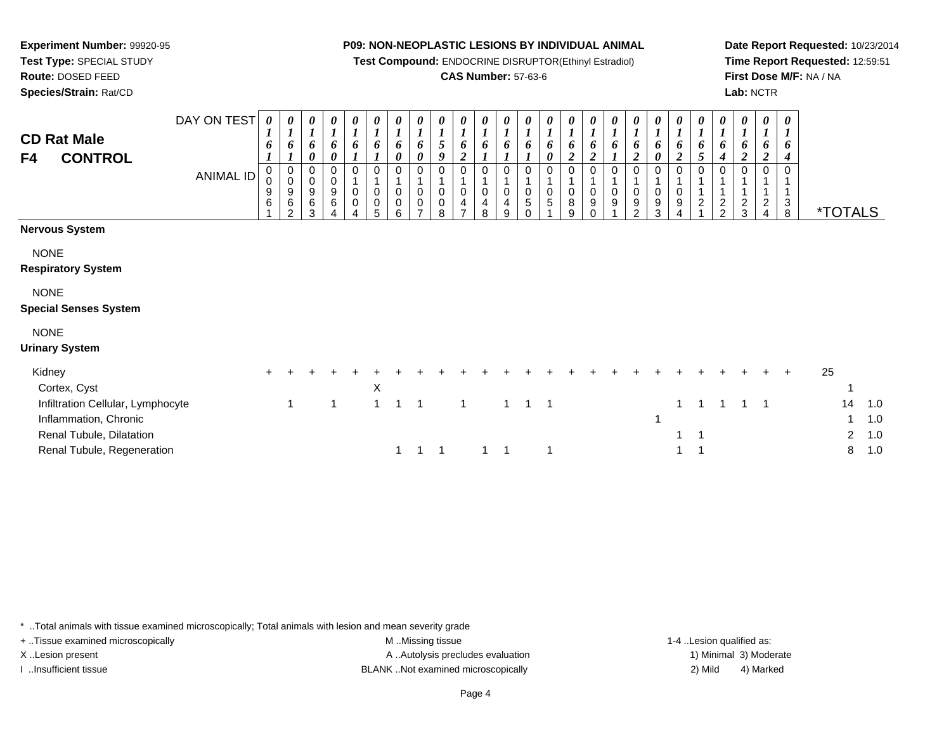**Test Compound:** ENDOCRINE DISRUPTOR(Ethinyl Estradiol)

#### **CAS Number:** 57-63-6

**Date Report Requested:** 10/23/2014**Time Report Requested:** 12:59:51**First Dose M/F:** NA / NA**Lab:** NCTR

| <b>CD Rat Male</b><br><b>CONTROL</b><br>F4                                              | DAY ON TEST<br>ANIMAL ID | 0<br>$\mathbf{I}$<br>6<br>0<br>0<br>9<br>6 | 0<br>$\mathbf{I}$<br>6<br>0<br>$\pmb{0}$<br>9<br>6<br>2 | $\boldsymbol{l}$<br>0<br>0<br>0<br>9<br>6<br>З | 0<br>$\boldsymbol{l}$<br>6<br>0<br>0<br>$\,0\,$<br>$\boldsymbol{9}$<br>6 | 0<br>$\boldsymbol{l}$<br>6<br>0<br>$\pmb{0}$<br>$\pmb{0}$ | 0<br>$\boldsymbol{l}$<br>6<br>0<br>$\pmb{0}$<br>$\pmb{0}$<br>5 | 0<br>$\boldsymbol{l}$<br>6<br>$\boldsymbol{\theta}$<br>$\Omega$<br>$\mathbf 0$<br>$\overline{0}$<br>6 | 0<br>$\boldsymbol{l}$<br>6<br>0<br>0<br>$\pmb{0}$<br>$\mathbf 0$<br>⇁ | 0<br>$\boldsymbol{l}$<br>5<br>9<br>0<br>$\pmb{0}$<br>0<br>8 | 0<br>$\boldsymbol{l}$<br>6<br>2<br>0<br>$\overline{4}$ | 0<br>$\boldsymbol{l}$<br>$\boldsymbol{0}$<br>4<br>8 | 0<br>$\mathbf{r}$<br>6<br>$\Omega$<br>$\pmb{0}$<br>4<br>9 | 0<br>6<br>$\mathsf{O}$<br>5<br>U | 0<br>$\boldsymbol{l}$<br>6<br>0<br>$\pmb{0}$<br>5 | $\boldsymbol{\theta}$<br>$\boldsymbol{l}$<br>6<br>$\overline{2}$<br>$\mathbf 0$<br>$\mathbf 0$<br>8<br>9 | 0<br>$\boldsymbol{l}$<br>6<br>$\boldsymbol{2}$<br>0<br>$\mathbf 0$<br>9<br>$\Omega$ | 0<br>$\boldsymbol{l}$<br>6<br>0<br>0<br>9 | 0<br>$\boldsymbol{l}$<br>6<br>$\overline{\mathbf{c}}$<br>0<br>9<br>$\mathfrak{p}$ | $\boldsymbol{\theta}$<br>$\boldsymbol{l}$<br>6<br>0<br>$\mathbf 0$<br>$9\,$<br>3 | $\frac{\boldsymbol{\theta}}{\boldsymbol{I}}$<br>6<br>$\boldsymbol{2}$<br>0<br>$\mathbf 0$<br>$\boldsymbol{9}$<br>4 | $\pmb{\theta}$<br>$\boldsymbol{l}$<br>$\boldsymbol{6}$<br>$5\overline{)}$<br>0<br>$\sqrt{2}$ | 0<br>$\boldsymbol{l}$<br>6<br>4<br>$\frac{2}{2}$ | $\boldsymbol{\theta}$<br>$\boldsymbol{l}$<br>6<br>$\overline{2}$<br>$\frac{2}{3}$ | 0<br>$\boldsymbol{l}$<br>6<br>$\overline{\mathbf{c}}$ | $\boldsymbol{\theta}$<br>-1<br>O<br>$\mathbf{3}$<br>8 |    | <i><b>*TOTALS</b></i> |                   |
|-----------------------------------------------------------------------------------------|--------------------------|--------------------------------------------|---------------------------------------------------------|------------------------------------------------|--------------------------------------------------------------------------|-----------------------------------------------------------|----------------------------------------------------------------|-------------------------------------------------------------------------------------------------------|-----------------------------------------------------------------------|-------------------------------------------------------------|--------------------------------------------------------|-----------------------------------------------------|-----------------------------------------------------------|----------------------------------|---------------------------------------------------|----------------------------------------------------------------------------------------------------------|-------------------------------------------------------------------------------------|-------------------------------------------|-----------------------------------------------------------------------------------|----------------------------------------------------------------------------------|--------------------------------------------------------------------------------------------------------------------|----------------------------------------------------------------------------------------------|--------------------------------------------------|-----------------------------------------------------------------------------------|-------------------------------------------------------|-------------------------------------------------------|----|-----------------------|-------------------|
| <b>Nervous System</b>                                                                   |                          |                                            |                                                         |                                                |                                                                          |                                                           |                                                                |                                                                                                       |                                                                       |                                                             |                                                        |                                                     |                                                           |                                  |                                                   |                                                                                                          |                                                                                     |                                           |                                                                                   |                                                                                  |                                                                                                                    |                                                                                              |                                                  |                                                                                   |                                                       |                                                       |    |                       |                   |
| <b>NONE</b><br><b>Respiratory System</b><br><b>NONE</b><br><b>Special Senses System</b> |                          |                                            |                                                         |                                                |                                                                          |                                                           |                                                                |                                                                                                       |                                                                       |                                                             |                                                        |                                                     |                                                           |                                  |                                                   |                                                                                                          |                                                                                     |                                           |                                                                                   |                                                                                  |                                                                                                                    |                                                                                              |                                                  |                                                                                   |                                                       |                                                       |    |                       |                   |
|                                                                                         |                          |                                            |                                                         |                                                |                                                                          |                                                           |                                                                |                                                                                                       |                                                                       |                                                             |                                                        |                                                     |                                                           |                                  |                                                   |                                                                                                          |                                                                                     |                                           |                                                                                   |                                                                                  |                                                                                                                    |                                                                                              |                                                  |                                                                                   |                                                       |                                                       |    |                       |                   |
| <b>NONE</b><br><b>Urinary System</b>                                                    |                          |                                            |                                                         |                                                |                                                                          |                                                           |                                                                |                                                                                                       |                                                                       |                                                             |                                                        |                                                     |                                                           |                                  |                                                   |                                                                                                          |                                                                                     |                                           |                                                                                   |                                                                                  |                                                                                                                    |                                                                                              |                                                  |                                                                                   |                                                       |                                                       |    |                       |                   |
| Kidney<br>Cortex, Cyst                                                                  |                          |                                            |                                                         |                                                |                                                                          |                                                           | X                                                              |                                                                                                       |                                                                       |                                                             |                                                        |                                                     |                                                           |                                  |                                                   |                                                                                                          |                                                                                     |                                           |                                                                                   |                                                                                  |                                                                                                                    |                                                                                              |                                                  |                                                                                   |                                                       | $\ddot{}$                                             | 25 |                       |                   |
| Infiltration Cellular, Lymphocyte<br>Inflammation, Chronic<br>Renal Tubule, Dilatation  |                          |                                            |                                                         |                                                | 1                                                                        |                                                           | $\overline{1}$                                                 | 1                                                                                                     | $\overline{\phantom{0}}$ 1                                            |                                                             | 1                                                      |                                                     | $\mathbf 1$                                               | -1                               | $\overline{\phantom{0}}$                          |                                                                                                          |                                                                                     |                                           |                                                                                   |                                                                                  |                                                                                                                    | 1                                                                                            |                                                  |                                                                                   |                                                       |                                                       |    | 14<br>$\mathbf{2}$    | 1.0<br>1.0<br>1.0 |

\* ..Total animals with tissue examined microscopically; Total animals with lesion and mean severity grade

Renal Tubule, Regeneration

**Experiment Number:** 99920-95**Test Type:** SPECIAL STUDY**Route:** DOSED FEED**Species/Strain:** Rat/CD

+ ..Tissue examined microscopically examined microscopically examined as:  $M$  ..Missing tissue 1-4 ..Lesion qualified as: X..Lesion present **A ..Autolysis precludes evaluation** A ..Autolysis precludes evaluation 1) Minimal 3) Moderate

I ..Insufficient tissue BLANK ..Not examined microscopically 2) Mild 4) Marked

n 1 1 1 1 1 1 1 1 1 1 1 1 1 1 8 1.0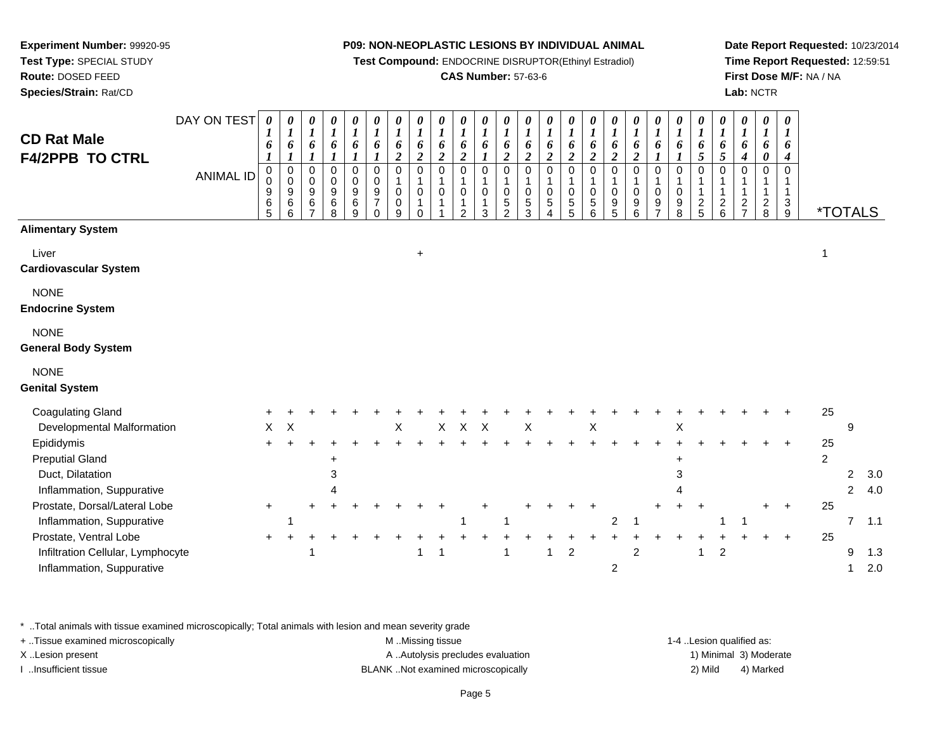**Test Compound:** ENDOCRINE DISRUPTOR(Ethinyl Estradiol)

#### **CAS Number:** 57-63-6

**Date Report Requested:** 10/23/2014**Time Report Requested:** 12:59:51**First Dose M/F:** NA / NA**Lab:** NCTR

| <b>CD Rat Male</b><br><b>F4/2PPB TO CTRL</b>        | DAY ON TEST<br><b>ANIMAL ID</b> | 0<br>$\boldsymbol{l}$<br>6<br>0<br>0<br>9<br>6<br>5 | $\boldsymbol{\theta}$<br>$\boldsymbol{l}$<br>6<br>1<br>$\pmb{0}$<br>$\pmb{0}$<br>$\boldsymbol{9}$<br>$\,6$<br>6 | 0<br>$\boldsymbol{l}$<br>6<br>$\boldsymbol{l}$<br>$\mathbf 0$<br>0<br>$\boldsymbol{9}$<br>$\frac{6}{7}$ | 0<br>$\boldsymbol{l}$<br>6<br>1<br>0<br>0<br>$\boldsymbol{9}$<br>$\begin{array}{c} 6 \\ 8 \end{array}$ | 0<br>$\boldsymbol{l}$<br>6<br>$\boldsymbol{l}$<br>$\mathbf 0$<br>$\pmb{0}$<br>$\boldsymbol{9}$<br>$\,6$<br>9 | 0<br>$\boldsymbol{l}$<br>6<br>$\mathbf 0$<br>$\mathbf 0$<br>$\boldsymbol{9}$<br>$\overline{7}$<br>$\Omega$ | 0<br>$\boldsymbol{l}$<br>6<br>$\boldsymbol{2}$<br>0<br>$\mathbf{1}$<br>0<br>$\pmb{0}$<br>9 | $\boldsymbol{l}$<br>6<br>$\boldsymbol{2}$<br>$\Omega$<br>$\mathbf 0$<br>$\mathbf 1$<br>$\Omega$ | $\boldsymbol{\theta}$<br>$\boldsymbol{l}$<br>6<br>$\boldsymbol{2}$<br>$\Omega$<br>$\Omega$ | $\boldsymbol{\theta}$<br>$\boldsymbol{l}$<br>6<br>$\overline{\mathbf{c}}$<br>$\mathbf 0$<br>$\mathbf 0$<br>$\mathcal{P}$ | 0<br>$\boldsymbol{l}$<br>6<br>$\Omega$<br>$\mathsf 0$<br>3 | 0<br>$\boldsymbol{l}$<br>6<br>$\boldsymbol{2}$<br>$\mathbf 0$<br>$\mathbf{1}$<br>$\mathbf 0$<br>5<br>$\overline{2}$ | $\boldsymbol{\theta}$<br>$\boldsymbol{l}$<br>6<br>$\overline{2}$<br>$\Omega$<br>1<br>0<br>$\sqrt{5}$<br>3 | 0<br>$\boldsymbol{l}$<br>6<br>$\boldsymbol{2}$<br>$\mathbf 0$<br>1<br>0<br>$\,$ 5 $\,$<br>4 | $\boldsymbol{\theta}$<br>$\boldsymbol{l}$<br>6<br>$\boldsymbol{2}$<br>$\mathbf 0$<br>$\mathbf{1}$<br>$\mathbf 0$<br>$\,$ 5 $\,$<br>5 | $\frac{\boldsymbol{\theta}}{\boldsymbol{I}}$<br>6<br>$\boldsymbol{2}$<br>$\pmb{0}$<br>1<br>$\pmb{0}$<br>$\,$ 5 $\,$<br>6 | $\boldsymbol{\theta}$<br>$\boldsymbol{l}$<br>6<br>$\boldsymbol{2}$<br>$\mathbf 0$<br>1<br>$\pmb{0}$<br>$\begin{array}{c} 9 \\ 5 \end{array}$ | 0<br>$\boldsymbol{l}$<br>6<br>$\boldsymbol{2}$<br>$\Omega$<br>1<br>0<br>9<br>6 | 0<br>$\boldsymbol{l}$<br>6<br>$\Omega$<br>1<br>$\mathbf 0$<br>9<br>$\overline{7}$ | $\boldsymbol{\theta}$<br>$\boldsymbol{l}$<br>6<br>1<br>$\Omega$<br>$\mathbf 0$<br>9<br>8 | 0<br>$\boldsymbol{l}$<br>6<br>5<br>$\Omega$<br>$\frac{2}{5}$ | 0<br>$\boldsymbol{l}$<br>6<br>$\overline{5}$<br>$\Omega$<br>1<br>$\frac{2}{6}$ | 0<br>$\boldsymbol{l}$<br>6<br>$\boldsymbol{4}$<br>$\Omega$<br>$\frac{2}{7}$ | 0<br>$\boldsymbol{l}$<br>6<br>$\pmb{\theta}$<br>$\Omega$<br>$\mathbf{1}$<br>$\frac{2}{8}$ | 0<br>$\boldsymbol{l}$<br>6<br>$\boldsymbol{4}$<br>$\Omega$<br>$\mathbf{1}$<br>$_9^3$ | <i><b>*TOTALS</b></i> |                |     |
|-----------------------------------------------------|---------------------------------|-----------------------------------------------------|-----------------------------------------------------------------------------------------------------------------|---------------------------------------------------------------------------------------------------------|--------------------------------------------------------------------------------------------------------|--------------------------------------------------------------------------------------------------------------|------------------------------------------------------------------------------------------------------------|--------------------------------------------------------------------------------------------|-------------------------------------------------------------------------------------------------|--------------------------------------------------------------------------------------------|--------------------------------------------------------------------------------------------------------------------------|------------------------------------------------------------|---------------------------------------------------------------------------------------------------------------------|-----------------------------------------------------------------------------------------------------------|---------------------------------------------------------------------------------------------|--------------------------------------------------------------------------------------------------------------------------------------|--------------------------------------------------------------------------------------------------------------------------|----------------------------------------------------------------------------------------------------------------------------------------------|--------------------------------------------------------------------------------|-----------------------------------------------------------------------------------|------------------------------------------------------------------------------------------|--------------------------------------------------------------|--------------------------------------------------------------------------------|-----------------------------------------------------------------------------|-------------------------------------------------------------------------------------------|--------------------------------------------------------------------------------------|-----------------------|----------------|-----|
| <b>Alimentary System</b>                            |                                 |                                                     |                                                                                                                 |                                                                                                         |                                                                                                        |                                                                                                              |                                                                                                            |                                                                                            |                                                                                                 |                                                                                            |                                                                                                                          |                                                            |                                                                                                                     |                                                                                                           |                                                                                             |                                                                                                                                      |                                                                                                                          |                                                                                                                                              |                                                                                |                                                                                   |                                                                                          |                                                              |                                                                                |                                                                             |                                                                                           |                                                                                      |                       |                |     |
| Liver<br><b>Cardiovascular System</b>               |                                 |                                                     |                                                                                                                 |                                                                                                         |                                                                                                        |                                                                                                              |                                                                                                            |                                                                                            | $\ddot{}$                                                                                       |                                                                                            |                                                                                                                          |                                                            |                                                                                                                     |                                                                                                           |                                                                                             |                                                                                                                                      |                                                                                                                          |                                                                                                                                              |                                                                                |                                                                                   |                                                                                          |                                                              |                                                                                |                                                                             |                                                                                           |                                                                                      |                       |                |     |
| <b>NONE</b><br><b>Endocrine System</b>              |                                 |                                                     |                                                                                                                 |                                                                                                         |                                                                                                        |                                                                                                              |                                                                                                            |                                                                                            |                                                                                                 |                                                                                            |                                                                                                                          |                                                            |                                                                                                                     |                                                                                                           |                                                                                             |                                                                                                                                      |                                                                                                                          |                                                                                                                                              |                                                                                |                                                                                   |                                                                                          |                                                              |                                                                                |                                                                             |                                                                                           |                                                                                      |                       |                |     |
| <b>NONE</b><br><b>General Body System</b>           |                                 |                                                     |                                                                                                                 |                                                                                                         |                                                                                                        |                                                                                                              |                                                                                                            |                                                                                            |                                                                                                 |                                                                                            |                                                                                                                          |                                                            |                                                                                                                     |                                                                                                           |                                                                                             |                                                                                                                                      |                                                                                                                          |                                                                                                                                              |                                                                                |                                                                                   |                                                                                          |                                                              |                                                                                |                                                                             |                                                                                           |                                                                                      |                       |                |     |
| <b>NONE</b><br><b>Genital System</b>                |                                 |                                                     |                                                                                                                 |                                                                                                         |                                                                                                        |                                                                                                              |                                                                                                            |                                                                                            |                                                                                                 |                                                                                            |                                                                                                                          |                                                            |                                                                                                                     |                                                                                                           |                                                                                             |                                                                                                                                      |                                                                                                                          |                                                                                                                                              |                                                                                |                                                                                   |                                                                                          |                                                              |                                                                                |                                                                             |                                                                                           |                                                                                      |                       |                |     |
| <b>Coagulating Gland</b>                            |                                 |                                                     |                                                                                                                 |                                                                                                         |                                                                                                        |                                                                                                              |                                                                                                            |                                                                                            |                                                                                                 |                                                                                            |                                                                                                                          |                                                            |                                                                                                                     |                                                                                                           |                                                                                             |                                                                                                                                      |                                                                                                                          |                                                                                                                                              |                                                                                |                                                                                   |                                                                                          |                                                              |                                                                                |                                                                             |                                                                                           |                                                                                      | 25                    |                |     |
| Developmental Malformation                          |                                 | X                                                   | X                                                                                                               |                                                                                                         |                                                                                                        |                                                                                                              |                                                                                                            | X                                                                                          |                                                                                                 | $\mathsf X$                                                                                | $\sf X$                                                                                                                  | $\boldsymbol{\mathsf{X}}$                                  |                                                                                                                     | X                                                                                                         |                                                                                             |                                                                                                                                      | Χ                                                                                                                        |                                                                                                                                              |                                                                                |                                                                                   | X                                                                                        |                                                              |                                                                                |                                                                             |                                                                                           |                                                                                      |                       | 9              |     |
| Epididymis                                          |                                 | ÷.                                                  |                                                                                                                 |                                                                                                         |                                                                                                        |                                                                                                              |                                                                                                            |                                                                                            |                                                                                                 |                                                                                            |                                                                                                                          |                                                            |                                                                                                                     |                                                                                                           |                                                                                             |                                                                                                                                      |                                                                                                                          |                                                                                                                                              |                                                                                |                                                                                   |                                                                                          |                                                              |                                                                                |                                                                             |                                                                                           |                                                                                      | 25                    |                |     |
| <b>Preputial Gland</b>                              |                                 |                                                     |                                                                                                                 |                                                                                                         | ÷                                                                                                      |                                                                                                              |                                                                                                            |                                                                                            |                                                                                                 |                                                                                            |                                                                                                                          |                                                            |                                                                                                                     |                                                                                                           |                                                                                             |                                                                                                                                      |                                                                                                                          |                                                                                                                                              |                                                                                |                                                                                   |                                                                                          |                                                              |                                                                                |                                                                             |                                                                                           |                                                                                      | $\overline{2}$        |                |     |
| Duct, Dilatation                                    |                                 |                                                     |                                                                                                                 |                                                                                                         | 3                                                                                                      |                                                                                                              |                                                                                                            |                                                                                            |                                                                                                 |                                                                                            |                                                                                                                          |                                                            |                                                                                                                     |                                                                                                           |                                                                                             |                                                                                                                                      |                                                                                                                          |                                                                                                                                              |                                                                                |                                                                                   | 3                                                                                        |                                                              |                                                                                |                                                                             |                                                                                           |                                                                                      |                       | $\overline{2}$ | 3.0 |
| Inflammation, Suppurative                           |                                 |                                                     |                                                                                                                 |                                                                                                         |                                                                                                        |                                                                                                              |                                                                                                            |                                                                                            |                                                                                                 |                                                                                            |                                                                                                                          |                                                            |                                                                                                                     |                                                                                                           |                                                                                             |                                                                                                                                      |                                                                                                                          |                                                                                                                                              |                                                                                |                                                                                   |                                                                                          |                                                              |                                                                                |                                                                             |                                                                                           |                                                                                      |                       | $\overline{2}$ | 4.0 |
| Prostate, Dorsal/Lateral Lobe                       |                                 | $+$                                                 |                                                                                                                 |                                                                                                         |                                                                                                        |                                                                                                              |                                                                                                            |                                                                                            |                                                                                                 |                                                                                            |                                                                                                                          |                                                            |                                                                                                                     |                                                                                                           |                                                                                             |                                                                                                                                      |                                                                                                                          |                                                                                                                                              |                                                                                |                                                                                   |                                                                                          |                                                              |                                                                                |                                                                             |                                                                                           | $\ddot{}$                                                                            | 25                    |                |     |
| Inflammation, Suppurative<br>Prostate, Ventral Lobe |                                 |                                                     | 1                                                                                                               |                                                                                                         |                                                                                                        |                                                                                                              |                                                                                                            |                                                                                            |                                                                                                 |                                                                                            |                                                                                                                          |                                                            | -1                                                                                                                  |                                                                                                           |                                                                                             |                                                                                                                                      |                                                                                                                          | $\overline{c}$                                                                                                                               |                                                                                |                                                                                   |                                                                                          |                                                              | 1                                                                              | -1                                                                          |                                                                                           |                                                                                      | 25                    | $\overline{7}$ | 1.1 |
| Infiltration Cellular, Lymphocyte                   |                                 | $\ddot{}$                                           |                                                                                                                 |                                                                                                         |                                                                                                        |                                                                                                              |                                                                                                            |                                                                                            |                                                                                                 | 1                                                                                          |                                                                                                                          |                                                            | 1                                                                                                                   |                                                                                                           |                                                                                             | $\overline{c}$                                                                                                                       |                                                                                                                          |                                                                                                                                              | $\overline{2}$                                                                 |                                                                                   |                                                                                          |                                                              | $\sqrt{2}$                                                                     |                                                                             |                                                                                           | $\ddot{}$                                                                            |                       | 9              | 1.3 |
| Inflammation, Suppurative                           |                                 |                                                     |                                                                                                                 |                                                                                                         |                                                                                                        |                                                                                                              |                                                                                                            |                                                                                            |                                                                                                 |                                                                                            |                                                                                                                          |                                                            |                                                                                                                     |                                                                                                           |                                                                                             |                                                                                                                                      |                                                                                                                          | 2                                                                                                                                            |                                                                                |                                                                                   |                                                                                          |                                                              |                                                                                |                                                                             |                                                                                           |                                                                                      |                       | 1              | 2.0 |

\* ..Total animals with tissue examined microscopically; Total animals with lesion and mean severity grade

**Experiment Number:** 99920-95**Test Type:** SPECIAL STUDY**Route:** DOSED FEED**Species/Strain:** Rat/CD

+ ..Tissue examined microscopically examined microscopically examined as:  $M$  ..Missing tissue 1-4 ..Lesion qualified as: X..Lesion present **A ..Autolysis precludes evaluation** A ..Autolysis precludes evaluation 1) Minimal 3) Moderate

I ..Insufficient tissue BLANK ..Not examined microscopically 2) Mild 4) Marked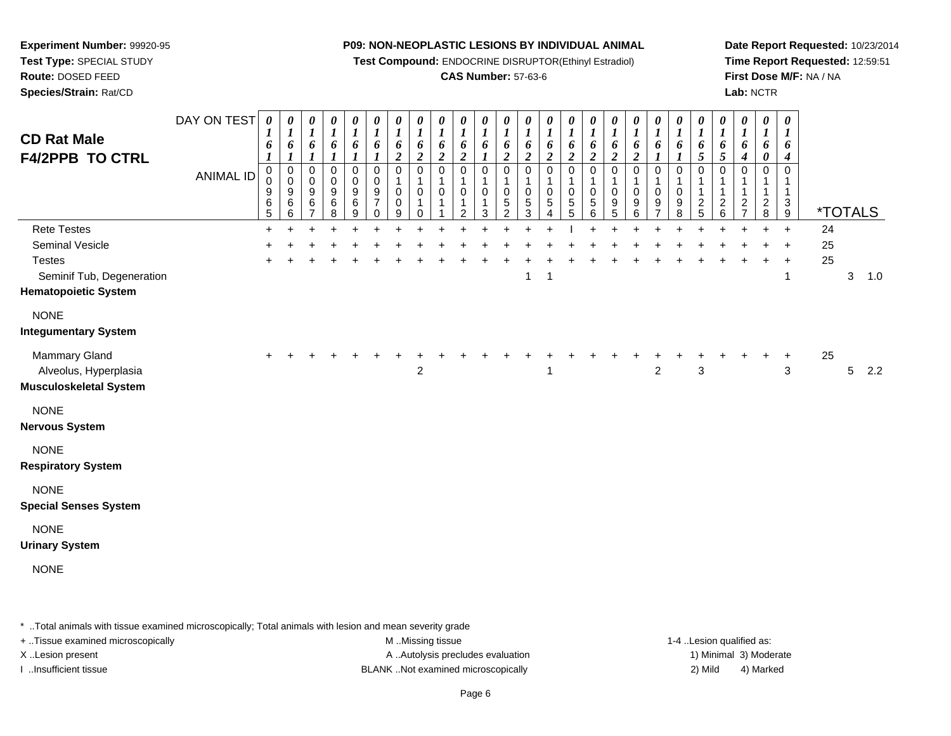**Experiment Number:** 99920-95**Test Type:** SPECIAL STUDY

## **Route:** DOSED FEED

**Species/Strain:** Rat/CD

#### **P09: NON-NEOPLASTIC LESIONS BY INDIVIDUAL ANIMAL**

**Test Compound:** ENDOCRINE DISRUPTOR(Ethinyl Estradiol)

#### **CAS Number:** 57-63-6

**Date Report Requested:** 10/23/2014**Time Report Requested:** 12:59:51**First Dose M/F:** NA / NA**Lab:** NCTR

| <b>CD Rat Male</b><br><b>F4/2PPB TO CTRL</b>                                                                          | DAY ON TEST<br><b>ANIMAL ID</b> | 0<br>1<br>6<br>0<br>$\pmb{0}$<br>$\boldsymbol{9}$<br>6<br>5 | 0<br>1<br>6<br>$\boldsymbol{l}$<br>0<br>$\mathbf 0$<br>9<br>6<br>6 | 0<br>$\boldsymbol{l}$<br>6<br>$\boldsymbol{l}$<br>$\mathbf 0$<br>$\mathbf 0$<br>9<br>$\,6$<br>$\overline{7}$ | 0<br>$\boldsymbol{l}$<br>6<br>$\mathbf{I}$<br>$\mathbf 0$<br>$\pmb{0}$<br>$\boldsymbol{9}$<br>$\,6\,$<br>8 | 0<br>$\boldsymbol{l}$<br>6<br>1<br>$\,0\,$<br>$\mathbf 0$<br>$\boldsymbol{9}$<br>$\,6\,$<br>9 | 0<br>$\boldsymbol{l}$<br>6<br>$\boldsymbol{l}$<br>0<br>$\mathsf 0$<br>$\boldsymbol{9}$<br>$\overline{7}$<br>$\mathbf 0$ | 0<br>$\boldsymbol{l}$<br>6<br>$\boldsymbol{2}$<br>$\pmb{0}$<br>1<br>0<br>0<br>9 | 0<br>$\boldsymbol{l}$<br>6<br>$\overline{\mathbf{c}}$<br>0<br>1<br>0<br>0 | $\boldsymbol{\theta}$<br>$\boldsymbol{l}$<br>6<br>$\boldsymbol{2}$<br>$\mathbf 0$<br>0 | $\boldsymbol{\theta}$<br>$\boldsymbol{l}$<br>6<br>$\boldsymbol{2}$<br>$\pmb{0}$<br>1<br>0<br>1<br>2 | $\boldsymbol{\theta}$<br>1<br>6<br>0<br>1<br>0<br>3 | 0<br>1<br>6<br>$\overline{\mathbf{c}}$<br>$\mathbf 0$<br>$\mathbf 0$<br>5<br>$\overline{c}$ | $\boldsymbol{\theta}$<br>$\boldsymbol{l}$<br>6<br>$\boldsymbol{2}$<br>0<br>$\mathbf{1}$<br>0<br>5<br>3 | 0<br>$\boldsymbol{l}$<br>6<br>2<br>0<br>0<br>$\,$ 5 $\,$<br>4 | 0<br>$\boldsymbol{l}$<br>6<br>$\boldsymbol{2}$<br>0<br>1<br>0<br>5<br>5 | 0<br>$\boldsymbol{l}$<br>6<br>$\overline{2}$<br>0<br>-1<br>0<br>$\,$ 5 $\,$<br>6 | $\boldsymbol{\theta}$<br>$\boldsymbol{l}$<br>6<br>$\boldsymbol{2}$<br>$\mathbf 0$<br>1<br>$\mathbf 0$<br>9<br>5 | $\pmb{\theta}$<br>$\boldsymbol{l}$<br>6<br>$\overline{c}$<br>$\pmb{0}$<br>$\mathbf{1}$<br>0<br>9<br>6 | $\boldsymbol{\theta}$<br>$\boldsymbol{l}$<br>6<br>0<br>1<br>0<br>9<br>$\overline{7}$ | 0<br>$\boldsymbol{l}$<br>6<br>$\boldsymbol{l}$<br>0<br>1<br>0<br>9<br>8 | 0<br>$\boldsymbol{l}$<br>6<br>5<br>$\mathbf 0$<br>$\mathbf 1$<br>$\mathbf 1$<br>$\frac{2}{5}$ | $\boldsymbol{\theta}$<br>$\bm{l}$<br>6<br>5<br>$\mathbf 0$<br>-1<br>$\mathbf{1}$<br>$\frac{2}{6}$ | $\boldsymbol{\theta}$<br>1<br>6<br>$\boldsymbol{4}$<br>$\Omega$<br>$\overline{\mathbf{c}}$<br>$\overline{7}$ | 0<br>6<br>0<br>0<br>$\overline{\mathbf{c}}$<br>8 | $\boldsymbol{\theta}$<br>1<br>6<br>4<br>0<br>$\mathbf{1}$<br>$\ensuremath{\mathsf{3}}$<br>$9\,$ |                | <i><b>*TOTALS</b></i> |     |
|-----------------------------------------------------------------------------------------------------------------------|---------------------------------|-------------------------------------------------------------|--------------------------------------------------------------------|--------------------------------------------------------------------------------------------------------------|------------------------------------------------------------------------------------------------------------|-----------------------------------------------------------------------------------------------|-------------------------------------------------------------------------------------------------------------------------|---------------------------------------------------------------------------------|---------------------------------------------------------------------------|----------------------------------------------------------------------------------------|-----------------------------------------------------------------------------------------------------|-----------------------------------------------------|---------------------------------------------------------------------------------------------|--------------------------------------------------------------------------------------------------------|---------------------------------------------------------------|-------------------------------------------------------------------------|----------------------------------------------------------------------------------|-----------------------------------------------------------------------------------------------------------------|-------------------------------------------------------------------------------------------------------|--------------------------------------------------------------------------------------|-------------------------------------------------------------------------|-----------------------------------------------------------------------------------------------|---------------------------------------------------------------------------------------------------|--------------------------------------------------------------------------------------------------------------|--------------------------------------------------|-------------------------------------------------------------------------------------------------|----------------|-----------------------|-----|
| <b>Rete Testes</b><br>Seminal Vesicle<br><b>Testes</b><br>Seminif Tub, Degeneration<br><b>Hematopoietic System</b>    |                                 | $\ddot{}$                                                   |                                                                    |                                                                                                              |                                                                                                            |                                                                                               |                                                                                                                         |                                                                                 |                                                                           |                                                                                        |                                                                                                     |                                                     |                                                                                             | 1                                                                                                      | -1                                                            |                                                                         |                                                                                  |                                                                                                                 |                                                                                                       |                                                                                      |                                                                         |                                                                                               |                                                                                                   |                                                                                                              |                                                  | $\ddot{+}$<br>$\ddot{}$<br>1                                                                    | 24<br>25<br>25 | 3                     | 1.0 |
| <b>NONE</b><br><b>Integumentary System</b><br>Mammary Gland<br>Alveolus, Hyperplasia<br><b>Musculoskeletal System</b> |                                 |                                                             |                                                                    |                                                                                                              |                                                                                                            |                                                                                               |                                                                                                                         |                                                                                 | $\overline{c}$                                                            |                                                                                        |                                                                                                     |                                                     |                                                                                             |                                                                                                        |                                                               |                                                                         |                                                                                  |                                                                                                                 |                                                                                                       | $\overline{2}$                                                                       |                                                                         | 3                                                                                             |                                                                                                   |                                                                                                              |                                                  | 3                                                                                               | 25             | 5                     | 2.2 |
| <b>NONE</b><br><b>Nervous System</b><br><b>NONE</b><br><b>Respiratory System</b>                                      |                                 |                                                             |                                                                    |                                                                                                              |                                                                                                            |                                                                                               |                                                                                                                         |                                                                                 |                                                                           |                                                                                        |                                                                                                     |                                                     |                                                                                             |                                                                                                        |                                                               |                                                                         |                                                                                  |                                                                                                                 |                                                                                                       |                                                                                      |                                                                         |                                                                                               |                                                                                                   |                                                                                                              |                                                  |                                                                                                 |                |                       |     |
| <b>NONE</b><br><b>Special Senses System</b><br><b>NONE</b><br><b>Urinary System</b><br><b>NONE</b>                    |                                 |                                                             |                                                                    |                                                                                                              |                                                                                                            |                                                                                               |                                                                                                                         |                                                                                 |                                                                           |                                                                                        |                                                                                                     |                                                     |                                                                                             |                                                                                                        |                                                               |                                                                         |                                                                                  |                                                                                                                 |                                                                                                       |                                                                                      |                                                                         |                                                                                               |                                                                                                   |                                                                                                              |                                                  |                                                                                                 |                |                       |     |

\* ..Total animals with tissue examined microscopically; Total animals with lesion and mean severity grade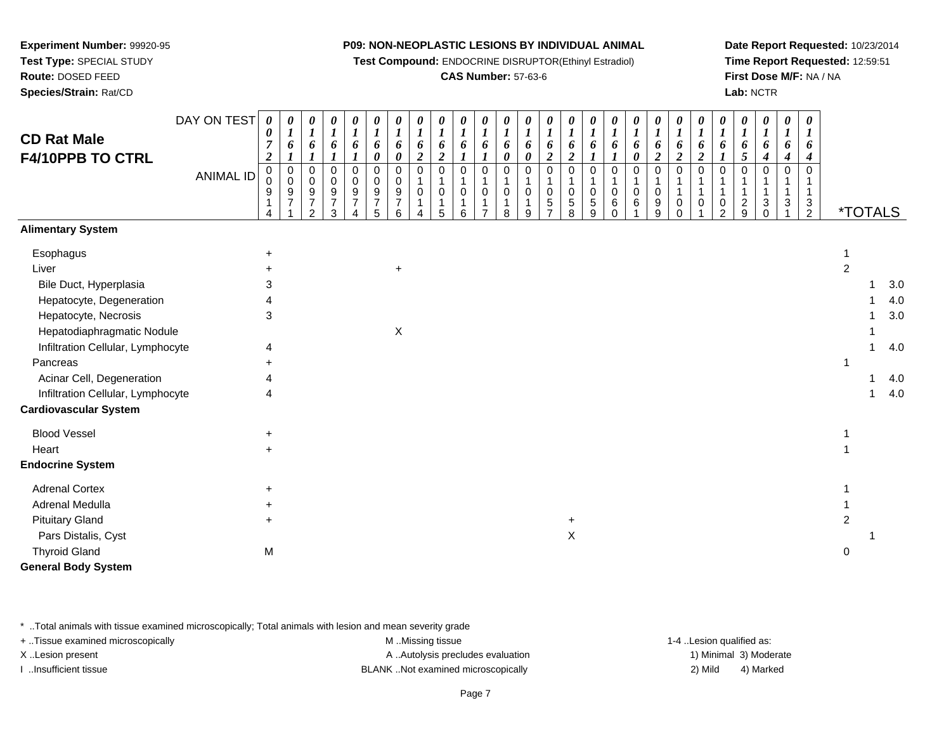**Test Compound:** ENDOCRINE DISRUPTOR(Ethinyl Estradiol)

#### **CAS Number:** 57-63-6

**Date Report Requested:** 10/23/2014**Time Report Requested:** 12:59:51**First Dose M/F:** NA / NA**Lab:** NCTR

|                                        | DAY ON TEST      | $\boldsymbol{\theta}$                 | 0                                | 0                                  | 0                                                   | 0                               | 0                                                           | 0                                                           | 0                                         | 0                                         | $\boldsymbol{\theta}$                | $\boldsymbol{\theta}$      | 0                                       | 0                                              | 0                                                      | 0                                            | 0                              | $\boldsymbol{\theta}$                 | 0                     | 0                                       | 0                                            | 0                                         | 0                                         | 0                                       | 0                                         | 0                          | 0                                               |                |                       |     |
|----------------------------------------|------------------|---------------------------------------|----------------------------------|------------------------------------|-----------------------------------------------------|---------------------------------|-------------------------------------------------------------|-------------------------------------------------------------|-------------------------------------------|-------------------------------------------|--------------------------------------|----------------------------|-----------------------------------------|------------------------------------------------|--------------------------------------------------------|----------------------------------------------|--------------------------------|---------------------------------------|-----------------------|-----------------------------------------|----------------------------------------------|-------------------------------------------|-------------------------------------------|-----------------------------------------|-------------------------------------------|----------------------------|-------------------------------------------------|----------------|-----------------------|-----|
| <b>CD Rat Male</b><br>F4/10PPB TO CTRL |                  | 0<br>$\overline{7}$<br>$\overline{c}$ | $\boldsymbol{I}$<br>6            | $\boldsymbol{l}$<br>6              | $\boldsymbol{l}$<br>6                               | $\boldsymbol{l}$<br>6           | $\boldsymbol{l}$<br>6<br>0                                  | $\boldsymbol{l}$<br>6<br>$\boldsymbol{\theta}$              | $\boldsymbol{l}$<br>6<br>$\boldsymbol{2}$ | $\boldsymbol{l}$<br>6<br>$\boldsymbol{2}$ | $\boldsymbol{l}$<br>6                | $\boldsymbol{l}$<br>6      | $\boldsymbol{l}$<br>6<br>$\pmb{\theta}$ | $\boldsymbol{l}$<br>6<br>$\boldsymbol{\theta}$ | $\boldsymbol{l}$<br>6<br>$\boldsymbol{2}$              | $\boldsymbol{l}$<br>6<br>$\boldsymbol{2}$    | $\boldsymbol{\mathit{1}}$<br>6 | $\boldsymbol{l}$<br>6                 | 1<br>6<br>0           | $\boldsymbol{l}$<br>6<br>$\overline{2}$ | $\boldsymbol{l}$<br>6<br>$\boldsymbol{2}$    | $\boldsymbol{l}$<br>6<br>$\boldsymbol{2}$ | $\boldsymbol{l}$<br>6<br>$\boldsymbol{l}$ | $\boldsymbol{l}$<br>6<br>$\mathfrak{H}$ | $\boldsymbol{l}$<br>6<br>$\boldsymbol{4}$ | $\boldsymbol{l}$<br>6<br>4 | $\boldsymbol{I}$<br>6<br>$\boldsymbol{4}$       |                |                       |     |
|                                        | <b>ANIMAL ID</b> | 0<br>0<br>9<br>1<br>4                 | $\pmb{0}$<br>$\pmb{0}$<br>9<br>7 | 0<br>0<br>9<br>$\overline{7}$<br>2 | $\mathbf 0$<br>$\Omega$<br>9<br>$\overline{7}$<br>3 | $\Omega$<br>9<br>$\overline{7}$ | $\mathbf 0$<br>0<br>$\boldsymbol{9}$<br>$\overline{7}$<br>5 | $\mathbf 0$<br>0<br>$\boldsymbol{9}$<br>$\overline{7}$<br>6 | $\mathbf 0$<br>1<br>$\mathbf 0$<br>1<br>4 | $\mathbf 0$<br>0<br>$\mathbf 1$<br>5      | $\mathbf 0$<br>0<br>$\mathbf 1$<br>6 | $\mathbf 0$<br>0<br>1<br>7 | $\mathbf 0$<br>0<br>1<br>8              | $\mathbf 0$<br>$\mathbf 0$<br>-1<br>9          | $\mathbf 0$<br>1<br>$\mathbf 0$<br>5<br>$\overline{7}$ | $\mathbf 0$<br>$\pmb{0}$<br>$\mathbf 5$<br>8 | $\Omega$<br>$\Omega$<br>5<br>9 | $\Omega$<br>$\Omega$<br>6<br>$\Omega$ | $\mathbf 0$<br>0<br>6 | $\Omega$<br>0<br>9<br>9                 | $\mathbf 0$<br>$\mathbf{1}$<br>0<br>$\Omega$ | $\mathbf 0$<br>-1<br>$\mathbf{1}$<br>0    | $\Omega$<br>0<br>2                        | $\Omega$<br>$\overline{c}$<br>9         | $\mathbf 0$<br>1<br>3<br>$\Omega$         | 0<br>3                     | $\Omega$<br>$\mathbf{1}$<br>3<br>$\overline{2}$ |                | <i><b>*TOTALS</b></i> |     |
| <b>Alimentary System</b>               |                  |                                       |                                  |                                    |                                                     |                                 |                                                             |                                                             |                                           |                                           |                                      |                            |                                         |                                                |                                                        |                                              |                                |                                       |                       |                                         |                                              |                                           |                                           |                                         |                                           |                            |                                                 |                |                       |     |
| Esophagus                              |                  | +                                     |                                  |                                    |                                                     |                                 |                                                             |                                                             |                                           |                                           |                                      |                            |                                         |                                                |                                                        |                                              |                                |                                       |                       |                                         |                                              |                                           |                                           |                                         |                                           |                            |                                                 |                |                       |     |
| Liver                                  |                  |                                       |                                  |                                    |                                                     |                                 |                                                             | $\ddot{}$                                                   |                                           |                                           |                                      |                            |                                         |                                                |                                                        |                                              |                                |                                       |                       |                                         |                                              |                                           |                                           |                                         |                                           |                            |                                                 | $\overline{2}$ |                       |     |
| Bile Duct, Hyperplasia                 |                  | 3                                     |                                  |                                    |                                                     |                                 |                                                             |                                                             |                                           |                                           |                                      |                            |                                         |                                                |                                                        |                                              |                                |                                       |                       |                                         |                                              |                                           |                                           |                                         |                                           |                            |                                                 |                |                       | 3.0 |
| Hepatocyte, Degeneration               |                  |                                       |                                  |                                    |                                                     |                                 |                                                             |                                                             |                                           |                                           |                                      |                            |                                         |                                                |                                                        |                                              |                                |                                       |                       |                                         |                                              |                                           |                                           |                                         |                                           |                            |                                                 |                |                       | 4.0 |
| Hepatocyte, Necrosis                   |                  | 3                                     |                                  |                                    |                                                     |                                 |                                                             |                                                             |                                           |                                           |                                      |                            |                                         |                                                |                                                        |                                              |                                |                                       |                       |                                         |                                              |                                           |                                           |                                         |                                           |                            |                                                 |                |                       | 3.0 |
| Hepatodiaphragmatic Nodule             |                  |                                       |                                  |                                    |                                                     |                                 |                                                             | X                                                           |                                           |                                           |                                      |                            |                                         |                                                |                                                        |                                              |                                |                                       |                       |                                         |                                              |                                           |                                           |                                         |                                           |                            |                                                 |                |                       |     |
| Infiltration Cellular, Lymphocyte      |                  | 4                                     |                                  |                                    |                                                     |                                 |                                                             |                                                             |                                           |                                           |                                      |                            |                                         |                                                |                                                        |                                              |                                |                                       |                       |                                         |                                              |                                           |                                           |                                         |                                           |                            |                                                 |                |                       | 4.0 |
| Pancreas                               |                  |                                       |                                  |                                    |                                                     |                                 |                                                             |                                                             |                                           |                                           |                                      |                            |                                         |                                                |                                                        |                                              |                                |                                       |                       |                                         |                                              |                                           |                                           |                                         |                                           |                            |                                                 |                |                       |     |
| Acinar Cell, Degeneration              |                  |                                       |                                  |                                    |                                                     |                                 |                                                             |                                                             |                                           |                                           |                                      |                            |                                         |                                                |                                                        |                                              |                                |                                       |                       |                                         |                                              |                                           |                                           |                                         |                                           |                            |                                                 |                |                       | 4.0 |
| Infiltration Cellular, Lymphocyte      |                  | 4                                     |                                  |                                    |                                                     |                                 |                                                             |                                                             |                                           |                                           |                                      |                            |                                         |                                                |                                                        |                                              |                                |                                       |                       |                                         |                                              |                                           |                                           |                                         |                                           |                            |                                                 |                |                       | 4.0 |
| <b>Cardiovascular System</b>           |                  |                                       |                                  |                                    |                                                     |                                 |                                                             |                                                             |                                           |                                           |                                      |                            |                                         |                                                |                                                        |                                              |                                |                                       |                       |                                         |                                              |                                           |                                           |                                         |                                           |                            |                                                 |                |                       |     |
| <b>Blood Vessel</b>                    |                  | $\ddot{}$                             |                                  |                                    |                                                     |                                 |                                                             |                                                             |                                           |                                           |                                      |                            |                                         |                                                |                                                        |                                              |                                |                                       |                       |                                         |                                              |                                           |                                           |                                         |                                           |                            |                                                 |                |                       |     |
| Heart                                  |                  | $\ddot{}$                             |                                  |                                    |                                                     |                                 |                                                             |                                                             |                                           |                                           |                                      |                            |                                         |                                                |                                                        |                                              |                                |                                       |                       |                                         |                                              |                                           |                                           |                                         |                                           |                            |                                                 |                |                       |     |
| <b>Endocrine System</b>                |                  |                                       |                                  |                                    |                                                     |                                 |                                                             |                                                             |                                           |                                           |                                      |                            |                                         |                                                |                                                        |                                              |                                |                                       |                       |                                         |                                              |                                           |                                           |                                         |                                           |                            |                                                 |                |                       |     |
| <b>Adrenal Cortex</b>                  |                  | +                                     |                                  |                                    |                                                     |                                 |                                                             |                                                             |                                           |                                           |                                      |                            |                                         |                                                |                                                        |                                              |                                |                                       |                       |                                         |                                              |                                           |                                           |                                         |                                           |                            |                                                 |                |                       |     |
| Adrenal Medulla                        |                  |                                       |                                  |                                    |                                                     |                                 |                                                             |                                                             |                                           |                                           |                                      |                            |                                         |                                                |                                                        |                                              |                                |                                       |                       |                                         |                                              |                                           |                                           |                                         |                                           |                            |                                                 |                |                       |     |
| <b>Pituitary Gland</b>                 |                  | $\ddot{}$                             |                                  |                                    |                                                     |                                 |                                                             |                                                             |                                           |                                           |                                      |                            |                                         |                                                |                                                        | $\ddot{}$                                    |                                |                                       |                       |                                         |                                              |                                           |                                           |                                         |                                           |                            |                                                 | 2              |                       |     |
| Pars Distalis, Cyst                    |                  |                                       |                                  |                                    |                                                     |                                 |                                                             |                                                             |                                           |                                           |                                      |                            |                                         |                                                |                                                        | X                                            |                                |                                       |                       |                                         |                                              |                                           |                                           |                                         |                                           |                            |                                                 |                |                       |     |
| <b>Thyroid Gland</b>                   |                  | M                                     |                                  |                                    |                                                     |                                 |                                                             |                                                             |                                           |                                           |                                      |                            |                                         |                                                |                                                        |                                              |                                |                                       |                       |                                         |                                              |                                           |                                           |                                         |                                           |                            |                                                 | 0              |                       |     |
| <b>General Body System</b>             |                  |                                       |                                  |                                    |                                                     |                                 |                                                             |                                                             |                                           |                                           |                                      |                            |                                         |                                                |                                                        |                                              |                                |                                       |                       |                                         |                                              |                                           |                                           |                                         |                                           |                            |                                                 |                |                       |     |

\* ..Total animals with tissue examined microscopically; Total animals with lesion and mean severity grade

**Experiment Number:** 99920-95**Test Type:** SPECIAL STUDY**Route:** DOSED FEED**Species/Strain:** Rat/CD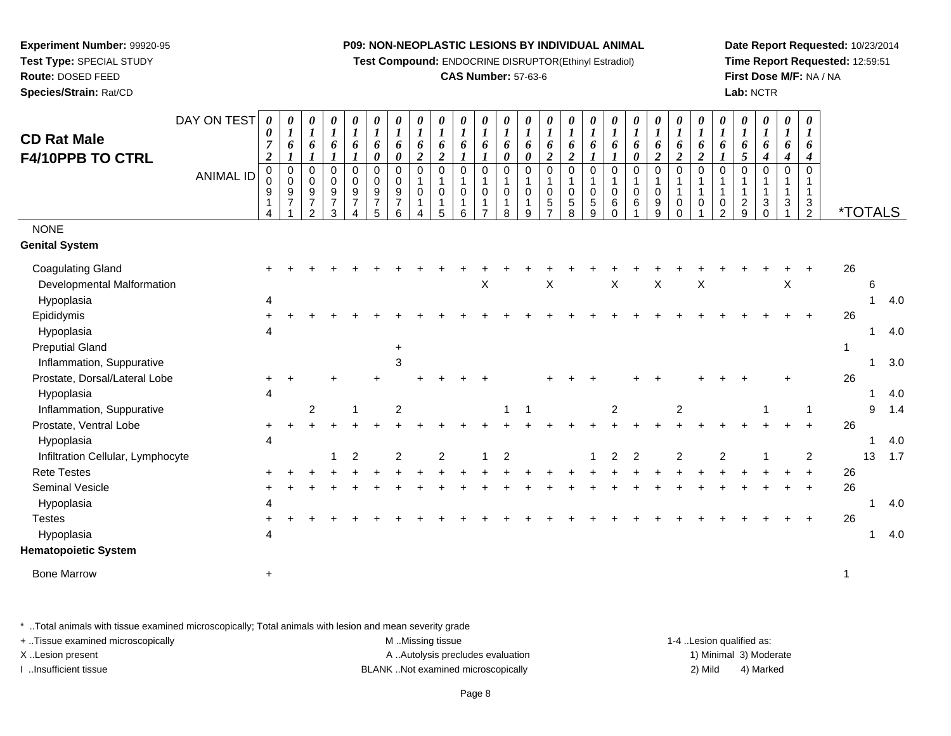**Test Compound:** ENDOCRINE DISRUPTOR(Ethinyl Estradiol)

#### **CAS Number:** 57-63-6

**Date Report Requested:** 10/23/2014**Time Report Requested:** 12:59:51**First Dose M/F:** NA / NA**Lab:** NCTR

| <b>CD Rat Male</b><br>F4/10PPB TO CTRL | DAY ON TEST<br><b>ANIMAL ID</b> | $\boldsymbol{\theta}$<br>0<br>7<br>$\boldsymbol{2}$<br>0<br>$\Omega$<br>9 | 0<br>$\boldsymbol{l}$<br>6<br>$\pmb{0}$<br>$\,0\,$<br>$\boldsymbol{9}$<br>$\overline{7}$ | 0<br>$\boldsymbol{l}$<br>6<br>$\mathbf 0$<br>$\mathbf 0$<br>$\boldsymbol{9}$<br>$\overline{7}$<br>$\overline{2}$ | 0<br>$\boldsymbol{l}$<br>6<br>$\mathbf 0$<br>$\mathbf 0$<br>9<br>$\overline{7}$<br>3 | 0<br>$\boldsymbol{l}$<br>6<br>1<br>$\mathbf 0$<br>$\mathbf 0$<br>$\boldsymbol{9}$<br>$\overline{7}$ | 0<br>6<br>0<br>$\mathbf 0$<br>$\mathbf 0$<br>$\boldsymbol{9}$<br>$\overline{7}$<br>5 | 0<br>1<br>6<br>0<br>$\Omega$<br>0<br>$\boldsymbol{9}$<br>$\overline{7}$<br>6 | 0<br>$\boldsymbol{l}$<br>6<br>$\overline{2}$<br>$\Omega$<br>$\mathbf 0$<br>1<br>4 | $\boldsymbol{\theta}$<br>$\boldsymbol{l}$<br>6<br>$\overline{2}$<br>$\mathbf 0$<br>$\mathbf 0$<br>5 | 0<br>$\boldsymbol{l}$<br>6<br>1<br>$\mathbf 0$<br>1<br>0<br>1<br>6 | $\boldsymbol{l}$<br>6<br>1<br>$\Omega$<br>$\mathbf 0$<br>1<br>$\overline{ }$ | 0<br>$\boldsymbol{l}$<br>6<br>0<br>$\mathbf 0$<br>$\mathbf 0$<br>8 | 0<br>$\boldsymbol{l}$<br>6<br>0<br>$\Omega$<br>$\mathbf 0$<br>9 | 0<br>$\boldsymbol{l}$<br>6<br>$\boldsymbol{2}$<br>$\mathbf 0$<br>$\mathbf{1}$<br>$\mathbf 0$<br>$\overline{5}$<br>$\overline{7}$ | 0<br>$\boldsymbol{l}$<br>6<br>$\overline{2}$<br>$\mathbf 0$<br>1<br>$\mathbf 0$<br>5<br>8 | 0<br>$\boldsymbol{l}$<br>6<br>1<br>$\Omega$<br>$\mathbf 0$<br>$\sqrt{5}$<br>9 | $\boldsymbol{l}$<br>6<br>1<br>$\Omega$<br>1<br>$\mathbf 0$<br>6<br>$\Omega$ | 0<br>6<br>0<br>$\Omega$<br>$\mathbf 0$<br>6 | 0<br>$\boldsymbol{l}$<br>6<br>$\boldsymbol{2}$<br>$\Omega$<br>$\pmb{0}$<br>$\boldsymbol{9}$<br>9 | 0<br>$\boldsymbol{l}$<br>6<br>$\overline{2}$<br>$\Omega$<br>$\overline{1}$<br>$\mathbf 0$<br>$\Omega$ | 0<br>$\boldsymbol{l}$<br>6<br>$\boldsymbol{2}$<br>$\mathbf 0$<br>1<br>$\mathbf 0$ | 0<br>$\boldsymbol{l}$<br>6<br>$\Omega$<br>$\mathbf{1}$<br>0<br>$\overline{2}$ | 0<br>1<br>6<br>5<br>$\Omega$<br>1<br>$\overline{c}$<br>9 | 0<br>$\boldsymbol{l}$<br>6<br>4<br>$\Omega$<br>$\mathbf{1}$<br>$\mathbf{3}$<br>$\Omega$ | 0<br>$\boldsymbol{l}$<br>6<br>$\boldsymbol{4}$<br>$\Omega$<br>$\overline{1}$<br>$\sqrt{3}$ | 0<br>$\boldsymbol{l}$<br>6<br>4<br>$\Omega$<br>$\mathbf{1}$<br>$\sqrt{3}$<br>$\overline{2}$ | <i><b>*TOTALS</b></i> |              |     |
|----------------------------------------|---------------------------------|---------------------------------------------------------------------------|------------------------------------------------------------------------------------------|------------------------------------------------------------------------------------------------------------------|--------------------------------------------------------------------------------------|-----------------------------------------------------------------------------------------------------|--------------------------------------------------------------------------------------|------------------------------------------------------------------------------|-----------------------------------------------------------------------------------|-----------------------------------------------------------------------------------------------------|--------------------------------------------------------------------|------------------------------------------------------------------------------|--------------------------------------------------------------------|-----------------------------------------------------------------|----------------------------------------------------------------------------------------------------------------------------------|-------------------------------------------------------------------------------------------|-------------------------------------------------------------------------------|-----------------------------------------------------------------------------|---------------------------------------------|--------------------------------------------------------------------------------------------------|-------------------------------------------------------------------------------------------------------|-----------------------------------------------------------------------------------|-------------------------------------------------------------------------------|----------------------------------------------------------|-----------------------------------------------------------------------------------------|--------------------------------------------------------------------------------------------|---------------------------------------------------------------------------------------------|-----------------------|--------------|-----|
| <b>NONE</b>                            |                                 |                                                                           |                                                                                          |                                                                                                                  |                                                                                      |                                                                                                     |                                                                                      |                                                                              |                                                                                   |                                                                                                     |                                                                    |                                                                              |                                                                    |                                                                 |                                                                                                                                  |                                                                                           |                                                                               |                                                                             |                                             |                                                                                                  |                                                                                                       |                                                                                   |                                                                               |                                                          |                                                                                         |                                                                                            |                                                                                             |                       |              |     |
| <b>Genital System</b>                  |                                 |                                                                           |                                                                                          |                                                                                                                  |                                                                                      |                                                                                                     |                                                                                      |                                                                              |                                                                                   |                                                                                                     |                                                                    |                                                                              |                                                                    |                                                                 |                                                                                                                                  |                                                                                           |                                                                               |                                                                             |                                             |                                                                                                  |                                                                                                       |                                                                                   |                                                                               |                                                          |                                                                                         |                                                                                            |                                                                                             |                       |              |     |
| <b>Coagulating Gland</b>               |                                 |                                                                           |                                                                                          |                                                                                                                  |                                                                                      |                                                                                                     |                                                                                      |                                                                              |                                                                                   |                                                                                                     |                                                                    |                                                                              |                                                                    |                                                                 |                                                                                                                                  |                                                                                           |                                                                               |                                                                             |                                             |                                                                                                  |                                                                                                       |                                                                                   |                                                                               |                                                          |                                                                                         |                                                                                            |                                                                                             | 26                    |              |     |
| Developmental Malformation             |                                 |                                                                           |                                                                                          |                                                                                                                  |                                                                                      |                                                                                                     |                                                                                      |                                                                              |                                                                                   |                                                                                                     |                                                                    | X                                                                            |                                                                    |                                                                 | X                                                                                                                                |                                                                                           |                                                                               | X                                                                           |                                             | X                                                                                                |                                                                                                       | X                                                                                 |                                                                               |                                                          |                                                                                         | X                                                                                          |                                                                                             |                       | 6            |     |
| Hypoplasia                             |                                 | 4                                                                         |                                                                                          |                                                                                                                  |                                                                                      |                                                                                                     |                                                                                      |                                                                              |                                                                                   |                                                                                                     |                                                                    |                                                                              |                                                                    |                                                                 |                                                                                                                                  |                                                                                           |                                                                               |                                                                             |                                             |                                                                                                  |                                                                                                       |                                                                                   |                                                                               |                                                          |                                                                                         |                                                                                            |                                                                                             |                       | 1            | 4.0 |
| Epididymis                             |                                 |                                                                           |                                                                                          |                                                                                                                  |                                                                                      |                                                                                                     |                                                                                      |                                                                              |                                                                                   |                                                                                                     |                                                                    |                                                                              |                                                                    |                                                                 |                                                                                                                                  |                                                                                           |                                                                               |                                                                             |                                             |                                                                                                  |                                                                                                       |                                                                                   |                                                                               |                                                          |                                                                                         |                                                                                            | $+$                                                                                         | 26                    |              |     |
| Hypoplasia                             |                                 |                                                                           |                                                                                          |                                                                                                                  |                                                                                      |                                                                                                     |                                                                                      |                                                                              |                                                                                   |                                                                                                     |                                                                    |                                                                              |                                                                    |                                                                 |                                                                                                                                  |                                                                                           |                                                                               |                                                                             |                                             |                                                                                                  |                                                                                                       |                                                                                   |                                                                               |                                                          |                                                                                         |                                                                                            |                                                                                             |                       | 1            | 4.0 |
| <b>Preputial Gland</b>                 |                                 |                                                                           |                                                                                          |                                                                                                                  |                                                                                      |                                                                                                     |                                                                                      | +                                                                            |                                                                                   |                                                                                                     |                                                                    |                                                                              |                                                                    |                                                                 |                                                                                                                                  |                                                                                           |                                                                               |                                                                             |                                             |                                                                                                  |                                                                                                       |                                                                                   |                                                                               |                                                          |                                                                                         |                                                                                            |                                                                                             | $\mathbf{1}$          |              |     |
| Inflammation, Suppurative              |                                 |                                                                           |                                                                                          |                                                                                                                  |                                                                                      |                                                                                                     |                                                                                      | 3                                                                            |                                                                                   |                                                                                                     |                                                                    |                                                                              |                                                                    |                                                                 |                                                                                                                                  |                                                                                           |                                                                               |                                                                             |                                             |                                                                                                  |                                                                                                       |                                                                                   |                                                                               |                                                          |                                                                                         |                                                                                            |                                                                                             |                       | $\mathbf{1}$ | 3.0 |
| Prostate, Dorsal/Lateral Lobe          |                                 |                                                                           |                                                                                          |                                                                                                                  |                                                                                      |                                                                                                     |                                                                                      |                                                                              |                                                                                   |                                                                                                     |                                                                    |                                                                              |                                                                    |                                                                 |                                                                                                                                  |                                                                                           |                                                                               |                                                                             |                                             |                                                                                                  |                                                                                                       |                                                                                   |                                                                               |                                                          |                                                                                         |                                                                                            |                                                                                             | 26                    |              |     |
| Hypoplasia                             |                                 | 4                                                                         |                                                                                          |                                                                                                                  |                                                                                      |                                                                                                     |                                                                                      |                                                                              |                                                                                   |                                                                                                     |                                                                    |                                                                              |                                                                    |                                                                 |                                                                                                                                  |                                                                                           |                                                                               |                                                                             |                                             |                                                                                                  |                                                                                                       |                                                                                   |                                                                               |                                                          |                                                                                         |                                                                                            |                                                                                             |                       |              | 4.0 |
| Inflammation, Suppurative              |                                 |                                                                           |                                                                                          | 2                                                                                                                |                                                                                      |                                                                                                     |                                                                                      | $\overline{c}$                                                               |                                                                                   |                                                                                                     |                                                                    |                                                                              |                                                                    |                                                                 |                                                                                                                                  |                                                                                           |                                                                               | $\overline{c}$                                                              |                                             |                                                                                                  | $\overline{c}$                                                                                        |                                                                                   |                                                                               |                                                          |                                                                                         |                                                                                            |                                                                                             |                       | 9            | 1.4 |
| Prostate, Ventral Lobe                 |                                 |                                                                           |                                                                                          |                                                                                                                  |                                                                                      |                                                                                                     |                                                                                      |                                                                              |                                                                                   |                                                                                                     |                                                                    |                                                                              |                                                                    |                                                                 |                                                                                                                                  |                                                                                           |                                                                               |                                                                             |                                             |                                                                                                  |                                                                                                       |                                                                                   |                                                                               |                                                          |                                                                                         |                                                                                            | $\ddot{}$                                                                                   | 26                    |              |     |
| Hypoplasia                             |                                 | 4                                                                         |                                                                                          |                                                                                                                  |                                                                                      |                                                                                                     |                                                                                      |                                                                              |                                                                                   |                                                                                                     |                                                                    |                                                                              |                                                                    |                                                                 |                                                                                                                                  |                                                                                           |                                                                               |                                                                             |                                             |                                                                                                  |                                                                                                       |                                                                                   |                                                                               |                                                          |                                                                                         |                                                                                            |                                                                                             |                       |              | 4.0 |
| Infiltration Cellular, Lymphocyte      |                                 |                                                                           |                                                                                          |                                                                                                                  |                                                                                      | $\overline{c}$                                                                                      |                                                                                      | $\overline{2}$                                                               |                                                                                   | $\overline{2}$                                                                                      |                                                                    |                                                                              | $\overline{2}$                                                     |                                                                 |                                                                                                                                  |                                                                                           |                                                                               | $\mathcal{P}$                                                               | $\overline{2}$                              |                                                                                                  | $\overline{2}$                                                                                        |                                                                                   | $\overline{2}$                                                                |                                                          |                                                                                         |                                                                                            | $\overline{2}$                                                                              |                       | 13           | 1.7 |
| <b>Rete Testes</b>                     |                                 |                                                                           |                                                                                          |                                                                                                                  |                                                                                      |                                                                                                     |                                                                                      |                                                                              |                                                                                   |                                                                                                     |                                                                    |                                                                              |                                                                    |                                                                 |                                                                                                                                  |                                                                                           |                                                                               |                                                                             |                                             |                                                                                                  |                                                                                                       |                                                                                   |                                                                               |                                                          |                                                                                         |                                                                                            |                                                                                             | 26                    |              |     |
| <b>Seminal Vesicle</b>                 |                                 |                                                                           |                                                                                          |                                                                                                                  |                                                                                      |                                                                                                     |                                                                                      |                                                                              |                                                                                   |                                                                                                     |                                                                    |                                                                              |                                                                    |                                                                 |                                                                                                                                  |                                                                                           |                                                                               |                                                                             |                                             |                                                                                                  |                                                                                                       |                                                                                   |                                                                               |                                                          |                                                                                         |                                                                                            | $\overline{+}$                                                                              | 26                    |              |     |
| Hypoplasia                             |                                 | 4                                                                         |                                                                                          |                                                                                                                  |                                                                                      |                                                                                                     |                                                                                      |                                                                              |                                                                                   |                                                                                                     |                                                                    |                                                                              |                                                                    |                                                                 |                                                                                                                                  |                                                                                           |                                                                               |                                                                             |                                             |                                                                                                  |                                                                                                       |                                                                                   |                                                                               |                                                          |                                                                                         |                                                                                            |                                                                                             |                       |              | 4.0 |
| <b>Testes</b>                          |                                 |                                                                           |                                                                                          |                                                                                                                  |                                                                                      |                                                                                                     |                                                                                      |                                                                              |                                                                                   |                                                                                                     |                                                                    |                                                                              |                                                                    |                                                                 |                                                                                                                                  |                                                                                           |                                                                               |                                                                             |                                             |                                                                                                  |                                                                                                       |                                                                                   |                                                                               |                                                          |                                                                                         |                                                                                            | $+$                                                                                         | 26                    |              |     |
| Hypoplasia                             |                                 |                                                                           |                                                                                          |                                                                                                                  |                                                                                      |                                                                                                     |                                                                                      |                                                                              |                                                                                   |                                                                                                     |                                                                    |                                                                              |                                                                    |                                                                 |                                                                                                                                  |                                                                                           |                                                                               |                                                                             |                                             |                                                                                                  |                                                                                                       |                                                                                   |                                                                               |                                                          |                                                                                         |                                                                                            |                                                                                             |                       | 1            | 4.0 |
| <b>Hematopoietic System</b>            |                                 |                                                                           |                                                                                          |                                                                                                                  |                                                                                      |                                                                                                     |                                                                                      |                                                                              |                                                                                   |                                                                                                     |                                                                    |                                                                              |                                                                    |                                                                 |                                                                                                                                  |                                                                                           |                                                                               |                                                                             |                                             |                                                                                                  |                                                                                                       |                                                                                   |                                                                               |                                                          |                                                                                         |                                                                                            |                                                                                             |                       |              |     |
| <b>Bone Marrow</b>                     |                                 | $\ddot{}$                                                                 |                                                                                          |                                                                                                                  |                                                                                      |                                                                                                     |                                                                                      |                                                                              |                                                                                   |                                                                                                     |                                                                    |                                                                              |                                                                    |                                                                 |                                                                                                                                  |                                                                                           |                                                                               |                                                                             |                                             |                                                                                                  |                                                                                                       |                                                                                   |                                                                               |                                                          |                                                                                         |                                                                                            |                                                                                             | 1                     |              |     |

\* ..Total animals with tissue examined microscopically; Total animals with lesion and mean severity grade

**Experiment Number:** 99920-95**Test Type:** SPECIAL STUDY**Route:** DOSED FEED**Species/Strain:** Rat/CD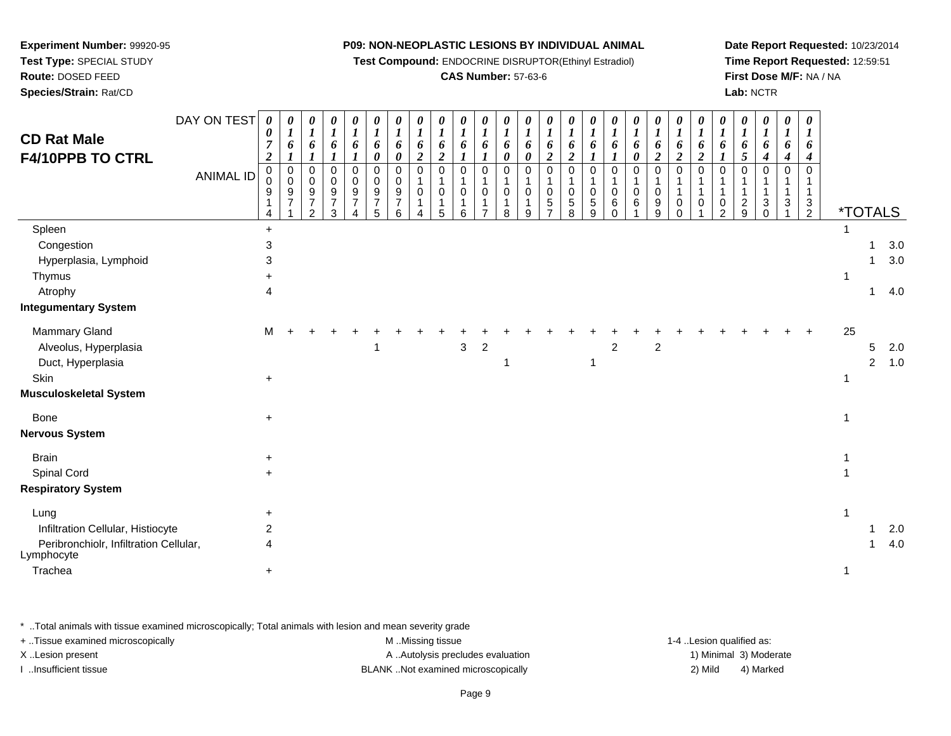### **Experiment Number:** 99920-95

**Test Type:** SPECIAL STUDY

**Route:** DOSED FEED

**Species/Strain:** Rat/CD

#### **P09: NON-NEOPLASTIC LESIONS BY INDIVIDUAL ANIMAL**

**Test Compound:** ENDOCRINE DISRUPTOR(Ethinyl Estradiol)

#### **CAS Number:** 57-63-6

**Date Report Requested:** 10/23/2014**Time Report Requested:** 12:59:51**First Dose M/F:** NA / NA**Lab:** NCTR

| <b>CD Rat Male</b><br>F4/10PPB TO CTRL                                                                       | DAY ON TEST<br><b>ANIMAL ID</b> | $\boldsymbol{\theta}$<br>0<br>$\overline{7}$<br>$\boldsymbol{2}$<br>$\mathbf 0$<br>0<br>9 | 0<br>$\boldsymbol{l}$<br>6<br>1<br>$\mathbf 0$<br>$\pmb{0}$<br>$\boldsymbol{9}$<br>$\overline{7}$ | 0<br>$\boldsymbol{l}$<br>6<br>$\Omega$<br>$\mathbf 0$<br>9<br>$\overline{7}$<br>$\overline{2}$ | 0<br>$\boldsymbol{l}$<br>6<br>$\boldsymbol{\mathcal{I}}$<br>$\Omega$<br>0<br>$\boldsymbol{9}$<br>$\overline{7}$<br>3 | 0<br>$\boldsymbol{l}$<br>6<br>$\boldsymbol{\mathit{1}}$<br>$\mathbf 0$<br>0<br>$\boldsymbol{9}$<br>$\overline{7}$ | 0<br>$\boldsymbol{l}$<br>6<br>0<br>0<br>0<br>$\mathsf g$<br>$\overline{7}$<br>5 | 0<br>$\boldsymbol{l}$<br>6<br>$\boldsymbol{\theta}$<br>$\Omega$<br>0<br>$\boldsymbol{9}$<br>7<br>6 | 0<br>$\boldsymbol{l}$<br>6<br>$\boldsymbol{2}$<br>$\mathbf 0$<br>$\mathbf 1$<br>0<br>1<br>Δ | 0<br>$\boldsymbol{l}$<br>6<br>$\boldsymbol{2}$<br>$\mathbf 0$<br>$\overline{1}$<br>0<br>-1<br>5 | $\boldsymbol{\theta}$<br>$\boldsymbol{l}$<br>6<br>$\boldsymbol{l}$<br>$\mathbf 0$<br>1<br>$\pmb{0}$<br>1<br>6 | 0<br>$\boldsymbol{l}$<br>6<br>$\Omega$<br>0<br>$\overline{7}$ | 0<br>$\boldsymbol{l}$<br>6<br>0<br>$\Omega$<br>$\mathbf 1$<br>0<br>-1<br>8 | $\boldsymbol{\theta}$<br>$\boldsymbol{l}$<br>6<br>$\boldsymbol{\theta}$<br>$\Omega$<br>$\mathbf 1$<br>$\mathbf 0$<br>1<br>9 | $\boldsymbol{\theta}$<br>$\boldsymbol{l}$<br>6<br>$\boldsymbol{2}$<br>$\Omega$<br>1<br>$\pmb{0}$<br>5<br>$\overline{7}$ | 0<br>$\boldsymbol{l}$<br>6<br>$\boldsymbol{2}$<br>$\Omega$<br>1<br>0<br>$\mathbf 5$<br>8 | 0<br>$\boldsymbol{l}$<br>6<br>$\boldsymbol{l}$<br>$\mathbf 0$<br>0<br>$\mathbf 5$<br>9 | 0<br>$\boldsymbol{l}$<br>6<br>1<br>$\Omega$<br>$\mathbf 0$<br>$\,6$<br>$\Omega$ | $\boldsymbol{\theta}$<br>$\boldsymbol{l}$<br>6<br>$\boldsymbol{\theta}$<br>$\Omega$<br>$\mathbf 1$<br>$\mathbf 0$<br>6<br>1 | 0<br>$\boldsymbol{l}$<br>6<br>$\overline{2}$<br>$\Omega$<br>0<br>9<br>9 | $\boldsymbol{\theta}$<br>$\boldsymbol{l}$<br>6<br>$\boldsymbol{2}$<br>$\Omega$<br>-1<br>$\mathbf 0$<br>$\mathbf 0$ | 0<br>$\boldsymbol{l}$<br>6<br>$\overline{2}$<br>$\mathbf 0$<br>1<br>0 | 0<br>$\boldsymbol{l}$<br>6<br>$\boldsymbol{l}$<br>0<br>1<br>1<br>$\frac{0}{2}$ | 0<br>$\boldsymbol{l}$<br>6<br>5<br>$\Omega$<br>1<br>$\mathbf 1$<br>$\frac{2}{9}$ | 0<br>$\boldsymbol{l}$<br>6<br>$\boldsymbol{4}$<br>$\Omega$<br>-1<br>$\ensuremath{\mathsf{3}}$<br>$\Omega$ | 0<br>$\boldsymbol{l}$<br>6<br>$\boldsymbol{4}$<br>$\Omega$<br>-1<br>$\mathbf{3}$ | $\boldsymbol{\theta}$<br>$\boldsymbol{l}$<br>6<br>4<br>$\Omega$<br>$\mathbf 1$<br>$\mathbf{1}$<br>$\frac{3}{2}$ |          |                     | <i><b>*TOTALS</b></i> |
|--------------------------------------------------------------------------------------------------------------|---------------------------------|-------------------------------------------------------------------------------------------|---------------------------------------------------------------------------------------------------|------------------------------------------------------------------------------------------------|----------------------------------------------------------------------------------------------------------------------|-------------------------------------------------------------------------------------------------------------------|---------------------------------------------------------------------------------|----------------------------------------------------------------------------------------------------|---------------------------------------------------------------------------------------------|-------------------------------------------------------------------------------------------------|---------------------------------------------------------------------------------------------------------------|---------------------------------------------------------------|----------------------------------------------------------------------------|-----------------------------------------------------------------------------------------------------------------------------|-------------------------------------------------------------------------------------------------------------------------|------------------------------------------------------------------------------------------|----------------------------------------------------------------------------------------|---------------------------------------------------------------------------------|-----------------------------------------------------------------------------------------------------------------------------|-------------------------------------------------------------------------|--------------------------------------------------------------------------------------------------------------------|-----------------------------------------------------------------------|--------------------------------------------------------------------------------|----------------------------------------------------------------------------------|-----------------------------------------------------------------------------------------------------------|----------------------------------------------------------------------------------|-----------------------------------------------------------------------------------------------------------------|----------|---------------------|-----------------------|
| Spleen<br>Congestion<br>Hyperplasia, Lymphoid<br>Thymus<br>Atrophy<br><b>Integumentary System</b>            |                                 | $+$<br>3<br>3<br>4                                                                        |                                                                                                   |                                                                                                |                                                                                                                      |                                                                                                                   |                                                                                 |                                                                                                    |                                                                                             |                                                                                                 |                                                                                                               |                                                               |                                                                            |                                                                                                                             |                                                                                                                         |                                                                                          |                                                                                        |                                                                                 |                                                                                                                             |                                                                         |                                                                                                                    |                                                                       |                                                                                |                                                                                  |                                                                                                           |                                                                                  |                                                                                                                 | -1       | 1<br>1              | 3.0<br>3.0<br>4.0     |
| Mammary Gland<br>Alveolus, Hyperplasia<br>Duct, Hyperplasia<br>Skin<br><b>Musculoskeletal System</b>         |                                 | м<br>$\ddot{}$                                                                            |                                                                                                   |                                                                                                |                                                                                                                      |                                                                                                                   | 1                                                                               |                                                                                                    |                                                                                             |                                                                                                 | 3                                                                                                             | 2                                                             |                                                                            |                                                                                                                             |                                                                                                                         |                                                                                          | -1                                                                                     | $\overline{2}$                                                                  |                                                                                                                             | $\overline{2}$                                                          |                                                                                                                    |                                                                       |                                                                                |                                                                                  |                                                                                                           |                                                                                  |                                                                                                                 | 25<br>-1 | 5<br>$\overline{a}$ | 2.0<br>1.0            |
| Bone<br><b>Nervous System</b>                                                                                |                                 | $\ddot{}$                                                                                 |                                                                                                   |                                                                                                |                                                                                                                      |                                                                                                                   |                                                                                 |                                                                                                    |                                                                                             |                                                                                                 |                                                                                                               |                                                               |                                                                            |                                                                                                                             |                                                                                                                         |                                                                                          |                                                                                        |                                                                                 |                                                                                                                             |                                                                         |                                                                                                                    |                                                                       |                                                                                |                                                                                  |                                                                                                           |                                                                                  |                                                                                                                 |          |                     |                       |
| <b>Brain</b><br>Spinal Cord<br><b>Respiratory System</b>                                                     |                                 | $\ddot{}$                                                                                 |                                                                                                   |                                                                                                |                                                                                                                      |                                                                                                                   |                                                                                 |                                                                                                    |                                                                                             |                                                                                                 |                                                                                                               |                                                               |                                                                            |                                                                                                                             |                                                                                                                         |                                                                                          |                                                                                        |                                                                                 |                                                                                                                             |                                                                         |                                                                                                                    |                                                                       |                                                                                |                                                                                  |                                                                                                           |                                                                                  |                                                                                                                 |          |                     |                       |
| Lung<br>Infiltration Cellular, Histiocyte<br>Peribronchiolr, Infiltration Cellular,<br>Lymphocyte<br>Trachea |                                 | $\ddot{}$<br>$\overline{\mathbf{c}}$<br>4<br>$\ddot{}$                                    |                                                                                                   |                                                                                                |                                                                                                                      |                                                                                                                   |                                                                                 |                                                                                                    |                                                                                             |                                                                                                 |                                                                                                               |                                                               |                                                                            |                                                                                                                             |                                                                                                                         |                                                                                          |                                                                                        |                                                                                 |                                                                                                                             |                                                                         |                                                                                                                    |                                                                       |                                                                                |                                                                                  |                                                                                                           |                                                                                  |                                                                                                                 | -1<br>1  | 1<br>1              | 2.0<br>4.0            |

\* ..Total animals with tissue examined microscopically; Total animals with lesion and mean severity grade

| + Tissue examined microscopically | M Missing tissue                   | 1-4 Lesion qualified as: |                        |
|-----------------------------------|------------------------------------|--------------------------|------------------------|
| X Lesion present                  | A Autolysis precludes evaluation   |                          | 1) Minimal 3) Moderate |
| …Insufficient tissue              | BLANK Not examined microscopically | 2) Mild                  | 4) Marked              |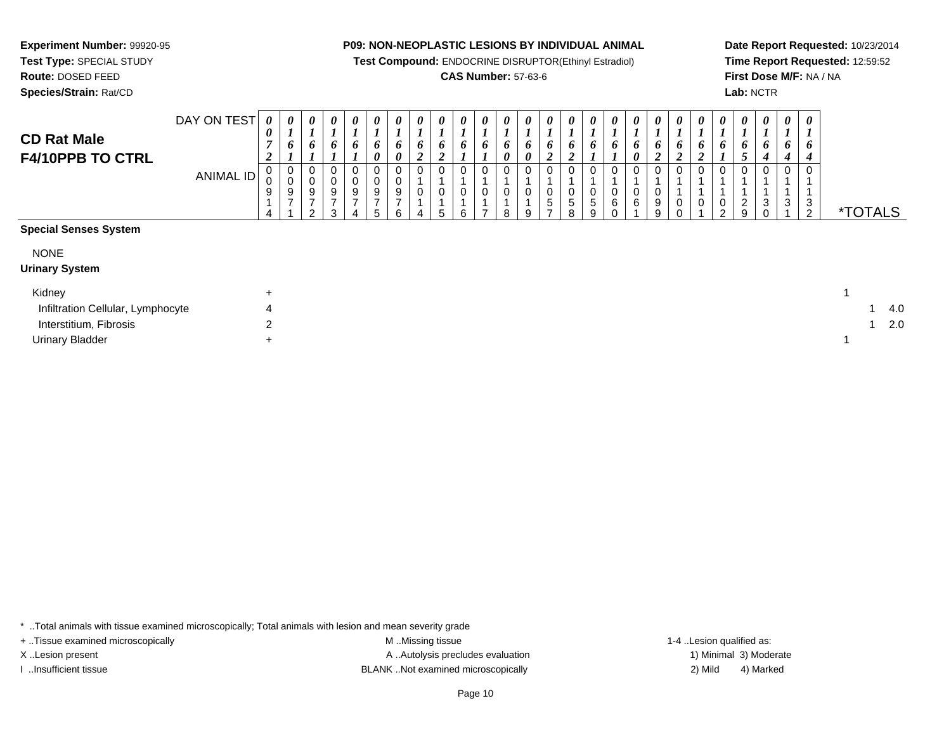**Test Compound:** ENDOCRINE DISRUPTOR(Ethinyl Estradiol)

#### **CAS Number:** 57-63-6

**Date Report Requested:** 10/23/2014**Time Report Requested:** 12:59:52**First Dose M/F:** NA / NA**Lab:** NCTR

*0*

*0*

*0*

*0*

*0*

#### **F4/10PPB TO CTRL**ANIMAL ID *7 2*0<br>0<br>9<br>1 4 *6 1*0<br>0<br>9<br>7 1 *6 1*0<br>0<br>9<br>7 2 *6 1* 0 0 9 7 3 *6 1* 0 0 9 7 4 *6 0* 0 0 9 7 5 *6 0* 0 0 9 7 6*0 1 6 2* 0 1 0 1 4 *6 2* 0 1 0 1 5 *6 1* 0 1 0 1 6 *6 1* 0 1 0 1 7 *6 0* 0 1 0 1 8 *6 0* 0 1 0 1 9 *6 2* 0 1 0 5 7*0 1 6 2* 0 1 0 5 8 *6 1* 0 1 0 5 9 *6 1* 0 1 0 6 0 *6 0* 0 1 0 6 1*0 1 6 2* 0 1 0 9 9*0 1 6 2* 0 1 1 0 0*0 1 6 2* 0 1 1 0 1 *1 6 1* 0 1 1 0 2 *1 6 5* 0 1 1 2 9 *1 6 4* 0 1 1 3 0 *1 6 4* 0 1 1 3 1 *1 6 4* 0 1 1ვ<br>ი <sup>2</sup> \*TOTALS**Special Senses System**

| <b>NONE</b><br><b>Urinary System</b> |   |     |
|--------------------------------------|---|-----|
| Kidney                               | ÷ |     |
| Infiltration Cellular, Lymphocyte    | 4 | 4.0 |
| Interstitium, Fibrosis               | ◠ | 2.0 |
| <b>Urinary Bladder</b>               |   |     |

\* ..Total animals with tissue examined microscopically; Total animals with lesion and mean severity grade

**Experiment Number:** 99920-95**Test Type:** SPECIAL STUDY**Route:** DOSED FEED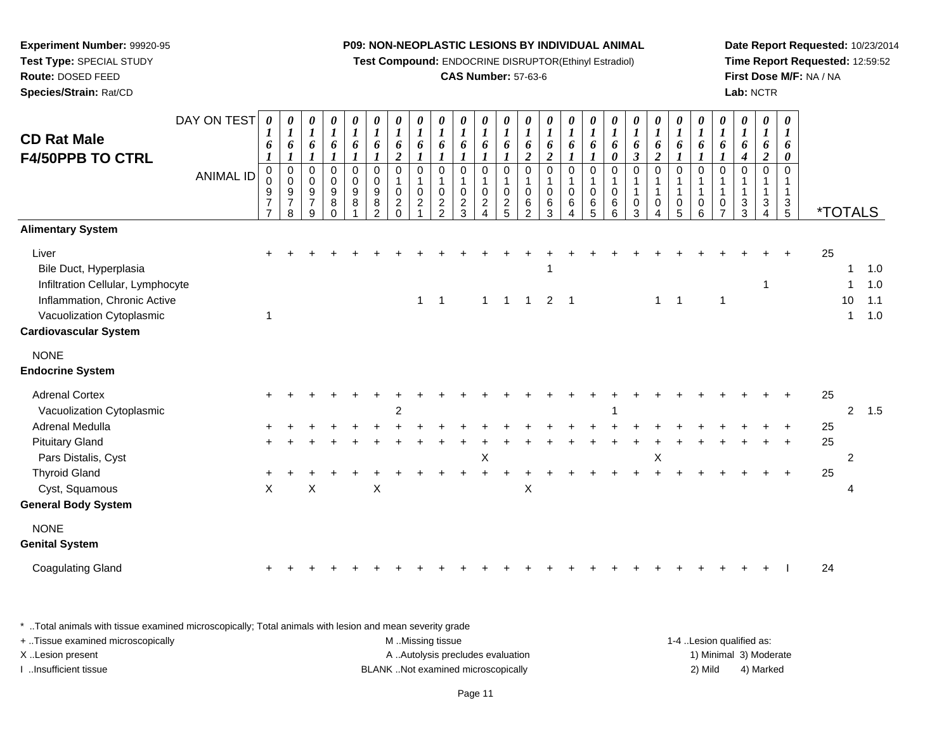**Test Compound:** ENDOCRINE DISRUPTOR(Ethinyl Estradiol)

#### **CAS Number:** 57-63-6

**Date Report Requested:** 10/23/2014**Time Report Requested:** 12:59:52**First Dose M/F:** NA / NA**Lab:** NCTR

| <b>CD Rat Male</b><br><b>F4/50PPB TO CTRL</b><br><b>Alimentary System</b>                                                                                         | DAY ON TEST<br><b>ANIMAL ID</b> | 0<br>$\boldsymbol{I}$<br>6<br>$\pmb{0}$<br>$\mathbf 0$<br>9<br>$\overline{7}$<br>$\overline{7}$ | $\boldsymbol{\theta}$<br>$\boldsymbol{l}$<br>6<br>$_{\rm 0}^{\rm 0}$<br>9<br>$\overline{7}$<br>8 | $\boldsymbol{\theta}$<br>$\boldsymbol{l}$<br>6<br>1<br>$\pmb{0}$<br>$\mathbf 0$<br>$\boldsymbol{9}$<br>$\overline{7}$<br>9 | $\pmb{\theta}$<br>$\boldsymbol{l}$<br>6<br>$\mathbf{I}$<br>$\mathbf 0$<br>$\pmb{0}$<br>$\overline{9}$<br>$\bf 8$<br>$\Omega$ | 0<br>$\boldsymbol{l}$<br>6<br>1<br>0<br>$\mathsf 0$<br>$\boldsymbol{9}$<br>8 | 0<br>$\boldsymbol{l}$<br>6<br>$\pmb{0}$<br>$\pmb{0}$<br>$\boldsymbol{9}$<br>8<br>$\overline{2}$ | $\boldsymbol{\theta}$<br>$\boldsymbol{l}$<br>6<br>$\boldsymbol{2}$<br>$\pmb{0}$<br>$\mathbf{1}$<br>$\pmb{0}$<br>$\boldsymbol{2}$<br>$\Omega$ | 0<br>$\boldsymbol{l}$<br>6<br>0<br>1<br>$\mathbf 0$<br>2 | $\boldsymbol{\theta}$<br>$\boldsymbol{l}$<br>6<br>$\mathbf 0$<br>0<br>$\overline{c}$<br>$\overline{2}$ | 0<br>$\boldsymbol{l}$<br>6<br>$\mathbf 0$<br>$\mathbf 0$<br>$\overline{c}$<br>3 | 0<br>6<br>$\mathbf 0$<br>0<br>$\overline{c}$ | 0<br>$\boldsymbol{l}$<br>6<br>0<br>0<br>$\overline{c}$<br>5 | $\pmb{\theta}$<br>$\boldsymbol{l}$<br>6<br>$\boldsymbol{2}$<br>0<br>$\pmb{0}$<br>$\,6\,$<br>$\overline{2}$ | 0<br>$\boldsymbol{l}$<br>6<br>$\boldsymbol{2}$<br>$\mathbf 0$<br>$\mathbf{1}$<br>$\mathbf 0$<br>6<br>3 | $\pmb{\theta}$<br>$\boldsymbol{l}$<br>6<br>$\mathbf 0$<br>1<br>$\pmb{0}$<br>$\,6$<br>4 | 0<br>$\boldsymbol{l}$<br>6<br>$\mathbf 0$<br>$\mathbf 0$<br>6<br>5 | $\pmb{\theta}$<br>$\boldsymbol{l}$<br>6<br>0<br>$\pmb{0}$<br>$\pmb{0}$<br>6<br>6 | $\pmb{\theta}$<br>$\boldsymbol{l}$<br>6<br>$\boldsymbol{\beta}$<br>$\pmb{0}$<br>$\mathbf{1}$<br>$\mathbf{1}$<br>$\pmb{0}$<br>3 | $\pmb{\theta}$<br>$\boldsymbol{l}$<br>6<br>$\boldsymbol{2}$<br>$\mathbf 0$<br>$\mathbf{1}$<br>$\mathbf{1}$<br>$\,0\,$ | 0<br>$\boldsymbol{\mathit{1}}$<br>6<br>0<br>$\mathbf{1}$<br>$\mathbf{1}$<br>$\mathbf 0$<br>5 | 0<br>$\boldsymbol{l}$<br>6<br>0<br>$\mathbf{1}$<br>1<br>0<br>6 | $\pmb{\theta}$<br>$\boldsymbol{l}$<br>6<br>$\mathbf 0$<br>1<br>$\overline{1}$<br>0<br>7 | 0<br>$\boldsymbol{l}$<br>6<br>$\boldsymbol{4}$<br>$\mathbf 0$<br>$\mathbf{1}$<br>3<br>3 | 0<br>$\boldsymbol{l}$<br>6<br>$\boldsymbol{2}$<br>$\Omega$<br>$\overline{\mathbf{1}}$<br>3 | $\pmb{\theta}$<br>$\boldsymbol{l}$<br>6<br>0<br>$\Omega$<br>1<br>$\frac{3}{5}$ |                | <i><b>*TOTALS</b></i>            |                          |
|-------------------------------------------------------------------------------------------------------------------------------------------------------------------|---------------------------------|-------------------------------------------------------------------------------------------------|--------------------------------------------------------------------------------------------------|----------------------------------------------------------------------------------------------------------------------------|------------------------------------------------------------------------------------------------------------------------------|------------------------------------------------------------------------------|-------------------------------------------------------------------------------------------------|----------------------------------------------------------------------------------------------------------------------------------------------|----------------------------------------------------------|--------------------------------------------------------------------------------------------------------|---------------------------------------------------------------------------------|----------------------------------------------|-------------------------------------------------------------|------------------------------------------------------------------------------------------------------------|--------------------------------------------------------------------------------------------------------|----------------------------------------------------------------------------------------|--------------------------------------------------------------------|----------------------------------------------------------------------------------|--------------------------------------------------------------------------------------------------------------------------------|-----------------------------------------------------------------------------------------------------------------------|----------------------------------------------------------------------------------------------|----------------------------------------------------------------|-----------------------------------------------------------------------------------------|-----------------------------------------------------------------------------------------|--------------------------------------------------------------------------------------------|--------------------------------------------------------------------------------|----------------|----------------------------------|--------------------------|
| Liver<br>Bile Duct, Hyperplasia<br>Infiltration Cellular, Lymphocyte<br>Inflammation, Chronic Active<br>Vacuolization Cytoplasmic<br><b>Cardiovascular System</b> |                                 | $\overline{1}$                                                                                  |                                                                                                  |                                                                                                                            |                                                                                                                              |                                                                              |                                                                                                 |                                                                                                                                              | $\mathbf{1}$                                             | $\overline{1}$                                                                                         |                                                                                 | $\mathbf{1}$                                 |                                                             |                                                                                                            | $1 \quad 1 \quad 2 \quad 1$                                                                            |                                                                                        |                                                                    |                                                                                  |                                                                                                                                | $\mathbf{1}$                                                                                                          | $\overline{1}$                                                                               |                                                                | $\mathbf{1}$                                                                            |                                                                                         | -1                                                                                         |                                                                                | 25             | 1<br>10<br>1                     | 1.0<br>1.0<br>1.1<br>1.0 |
| <b>NONE</b><br><b>Endocrine System</b>                                                                                                                            |                                 |                                                                                                 |                                                                                                  |                                                                                                                            |                                                                                                                              |                                                                              |                                                                                                 |                                                                                                                                              |                                                          |                                                                                                        |                                                                                 |                                              |                                                             |                                                                                                            |                                                                                                        |                                                                                        |                                                                    |                                                                                  |                                                                                                                                |                                                                                                                       |                                                                                              |                                                                |                                                                                         |                                                                                         |                                                                                            |                                                                                |                |                                  |                          |
| <b>Adrenal Cortex</b><br>Vacuolization Cytoplasmic<br>Adrenal Medulla<br><b>Pituitary Gland</b><br>Pars Distalis, Cyst                                            |                                 |                                                                                                 |                                                                                                  |                                                                                                                            |                                                                                                                              |                                                                              |                                                                                                 | $\overline{c}$                                                                                                                               |                                                          |                                                                                                        |                                                                                 | Χ                                            |                                                             |                                                                                                            |                                                                                                        |                                                                                        |                                                                    |                                                                                  |                                                                                                                                | X                                                                                                                     |                                                                                              |                                                                |                                                                                         |                                                                                         |                                                                                            |                                                                                | 25<br>25<br>25 | $\overline{2}$<br>$\overline{2}$ | 1.5                      |
| <b>Thyroid Gland</b><br>Cyst, Squamous<br><b>General Body System</b>                                                                                              |                                 | $\boldsymbol{\mathsf{X}}$                                                                       |                                                                                                  | X                                                                                                                          |                                                                                                                              |                                                                              | $\boldsymbol{\mathsf{X}}$                                                                       |                                                                                                                                              |                                                          |                                                                                                        |                                                                                 |                                              |                                                             | Χ                                                                                                          |                                                                                                        |                                                                                        |                                                                    |                                                                                  |                                                                                                                                |                                                                                                                       |                                                                                              |                                                                |                                                                                         |                                                                                         |                                                                                            |                                                                                | 25             | 4                                |                          |
| <b>NONE</b><br><b>Genital System</b>                                                                                                                              |                                 |                                                                                                 |                                                                                                  |                                                                                                                            |                                                                                                                              |                                                                              |                                                                                                 |                                                                                                                                              |                                                          |                                                                                                        |                                                                                 |                                              |                                                             |                                                                                                            |                                                                                                        |                                                                                        |                                                                    |                                                                                  |                                                                                                                                |                                                                                                                       |                                                                                              |                                                                |                                                                                         |                                                                                         |                                                                                            |                                                                                |                |                                  |                          |
| <b>Coagulating Gland</b>                                                                                                                                          |                                 |                                                                                                 |                                                                                                  |                                                                                                                            |                                                                                                                              |                                                                              |                                                                                                 |                                                                                                                                              |                                                          |                                                                                                        |                                                                                 |                                              |                                                             |                                                                                                            |                                                                                                        |                                                                                        |                                                                    |                                                                                  |                                                                                                                                |                                                                                                                       |                                                                                              |                                                                |                                                                                         |                                                                                         |                                                                                            |                                                                                | 24             |                                  |                          |

\* ..Total animals with tissue examined microscopically; Total animals with lesion and mean severity grade

| + Tissue examined microscopically | M Missing tissue                   | 1-4 Lesion qualified as: |                        |
|-----------------------------------|------------------------------------|--------------------------|------------------------|
| X Lesion present                  | A Autolysis precludes evaluation   |                          | 1) Minimal 3) Moderate |
| Insufficient tissue               | BLANK Not examined microscopically | 2) Mild                  | 4) Marked              |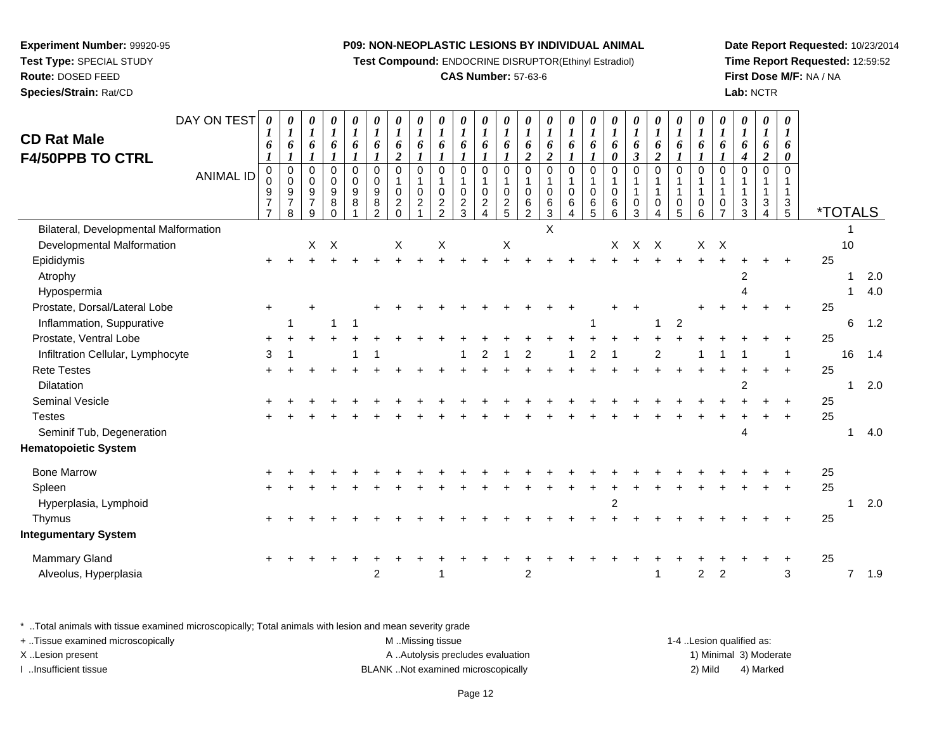**Test Compound:** ENDOCRINE DISRUPTOR(Ethinyl Estradiol)

#### **CAS Number:** 57-63-6

**Date Report Requested:** 10/23/2014**Time Report Requested:** 12:59:52**First Dose M/F:** NA / NA**Lab:** NCTR

| <b>CD Rat Male</b><br><b>F4/50PPB TO CTRL</b> | DAY ON TEST      | $\boldsymbol{\theta}$<br>6                                                    | 0<br>$\boldsymbol{l}$<br>6                         | $\pmb{\theta}$<br>$\boldsymbol{l}$<br>6 | $\pmb{\theta}$<br>$\boldsymbol{l}$<br>6<br>$\pmb{0}$ | 0<br>$\boldsymbol{l}$<br>6                | $\boldsymbol{\theta}$<br>$\boldsymbol{l}$<br>6<br>$\Omega$ | 0<br>$\boldsymbol{l}$<br>6<br>$\boldsymbol{2}$<br>$\mathbf 0$ | 0<br>$\boldsymbol{l}$<br>6<br>$\mathbf 0$ | 0<br>$\boldsymbol{l}$<br>6<br>$\mathbf 0$ | 0<br>$\boldsymbol{l}$<br>6<br>$\Omega$ | 0<br>$\boldsymbol{l}$<br>6<br>$\boldsymbol{l}$<br>$\Omega$    | 0<br>$\boldsymbol{I}$<br>6<br>$\Omega$ | 0<br>$\boldsymbol{l}$<br>6<br>$\overline{2}$<br>$\Omega$ | 0<br>$\boldsymbol{l}$<br>6<br>$\boldsymbol{2}$<br>$\Omega$ | 0<br>$\boldsymbol{l}$<br>6<br>$\mathbf 0$ | 0<br>$\boldsymbol{l}$<br>6<br>$\overline{0}$ | 0<br>$\boldsymbol{l}$<br>6<br>0<br>$\Omega$ | 0<br>$\boldsymbol{I}$<br>6<br>$\boldsymbol{\beta}$<br>$\Omega$ | 0<br>$\boldsymbol{l}$<br>6<br>$\boldsymbol{2}$<br>$\mathbf 0$ | 0<br>$\boldsymbol{l}$<br>6<br>$\Omega$ | 0<br>$\boldsymbol{l}$<br>6<br>$\overline{0}$ | 0<br>$\boldsymbol{l}$<br>6<br>$\overline{0}$ | 0<br>$\boldsymbol{l}$<br>6<br>4<br>$\mathbf 0$ | 0<br>$\boldsymbol{l}$<br>6<br>$\overline{c}$<br>$\Omega$ | 0<br>6<br>0<br>$\Omega$       |                       |                |     |
|-----------------------------------------------|------------------|-------------------------------------------------------------------------------|----------------------------------------------------|-----------------------------------------|------------------------------------------------------|-------------------------------------------|------------------------------------------------------------|---------------------------------------------------------------|-------------------------------------------|-------------------------------------------|----------------------------------------|---------------------------------------------------------------|----------------------------------------|----------------------------------------------------------|------------------------------------------------------------|-------------------------------------------|----------------------------------------------|---------------------------------------------|----------------------------------------------------------------|---------------------------------------------------------------|----------------------------------------|----------------------------------------------|----------------------------------------------|------------------------------------------------|----------------------------------------------------------|-------------------------------|-----------------------|----------------|-----|
|                                               | <b>ANIMAL ID</b> | $\pmb{0}$<br>$\Omega$<br>$\boldsymbol{9}$<br>$\overline{7}$<br>$\overline{7}$ | $\pmb{0}$<br>$\pmb{0}$<br>9<br>$\overline{7}$<br>8 | 0<br>0<br>$9\,$<br>$\overline{7}$<br>9  | $\mathbf 0$<br>$\boldsymbol{9}$<br>8<br>$\Omega$     | $\mathbf 0$<br>0<br>$\boldsymbol{9}$<br>8 | $\mathbf 0$<br>$9\,$<br>8<br>2                             | $\mathsf 0$<br>$\overline{c}$<br>$\Omega$                     | $\mathbf 0$<br>$\boldsymbol{2}$           | $\mathsf 0$<br>$\frac{2}{2}$              | $\pmb{0}$<br>$\frac{2}{3}$             | 1<br>$\mathbf 0$<br>$\overline{\mathbf{c}}$<br>$\overline{4}$ | $\pmb{0}$<br>$\frac{2}{5}$             | $\mathbf 0$<br>6<br>2                                    | $\mathsf 0$<br>6<br>$\overline{3}$                         | $\mathbf{1}$<br>$\pmb{0}$<br>6            | $\pmb{0}$<br>$^6_5$                          | $\pmb{0}$<br>$\,6\,$<br>6                   | $\mathbf{1}$<br>$\mathbf 0$<br>$\overline{3}$                  | 1<br>$\mathbf{1}$<br>$\mathbf 0$<br>4                         | $\mathbf{1}$<br>$\mathbf 0$<br>5       | 0<br>6                                       | $\mathbf{1}$<br>$\Omega$<br>$\overline{7}$   | $\frac{3}{3}$                                  | $\mathbf{1}$<br>3<br>4                                   | $\mathbf{1}$<br>$\frac{3}{5}$ | <i><b>*TOTALS</b></i> |                |     |
| Bilateral, Developmental Malformation         |                  |                                                                               |                                                    |                                         |                                                      |                                           |                                                            |                                                               |                                           |                                           |                                        |                                                               |                                        |                                                          | X                                                          |                                           |                                              |                                             |                                                                |                                                               |                                        |                                              |                                              |                                                |                                                          |                               |                       |                |     |
| Developmental Malformation                    |                  |                                                                               |                                                    | X                                       | $\mathsf{X}$                                         |                                           |                                                            | X                                                             |                                           | X                                         |                                        |                                                               | X                                      |                                                          |                                                            |                                           |                                              | X.                                          | X X                                                            |                                                               |                                        | X                                            | $\boldsymbol{\mathsf{X}}$                    |                                                |                                                          |                               |                       | 10             |     |
| Epididymis                                    |                  |                                                                               |                                                    |                                         |                                                      |                                           |                                                            |                                                               |                                           |                                           |                                        |                                                               |                                        |                                                          |                                                            |                                           |                                              |                                             |                                                                |                                                               |                                        |                                              |                                              |                                                |                                                          | $\pm$                         | 25                    |                |     |
| Atrophy                                       |                  |                                                                               |                                                    |                                         |                                                      |                                           |                                                            |                                                               |                                           |                                           |                                        |                                                               |                                        |                                                          |                                                            |                                           |                                              |                                             |                                                                |                                                               |                                        |                                              |                                              | 2                                              |                                                          |                               |                       |                | 2.0 |
| Hypospermia                                   |                  |                                                                               |                                                    |                                         |                                                      |                                           |                                                            |                                                               |                                           |                                           |                                        |                                                               |                                        |                                                          |                                                            |                                           |                                              |                                             |                                                                |                                                               |                                        |                                              |                                              |                                                |                                                          |                               |                       |                | 4.0 |
| Prostate, Dorsal/Lateral Lobe                 |                  | $\ddot{}$                                                                     |                                                    |                                         |                                                      |                                           |                                                            |                                                               |                                           |                                           |                                        |                                                               |                                        |                                                          |                                                            |                                           |                                              |                                             |                                                                |                                                               |                                        |                                              |                                              |                                                |                                                          |                               | 25                    |                |     |
| Inflammation, Suppurative                     |                  |                                                                               |                                                    |                                         | 1                                                    | $\mathbf 1$                               |                                                            |                                                               |                                           |                                           |                                        |                                                               |                                        |                                                          |                                                            |                                           |                                              |                                             |                                                                | 1                                                             | $\overline{c}$                         |                                              |                                              |                                                |                                                          |                               |                       | 6              | 1.2 |
| Prostate, Ventral Lobe                        |                  |                                                                               |                                                    |                                         |                                                      |                                           |                                                            |                                                               |                                           |                                           |                                        |                                                               |                                        |                                                          |                                                            |                                           |                                              |                                             |                                                                |                                                               |                                        |                                              |                                              |                                                |                                                          |                               | 25                    |                |     |
| Infiltration Cellular, Lymphocyte             |                  | 3                                                                             |                                                    |                                         |                                                      |                                           |                                                            |                                                               |                                           |                                           |                                        | 2                                                             |                                        | 2                                                        |                                                            |                                           | 2                                            |                                             |                                                                | 2                                                             |                                        |                                              |                                              |                                                |                                                          |                               |                       | 16             | 1.4 |
| <b>Rete Testes</b>                            |                  |                                                                               |                                                    |                                         |                                                      |                                           |                                                            |                                                               |                                           |                                           |                                        |                                                               |                                        |                                                          |                                                            |                                           |                                              |                                             |                                                                |                                                               |                                        |                                              |                                              |                                                | $\ddot{}$                                                | $\ddot{}$                     | 25                    |                |     |
| Dilatation                                    |                  |                                                                               |                                                    |                                         |                                                      |                                           |                                                            |                                                               |                                           |                                           |                                        |                                                               |                                        |                                                          |                                                            |                                           |                                              |                                             |                                                                |                                                               |                                        |                                              |                                              | $\overline{c}$                                 |                                                          |                               |                       |                | 2.0 |
| <b>Seminal Vesicle</b>                        |                  |                                                                               |                                                    |                                         |                                                      |                                           |                                                            |                                                               |                                           |                                           |                                        |                                                               |                                        |                                                          |                                                            |                                           |                                              |                                             |                                                                |                                                               |                                        |                                              |                                              |                                                |                                                          |                               | 25                    |                |     |
| <b>Testes</b>                                 |                  |                                                                               |                                                    |                                         |                                                      |                                           |                                                            |                                                               |                                           |                                           |                                        |                                                               |                                        |                                                          |                                                            |                                           |                                              |                                             |                                                                |                                                               |                                        |                                              |                                              |                                                |                                                          | $+$                           | 25                    |                |     |
| Seminif Tub, Degeneration                     |                  |                                                                               |                                                    |                                         |                                                      |                                           |                                                            |                                                               |                                           |                                           |                                        |                                                               |                                        |                                                          |                                                            |                                           |                                              |                                             |                                                                |                                                               |                                        |                                              |                                              | 4                                              |                                                          |                               |                       |                | 4.0 |
| <b>Hematopoietic System</b>                   |                  |                                                                               |                                                    |                                         |                                                      |                                           |                                                            |                                                               |                                           |                                           |                                        |                                                               |                                        |                                                          |                                                            |                                           |                                              |                                             |                                                                |                                                               |                                        |                                              |                                              |                                                |                                                          |                               |                       |                |     |
| <b>Bone Marrow</b>                            |                  |                                                                               |                                                    |                                         |                                                      |                                           |                                                            |                                                               |                                           |                                           |                                        |                                                               |                                        |                                                          |                                                            |                                           |                                              |                                             |                                                                |                                                               |                                        |                                              |                                              |                                                |                                                          |                               | 25                    |                |     |
| Spleen                                        |                  |                                                                               |                                                    |                                         |                                                      |                                           |                                                            |                                                               |                                           |                                           |                                        |                                                               |                                        |                                                          |                                                            |                                           |                                              |                                             |                                                                |                                                               |                                        |                                              |                                              |                                                |                                                          |                               | 25                    |                |     |
| Hyperplasia, Lymphoid                         |                  |                                                                               |                                                    |                                         |                                                      |                                           |                                                            |                                                               |                                           |                                           |                                        |                                                               |                                        |                                                          |                                                            |                                           |                                              | $\overline{c}$                              |                                                                |                                                               |                                        |                                              |                                              |                                                |                                                          |                               |                       |                | 2.0 |
| Thymus                                        |                  |                                                                               |                                                    |                                         |                                                      |                                           |                                                            |                                                               |                                           |                                           |                                        |                                                               |                                        |                                                          |                                                            |                                           |                                              |                                             |                                                                |                                                               |                                        |                                              |                                              |                                                |                                                          |                               | 25                    |                |     |
| <b>Integumentary System</b>                   |                  |                                                                               |                                                    |                                         |                                                      |                                           |                                                            |                                                               |                                           |                                           |                                        |                                                               |                                        |                                                          |                                                            |                                           |                                              |                                             |                                                                |                                                               |                                        |                                              |                                              |                                                |                                                          |                               |                       |                |     |
| <b>Mammary Gland</b>                          |                  |                                                                               |                                                    |                                         |                                                      |                                           |                                                            |                                                               |                                           |                                           |                                        |                                                               |                                        |                                                          |                                                            |                                           |                                              |                                             |                                                                |                                                               |                                        |                                              |                                              |                                                |                                                          |                               | 25                    |                |     |
| Alveolus, Hyperplasia                         |                  |                                                                               |                                                    |                                         |                                                      |                                           | 2                                                          |                                                               |                                           |                                           |                                        |                                                               |                                        | $\overline{c}$                                           |                                                            |                                           |                                              |                                             |                                                                | -1                                                            |                                        | 2                                            | 2                                            |                                                |                                                          | $\mathbf{3}$                  |                       | $\overline{7}$ | 1.9 |
|                                               |                  |                                                                               |                                                    |                                         |                                                      |                                           |                                                            |                                                               |                                           |                                           |                                        |                                                               |                                        |                                                          |                                                            |                                           |                                              |                                             |                                                                |                                                               |                                        |                                              |                                              |                                                |                                                          |                               |                       |                |     |

\* ..Total animals with tissue examined microscopically; Total animals with lesion and mean severity grade

| + . Tissue examined microscopically | M Missing tissue                   | 1-4 Lesion qualified as: |                        |
|-------------------------------------|------------------------------------|--------------------------|------------------------|
| X Lesion present                    | A Autolysis precludes evaluation   |                          | 1) Minimal 3) Moderate |
| lnsufficient tissue                 | BLANK Not examined microscopically | 2) Mild                  | 4) Marked              |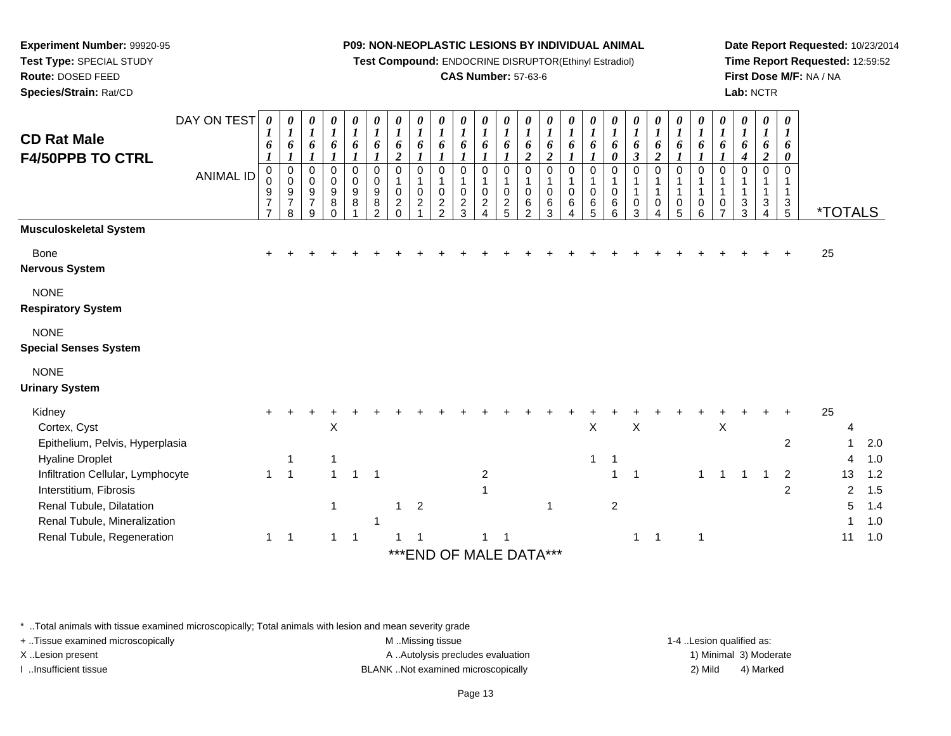**Test Compound:** ENDOCRINE DISRUPTOR(Ethinyl Estradiol)

#### **CAS Number:** 57-63-6

**Date Report Requested:** 10/23/2014**Time Report Requested:** 12:59:52**First Dose M/F:** NA / NA**Lab:** NCTR

| <b>CD Rat Male</b><br><b>F4/50PPB TO CTRL</b>                                         | DAY ON TEST<br><b>ANIMAL ID</b> | 0<br>1<br>6<br>0<br>0<br>9<br>7<br>$\overline{7}$ | 0<br>$\boldsymbol{l}$<br>6<br>$\boldsymbol{l}$<br>0<br>0<br>9<br>$\overline{7}$<br>8 | 0<br>$\boldsymbol{l}$<br>6<br>1<br>$\mathbf 0$<br>$\mathbf 0$<br>$\boldsymbol{9}$<br>$\overline{7}$<br>9 | 0<br>$\boldsymbol{l}$<br>6<br>0<br>0<br>$\boldsymbol{9}$<br>8<br>$\Omega$ | 0<br>$\boldsymbol{l}$<br>6<br>$\mathbf 0$<br>$\mathbf 0$<br>$\boldsymbol{9}$<br>$\bf 8$ | 0<br>$\boldsymbol{l}$<br>6<br>$\pmb{0}$<br>0<br>$\boldsymbol{9}$<br>8<br>2 | 0<br>$\boldsymbol{l}$<br>6<br>$\overline{c}$<br>$\pmb{0}$<br>$\mathbf{1}$<br>$\mathbf 0$<br>$\boldsymbol{2}$<br>$\Omega$ | 0<br>$\boldsymbol{l}$<br>6<br>$\mathbf 0$<br>1<br>$\mathbf 0$<br>$\overline{c}$ | 0<br>$\boldsymbol{l}$<br>6<br>$\mathbf 0$<br>$\mathbf{1}$<br>0<br>$\frac{2}{2}$ | $\boldsymbol{\theta}$<br>$\boldsymbol{l}$<br>6<br>$\boldsymbol{l}$<br>$\mathbf 0$<br>$\mathbf{1}$<br>$\mathbf 0$<br>$\overline{\mathbf{c}}$<br>3 | 0<br>$\boldsymbol{l}$<br>6<br>$\mathbf 0$<br>$\mathbf 0$<br>$\boldsymbol{2}$<br>$\Lambda$ | 0<br>$\boldsymbol{l}$<br>6<br>$\mathbf 0$<br>0<br>$\frac{2}{5}$ | 0<br>$\boldsymbol{l}$<br>6<br>2<br>$\mathbf 0$<br>0<br>6<br>2 | 0<br>$\boldsymbol{l}$<br>6<br>$\boldsymbol{2}$<br>$\pmb{0}$<br>$\mathbf{1}$<br>$\mathbf 0$<br>6<br>3 | 0<br>$\boldsymbol{l}$<br>6<br>$\mathbf 0$<br>$\mathbf{1}$<br>0<br>$\,6\,$<br>4 | 0<br>$\boldsymbol{l}$<br>6<br>$\mathbf 0$<br>$\mathbf{1}$<br>0<br>$\,6$<br>5 | $\boldsymbol{l}$<br>6<br>0<br>0<br>$\mathbf{1}$<br>0<br>6<br>6 | 0<br>1<br>6<br>$\boldsymbol{\beta}$<br>$\mathbf 0$<br>1<br>0<br>3 | 0<br>$\boldsymbol{l}$<br>6<br>$\boldsymbol{2}$<br>0<br>0 | 0<br>$\boldsymbol{l}$<br>6<br>$\mathbf 0$<br>1<br>0<br>5 | 0<br>$\boldsymbol{l}$<br>6<br>$\mathbf 0$<br>1<br>$\mathbf{1}$<br>0<br>6 | 0<br>$\boldsymbol{l}$<br>6<br>0<br>0<br>7 | 0<br>$\boldsymbol{I}$<br>6<br>$\boldsymbol{4}$<br>0<br>1<br>3<br>3 | 0<br>$\boldsymbol{l}$<br>6<br>$\boldsymbol{2}$<br>$\mathbf 0$<br>3<br>$\overline{4}$ | $\boldsymbol{\theta}$<br>$\boldsymbol{l}$<br>6<br>0<br>$\Omega$<br>$\mathbf{1}$<br>$\sqrt{3}$<br>$\sqrt{5}$ | <i><b>*TOTALS</b></i> |                   |
|---------------------------------------------------------------------------------------|---------------------------------|---------------------------------------------------|--------------------------------------------------------------------------------------|----------------------------------------------------------------------------------------------------------|---------------------------------------------------------------------------|-----------------------------------------------------------------------------------------|----------------------------------------------------------------------------|--------------------------------------------------------------------------------------------------------------------------|---------------------------------------------------------------------------------|---------------------------------------------------------------------------------|--------------------------------------------------------------------------------------------------------------------------------------------------|-------------------------------------------------------------------------------------------|-----------------------------------------------------------------|---------------------------------------------------------------|------------------------------------------------------------------------------------------------------|--------------------------------------------------------------------------------|------------------------------------------------------------------------------|----------------------------------------------------------------|-------------------------------------------------------------------|----------------------------------------------------------|----------------------------------------------------------|--------------------------------------------------------------------------|-------------------------------------------|--------------------------------------------------------------------|--------------------------------------------------------------------------------------|-------------------------------------------------------------------------------------------------------------|-----------------------|-------------------|
| <b>Musculoskeletal System</b>                                                         |                                 |                                                   |                                                                                      |                                                                                                          |                                                                           |                                                                                         |                                                                            |                                                                                                                          |                                                                                 |                                                                                 |                                                                                                                                                  |                                                                                           |                                                                 |                                                               |                                                                                                      |                                                                                |                                                                              |                                                                |                                                                   |                                                          |                                                          |                                                                          |                                           |                                                                    |                                                                                      |                                                                                                             |                       |                   |
| Bone<br><b>Nervous System</b>                                                         |                                 |                                                   |                                                                                      |                                                                                                          |                                                                           |                                                                                         |                                                                            |                                                                                                                          |                                                                                 |                                                                                 |                                                                                                                                                  |                                                                                           |                                                                 |                                                               |                                                                                                      |                                                                                |                                                                              |                                                                |                                                                   |                                                          |                                                          |                                                                          |                                           |                                                                    |                                                                                      |                                                                                                             | 25                    |                   |
| <b>NONE</b><br><b>Respiratory System</b>                                              |                                 |                                                   |                                                                                      |                                                                                                          |                                                                           |                                                                                         |                                                                            |                                                                                                                          |                                                                                 |                                                                                 |                                                                                                                                                  |                                                                                           |                                                                 |                                                               |                                                                                                      |                                                                                |                                                                              |                                                                |                                                                   |                                                          |                                                          |                                                                          |                                           |                                                                    |                                                                                      |                                                                                                             |                       |                   |
| <b>NONE</b><br><b>Special Senses System</b>                                           |                                 |                                                   |                                                                                      |                                                                                                          |                                                                           |                                                                                         |                                                                            |                                                                                                                          |                                                                                 |                                                                                 |                                                                                                                                                  |                                                                                           |                                                                 |                                                               |                                                                                                      |                                                                                |                                                                              |                                                                |                                                                   |                                                          |                                                          |                                                                          |                                           |                                                                    |                                                                                      |                                                                                                             |                       |                   |
| <b>NONE</b><br><b>Urinary System</b>                                                  |                                 |                                                   |                                                                                      |                                                                                                          |                                                                           |                                                                                         |                                                                            |                                                                                                                          |                                                                                 |                                                                                 |                                                                                                                                                  |                                                                                           |                                                                 |                                                               |                                                                                                      |                                                                                |                                                                              |                                                                |                                                                   |                                                          |                                                          |                                                                          |                                           |                                                                    |                                                                                      |                                                                                                             |                       |                   |
| Kidney<br>Cortex, Cyst<br>Epithelium, Pelvis, Hyperplasia                             |                                 |                                                   |                                                                                      |                                                                                                          | X                                                                         |                                                                                         |                                                                            |                                                                                                                          |                                                                                 |                                                                                 |                                                                                                                                                  |                                                                                           |                                                                 |                                                               |                                                                                                      |                                                                                | $\pmb{\times}$                                                               |                                                                | $\times$                                                          |                                                          |                                                          |                                                                          | $\boldsymbol{\mathsf{X}}$                 |                                                                    |                                                                                      | $\overline{a}$                                                                                              | 25<br>4               | 2.0               |
| <b>Hyaline Droplet</b><br>Infiltration Cellular, Lymphocyte<br>Interstitium, Fibrosis |                                 | 1                                                 | 1<br>$\overline{1}$                                                                  |                                                                                                          | 1<br>$\mathbf{1}$                                                         | $\overline{1}$                                                                          | $\overline{1}$                                                             |                                                                                                                          |                                                                                 |                                                                                 |                                                                                                                                                  | $\overline{2}$                                                                            |                                                                 |                                                               |                                                                                                      |                                                                                | $\mathbf{1}$                                                                 | 1<br>1                                                         | $\overline{1}$                                                    |                                                          |                                                          | 1                                                                        | -1                                        |                                                                    |                                                                                      | $\overline{2}$<br>$\overline{c}$                                                                            | Δ<br>13<br>2          | 1.0<br>1.2<br>1.5 |
| Renal Tubule, Dilatation<br>Renal Tubule, Mineralization                              |                                 |                                                   |                                                                                      |                                                                                                          | $\mathbf{1}$                                                              |                                                                                         |                                                                            | 1                                                                                                                        | $\overline{2}$                                                                  |                                                                                 |                                                                                                                                                  |                                                                                           |                                                                 |                                                               | 1                                                                                                    |                                                                                |                                                                              | $\overline{c}$                                                 |                                                                   |                                                          |                                                          |                                                                          |                                           |                                                                    |                                                                                      |                                                                                                             | 5                     | 1.4<br>1.0        |
| Renal Tubule, Regeneration                                                            |                                 | $\mathbf{1}$                                      | $\overline{1}$                                                                       |                                                                                                          | $\mathbf{1}$                                                              | $\overline{1}$                                                                          |                                                                            |                                                                                                                          | *** END OF MALE DATA***                                                         |                                                                                 |                                                                                                                                                  |                                                                                           |                                                                 |                                                               |                                                                                                      |                                                                                |                                                                              |                                                                | $\mathbf{1}$                                                      | $\overline{1}$                                           |                                                          |                                                                          |                                           |                                                                    |                                                                                      |                                                                                                             | 11                    | 1.0               |

\* ..Total animals with tissue examined microscopically; Total animals with lesion and mean severity grade

**Experiment Number:** 99920-95**Test Type:** SPECIAL STUDY**Route:** DOSED FEED**Species/Strain:** Rat/CD

+ ..Tissue examined microscopically examined microscopically examined as:  $M$  ..Missing tissue 1-4 ..Lesion qualified as: X..Lesion present **A ..Autolysis precludes evaluation** A ..Autolysis precludes evaluation 1) Minimal 3) Moderate

I ..Insufficient tissue BLANK ..Not examined microscopically 2) Mild 4) Marked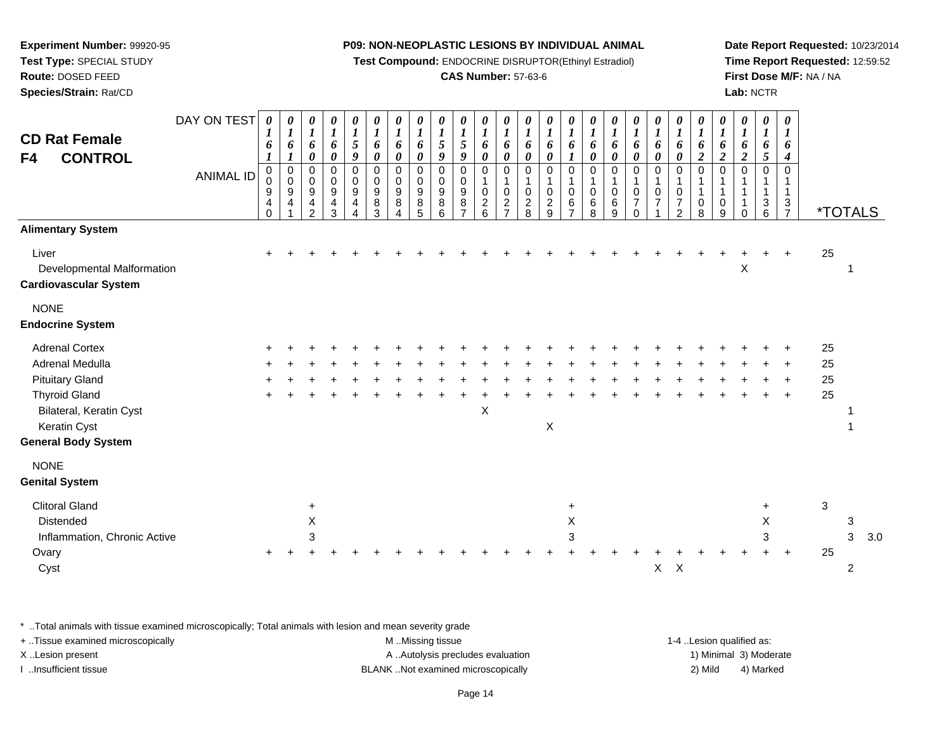**Test Compound:** ENDOCRINE DISRUPTOR(Ethinyl Estradiol)

#### **CAS Number:** 57-63-6

**Date Report Requested:** 10/23/2014**Time Report Requested:** 12:59:52**First Dose M/F:** NA / NA**Lab:** NCTR

| <b>CD Rat Female</b><br><b>CONTROL</b><br>F4                                                                                                                                       | DAY ON TEST<br><b>ANIMAL ID</b> | $\boldsymbol{\theta}$<br>$\bm{l}$<br>6<br>1<br>0<br>0<br>$\boldsymbol{9}$<br>4<br>$\Omega$ | 0<br>1<br>6<br>$\bm{l}$<br>$\pmb{0}$<br>$\mathbf 0$<br>$\boldsymbol{9}$<br>4 | 0<br>$\boldsymbol{l}$<br>6<br>$\boldsymbol{\theta}$<br>0<br>0<br>$\boldsymbol{9}$<br>4<br>$\overline{2}$ | 0<br>$\boldsymbol{l}$<br>6<br>$\pmb{\theta}$<br>0<br>0<br>9<br>$\overline{\mathbf{4}}$<br>3 | 0<br>$\boldsymbol{l}$<br>$\sqrt{5}$<br>$\boldsymbol{9}$<br>$\pmb{0}$<br>$\pmb{0}$<br>$\boldsymbol{9}$<br>$\overline{4}$<br>4 | 0<br>$\boldsymbol{l}$<br>6<br>0<br>$\mathbf 0$<br>$\mathbf 0$<br>$9\,$<br>8<br>3 | 0<br>$\boldsymbol{l}$<br>6<br>0<br>$\pmb{0}$<br>$\pmb{0}$<br>$\boldsymbol{9}$<br>8<br>4 | $\boldsymbol{\theta}$<br>$\boldsymbol{l}$<br>6<br>$\boldsymbol{\theta}$<br>0<br>0<br>$\boldsymbol{9}$<br>8<br>5 | 0<br>$\boldsymbol{l}$<br>$\sqrt{5}$<br>9<br>0<br>0<br>9<br>$\bf 8$<br>6 | 0<br>$\boldsymbol{l}$<br>5<br>9<br>$\mathbf 0$<br>$\mathbf 0$<br>9<br>8<br>$\overline{ }$ | 0<br>$\boldsymbol{l}$<br>6<br>0<br>0<br>1<br>$\mathbf 0$<br>$\overline{c}$<br>6 | 0<br>$\boldsymbol{l}$<br>6<br>$\pmb{\theta}$<br>0<br>1<br>$\mathbf 0$<br>$\boldsymbol{2}$<br>$\overline{7}$ | 0<br>$\boldsymbol{l}$<br>6<br>$\boldsymbol{\theta}$<br>$\mathbf 0$<br>$\mathbf{1}$<br>$\mathbf 0$<br>$\sqrt{2}$<br>8 | 0<br>$\boldsymbol{l}$<br>6<br>$\boldsymbol{\theta}$<br>$\mathbf 0$<br>1<br>$\pmb{0}$<br>$\sqrt{2}$<br>9 | 0<br>$\boldsymbol{l}$<br>6<br>$\boldsymbol{l}$<br>0<br>1<br>$\mathbf 0$<br>6<br>$\overline{7}$ | 0<br>$\boldsymbol{l}$<br>6<br>0<br>0<br>$\mathbf{1}$<br>$\mathbf 0$<br>6<br>8 | 0<br>$\boldsymbol{l}$<br>6<br>0<br>0<br>$\mathbf{1}$<br>$\mathbf 0$<br>$\,6$<br>9 | 0<br>$\boldsymbol{l}$<br>6<br>0<br>0<br>1<br>0<br>$\overline{7}$<br>$\Omega$ | 0<br>$\boldsymbol{l}$<br>6<br>$\boldsymbol{\theta}$<br>0<br>$\mathbf{1}$<br>$\pmb{0}$<br>$\overline{7}$ | 0<br>$\boldsymbol{l}$<br>6<br>0<br>0<br>1<br>$\mathsf 0$<br>$\boldsymbol{7}$<br>$\overline{2}$ | 0<br>$\boldsymbol{l}$<br>6<br>$\boldsymbol{2}$<br>$\pmb{0}$<br>1<br>$\mathbf{1}$<br>0<br>8 | 0<br>$\boldsymbol{l}$<br>6<br>$\overline{2}$<br>$\pmb{0}$<br>$\mathbf{1}$<br>$\mathbf{1}$<br>0<br>9 | 0<br>$\boldsymbol{l}$<br>6<br>$\boldsymbol{2}$<br>$\Omega$<br>$\mathbf 1$<br>$\mathbf 0$ | 0<br>$\boldsymbol{l}$<br>6<br>5<br>$\mathbf 0$<br>1<br>$\mathbf{3}$<br>6 | 0<br>$\boldsymbol{l}$<br>6<br>$\boldsymbol{4}$<br>$\mathbf 0$<br>$\mathbf 3$<br>$\overline{7}$ |                      | <i><b>*TOTALS</b></i>    |     |
|------------------------------------------------------------------------------------------------------------------------------------------------------------------------------------|---------------------------------|--------------------------------------------------------------------------------------------|------------------------------------------------------------------------------|----------------------------------------------------------------------------------------------------------|---------------------------------------------------------------------------------------------|------------------------------------------------------------------------------------------------------------------------------|----------------------------------------------------------------------------------|-----------------------------------------------------------------------------------------|-----------------------------------------------------------------------------------------------------------------|-------------------------------------------------------------------------|-------------------------------------------------------------------------------------------|---------------------------------------------------------------------------------|-------------------------------------------------------------------------------------------------------------|----------------------------------------------------------------------------------------------------------------------|---------------------------------------------------------------------------------------------------------|------------------------------------------------------------------------------------------------|-------------------------------------------------------------------------------|-----------------------------------------------------------------------------------|------------------------------------------------------------------------------|---------------------------------------------------------------------------------------------------------|------------------------------------------------------------------------------------------------|--------------------------------------------------------------------------------------------|-----------------------------------------------------------------------------------------------------|------------------------------------------------------------------------------------------|--------------------------------------------------------------------------|------------------------------------------------------------------------------------------------|----------------------|--------------------------|-----|
| <b>Alimentary System</b><br>Liver<br>Developmental Malformation<br><b>Cardiovascular System</b>                                                                                    |                                 |                                                                                            |                                                                              |                                                                                                          |                                                                                             |                                                                                                                              |                                                                                  |                                                                                         |                                                                                                                 |                                                                         |                                                                                           |                                                                                 |                                                                                                             |                                                                                                                      |                                                                                                         |                                                                                                |                                                                               |                                                                                   |                                                                              |                                                                                                         |                                                                                                |                                                                                            |                                                                                                     | Χ                                                                                        |                                                                          |                                                                                                | 25                   | 1                        |     |
| <b>NONE</b><br><b>Endocrine System</b>                                                                                                                                             |                                 |                                                                                            |                                                                              |                                                                                                          |                                                                                             |                                                                                                                              |                                                                                  |                                                                                         |                                                                                                                 |                                                                         |                                                                                           |                                                                                 |                                                                                                             |                                                                                                                      |                                                                                                         |                                                                                                |                                                                               |                                                                                   |                                                                              |                                                                                                         |                                                                                                |                                                                                            |                                                                                                     |                                                                                          |                                                                          |                                                                                                |                      |                          |     |
| <b>Adrenal Cortex</b><br>Adrenal Medulla<br><b>Pituitary Gland</b><br><b>Thyroid Gland</b><br>Bilateral, Keratin Cyst<br>Keratin Cyst<br><b>General Body System</b><br><b>NONE</b> |                                 |                                                                                            |                                                                              |                                                                                                          |                                                                                             |                                                                                                                              |                                                                                  |                                                                                         |                                                                                                                 |                                                                         |                                                                                           | X                                                                               |                                                                                                             |                                                                                                                      | X                                                                                                       |                                                                                                |                                                                               |                                                                                   |                                                                              |                                                                                                         |                                                                                                |                                                                                            |                                                                                                     |                                                                                          |                                                                          | $\ddot{}$                                                                                      | 25<br>25<br>25<br>25 |                          |     |
| <b>Genital System</b><br><b>Clitoral Gland</b><br>Distended<br>Inflammation, Chronic Active<br>Ovary<br>Cyst                                                                       |                                 |                                                                                            |                                                                              | $\ddot{}$<br>X<br>3                                                                                      |                                                                                             |                                                                                                                              |                                                                                  |                                                                                         |                                                                                                                 |                                                                         |                                                                                           |                                                                                 |                                                                                                             |                                                                                                                      |                                                                                                         | $\ddot{}$<br>Χ<br>3                                                                            |                                                                               |                                                                                   |                                                                              | $X$ $X$                                                                                                 |                                                                                                |                                                                                            |                                                                                                     |                                                                                          | $\ddot{}$<br>X<br>3                                                      | $\pm$                                                                                          | 3<br>25              | 3<br>3<br>$\overline{2}$ | 3.0 |

\* ..Total animals with tissue examined microscopically; Total animals with lesion and mean severity grade

**Experiment Number:** 99920-95**Test Type:** SPECIAL STUDY**Route:** DOSED FEED**Species/Strain:** Rat/CD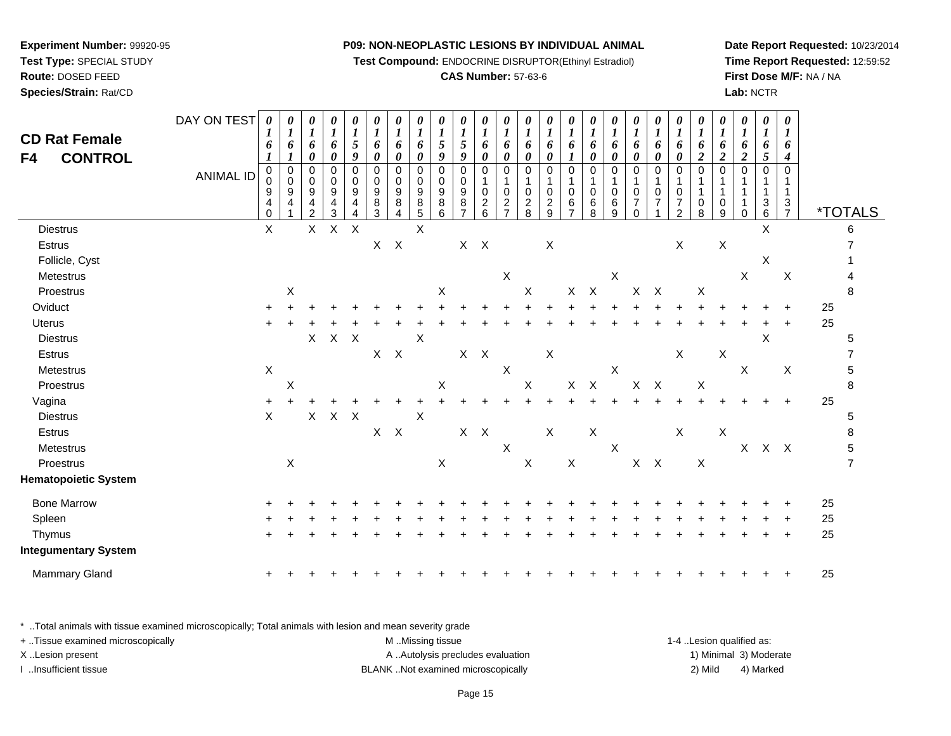**Test Compound:** ENDOCRINE DISRUPTOR(Ethinyl Estradiol)

#### **CAS Number:** 57-63-6

**Date Report Requested:** 10/23/2014**Time Report Requested:** 12:59:52**First Dose M/F:** NA / NA**Lab:** NCTR

| <b>CD Rat Female</b><br><b>CONTROL</b><br>F4 | DAY ON TEST<br><b>ANIMAL ID</b> | $\boldsymbol{\theta}$<br>1<br>6<br>$\boldsymbol{l}$<br>$\pmb{0}$<br>0<br>9<br>4<br>$\Omega$ | $\boldsymbol{\theta}$<br>$\boldsymbol{l}$<br>6<br>$\pmb{0}$<br>$\ddot{\mathbf{0}}$<br>$\boldsymbol{9}$<br>4 | 0<br>1<br>6<br>0<br>0<br>$\mathbf 0$<br>$\boldsymbol{9}$<br>4<br>$\overline{2}$ | 0<br>$\boldsymbol{l}$<br>6<br>0<br>$\pmb{0}$<br>0<br>$\boldsymbol{9}$<br>4<br>3 | 0<br>$\boldsymbol{l}$<br>$\sqrt{5}$<br>9<br>$\pmb{0}$<br>$\mathbf 0$<br>9<br>4 | $\pmb{\theta}$<br>$\boldsymbol{l}$<br>6<br>$\boldsymbol{\theta}$<br>$\pmb{0}$<br>$\mathbf 0$<br>9<br>8<br>3 | 0<br>$\boldsymbol{l}$<br>6<br>$\boldsymbol{\theta}$<br>$\mathbf 0$<br>0<br>9<br>8<br>4 | $\pmb{\theta}$<br>$\boldsymbol{l}$<br>6<br>0<br>$\pmb{0}$<br>0<br>9<br>8<br>5 | $\pmb{\theta}$<br>1<br>$\sqrt{5}$<br>9<br>$\mathbf 0$<br>0<br>9<br>8<br>6 | 0<br>$\boldsymbol{l}$<br>5<br>9<br>$\mathbf 0$<br>$\pmb{0}$<br>$\boldsymbol{9}$<br>$\bf 8$<br>$\overline{7}$ | 0<br>1<br>6<br>0<br>0<br>1<br>$\mathbf 0$<br>$\frac{2}{6}$ | $\pmb{\theta}$<br>$\boldsymbol{l}$<br>6<br>0<br>$\pmb{0}$<br>$\mathbf 0$<br>$\frac{2}{7}$ | 0<br>$\boldsymbol{l}$<br>6<br>$\pmb{\theta}$<br>$\,0\,$<br>1<br>$\pmb{0}$<br>$\frac{2}{8}$ | $\pmb{\theta}$<br>$\boldsymbol{l}$<br>6<br>$\boldsymbol{\theta}$<br>$\mathbf 0$<br>1<br>$\pmb{0}$<br>$\frac{2}{9}$ | 0<br>$\boldsymbol{l}$<br>6<br>$\pmb{0}$<br>1<br>$\pmb{0}$<br>6<br>$\overline{7}$ | 0<br>$\boldsymbol{l}$<br>6<br>0<br>$\pmb{0}$<br>0<br>6<br>8 | $\boldsymbol{\theta}$<br>$\boldsymbol{l}$<br>6<br>0<br>$\mathbf 0$<br>1<br>$\pmb{0}$<br>6<br>9 | 0<br>$\boldsymbol{l}$<br>6<br>$\pmb{\theta}$<br>$\pmb{0}$<br>1<br>$\mathbf 0$<br>$\overline{7}$<br>$\Omega$ | 0<br>$\boldsymbol{l}$<br>6<br>0<br>0<br>$\mathbf{1}$<br>$\pmb{0}$<br>$\overline{7}$ | 0<br>$\boldsymbol{l}$<br>6<br>$\pmb{\theta}$<br>0<br>$\mathbf 1$<br>$\pmb{0}$<br>$\frac{7}{2}$ | $\boldsymbol{\theta}$<br>$\boldsymbol{l}$<br>6<br>$\boldsymbol{2}$<br>$\mbox{O}$<br>1<br>$\mathbf{1}$<br>$\boldsymbol{0}$<br>8 | 0<br>$\boldsymbol{l}$<br>6<br>$\boldsymbol{2}$<br>$\mathbf 0$<br>1<br>$\mathbf{1}$<br>$\boldsymbol{0}$<br>9 | 0<br>$\boldsymbol{l}$<br>6<br>$\boldsymbol{2}$<br>$\pmb{0}$<br>1<br>1<br>1<br>$\Omega$ | 0<br>$\boldsymbol{l}$<br>6<br>5<br>0<br>$\mathbf 1$<br>$^3$ 6 | $\boldsymbol{\theta}$<br>$\boldsymbol{I}$<br>6<br>4<br>$\pmb{0}$<br>-1<br>$\mathbf{1}$<br>$\boldsymbol{3}$<br>$\overline{7}$ |    | <i><b>*TOTALS</b></i> |
|----------------------------------------------|---------------------------------|---------------------------------------------------------------------------------------------|-------------------------------------------------------------------------------------------------------------|---------------------------------------------------------------------------------|---------------------------------------------------------------------------------|--------------------------------------------------------------------------------|-------------------------------------------------------------------------------------------------------------|----------------------------------------------------------------------------------------|-------------------------------------------------------------------------------|---------------------------------------------------------------------------|--------------------------------------------------------------------------------------------------------------|------------------------------------------------------------|-------------------------------------------------------------------------------------------|--------------------------------------------------------------------------------------------|--------------------------------------------------------------------------------------------------------------------|----------------------------------------------------------------------------------|-------------------------------------------------------------|------------------------------------------------------------------------------------------------|-------------------------------------------------------------------------------------------------------------|-------------------------------------------------------------------------------------|------------------------------------------------------------------------------------------------|--------------------------------------------------------------------------------------------------------------------------------|-------------------------------------------------------------------------------------------------------------|----------------------------------------------------------------------------------------|---------------------------------------------------------------|------------------------------------------------------------------------------------------------------------------------------|----|-----------------------|
| <b>Diestrus</b>                              |                                 | $\mathsf{X}$                                                                                |                                                                                                             | X                                                                               | $\sf X$                                                                         | $\times$                                                                       |                                                                                                             |                                                                                        | $\boldsymbol{\mathsf{X}}$                                                     |                                                                           |                                                                                                              |                                                            |                                                                                           |                                                                                            |                                                                                                                    |                                                                                  |                                                             |                                                                                                |                                                                                                             |                                                                                     |                                                                                                |                                                                                                                                |                                                                                                             |                                                                                        | X                                                             |                                                                                                                              |    | 6                     |
| Estrus                                       |                                 |                                                                                             |                                                                                                             |                                                                                 |                                                                                 |                                                                                | $X$ $X$                                                                                                     |                                                                                        |                                                                               |                                                                           |                                                                                                              | $X$ $X$                                                    |                                                                                           |                                                                                            | $\boldsymbol{\mathsf{X}}$                                                                                          |                                                                                  |                                                             |                                                                                                |                                                                                                             |                                                                                     | X                                                                                              |                                                                                                                                | $\boldsymbol{\mathsf{X}}$                                                                                   |                                                                                        |                                                               |                                                                                                                              |    |                       |
| Follicle, Cyst                               |                                 |                                                                                             |                                                                                                             |                                                                                 |                                                                                 |                                                                                |                                                                                                             |                                                                                        |                                                                               |                                                                           |                                                                                                              |                                                            |                                                                                           |                                                                                            |                                                                                                                    |                                                                                  |                                                             |                                                                                                |                                                                                                             |                                                                                     |                                                                                                |                                                                                                                                |                                                                                                             |                                                                                        | $\boldsymbol{\mathsf{X}}$                                     |                                                                                                                              |    |                       |
| Metestrus                                    |                                 |                                                                                             |                                                                                                             |                                                                                 |                                                                                 |                                                                                |                                                                                                             |                                                                                        |                                                                               |                                                                           |                                                                                                              |                                                            | $\mathsf X$                                                                               |                                                                                            |                                                                                                                    |                                                                                  |                                                             | $\mathsf X$                                                                                    |                                                                                                             |                                                                                     |                                                                                                |                                                                                                                                |                                                                                                             | X                                                                                      |                                                               | $\mathsf X$                                                                                                                  |    |                       |
| Proestrus                                    |                                 |                                                                                             | X                                                                                                           |                                                                                 |                                                                                 |                                                                                |                                                                                                             |                                                                                        |                                                                               | X                                                                         |                                                                                                              |                                                            |                                                                                           | X                                                                                          |                                                                                                                    |                                                                                  | $X$ $X$                                                     |                                                                                                |                                                                                                             | $X$ $X$                                                                             |                                                                                                | $\mathsf{X}$                                                                                                                   |                                                                                                             |                                                                                        |                                                               |                                                                                                                              |    | 8                     |
| Oviduct                                      |                                 |                                                                                             |                                                                                                             |                                                                                 |                                                                                 |                                                                                |                                                                                                             |                                                                                        |                                                                               |                                                                           |                                                                                                              |                                                            |                                                                                           |                                                                                            |                                                                                                                    |                                                                                  |                                                             |                                                                                                |                                                                                                             |                                                                                     |                                                                                                |                                                                                                                                |                                                                                                             |                                                                                        |                                                               |                                                                                                                              | 25 |                       |
| Uterus                                       |                                 | ÷                                                                                           |                                                                                                             |                                                                                 |                                                                                 |                                                                                |                                                                                                             |                                                                                        |                                                                               |                                                                           |                                                                                                              |                                                            |                                                                                           |                                                                                            |                                                                                                                    |                                                                                  |                                                             |                                                                                                |                                                                                                             |                                                                                     |                                                                                                |                                                                                                                                |                                                                                                             |                                                                                        |                                                               |                                                                                                                              | 25 |                       |
| <b>Diestrus</b>                              |                                 |                                                                                             |                                                                                                             | $\mathsf{X}$                                                                    | X                                                                               | $\mathsf{X}$                                                                   |                                                                                                             |                                                                                        | $\boldsymbol{\mathsf{X}}$                                                     |                                                                           |                                                                                                              |                                                            |                                                                                           |                                                                                            |                                                                                                                    |                                                                                  |                                                             |                                                                                                |                                                                                                             |                                                                                     |                                                                                                |                                                                                                                                |                                                                                                             |                                                                                        | X                                                             |                                                                                                                              |    | 5                     |
| Estrus                                       |                                 |                                                                                             |                                                                                                             |                                                                                 |                                                                                 |                                                                                | $X$ $X$                                                                                                     |                                                                                        |                                                                               |                                                                           |                                                                                                              | $X$ $X$                                                    |                                                                                           |                                                                                            | $\boldsymbol{\mathsf{X}}$                                                                                          |                                                                                  |                                                             |                                                                                                |                                                                                                             |                                                                                     | X                                                                                              |                                                                                                                                | $\boldsymbol{\mathsf{X}}$                                                                                   |                                                                                        |                                                               |                                                                                                                              |    |                       |
| <b>Metestrus</b>                             |                                 | $\boldsymbol{\mathsf{X}}$                                                                   |                                                                                                             |                                                                                 |                                                                                 |                                                                                |                                                                                                             |                                                                                        |                                                                               |                                                                           |                                                                                                              |                                                            | X                                                                                         |                                                                                            |                                                                                                                    |                                                                                  |                                                             | $\mathsf X$                                                                                    |                                                                                                             |                                                                                     |                                                                                                |                                                                                                                                |                                                                                                             | $\mathsf{X}$                                                                           |                                                               | $\boldsymbol{\mathsf{X}}$                                                                                                    |    | 5                     |
| Proestrus                                    |                                 |                                                                                             | X                                                                                                           |                                                                                 |                                                                                 |                                                                                |                                                                                                             |                                                                                        |                                                                               | $\mathsf X$                                                               |                                                                                                              |                                                            |                                                                                           | $\mathsf X$                                                                                |                                                                                                                    | $\mathsf X$                                                                      | $\mathsf{X}$                                                |                                                                                                | $X$ $X$                                                                                                     |                                                                                     |                                                                                                | $\boldsymbol{\mathsf{X}}$                                                                                                      |                                                                                                             |                                                                                        |                                                               |                                                                                                                              |    | 8                     |
| Vagina                                       |                                 | $\ddot{}$                                                                                   |                                                                                                             |                                                                                 |                                                                                 |                                                                                |                                                                                                             |                                                                                        |                                                                               |                                                                           |                                                                                                              |                                                            |                                                                                           |                                                                                            |                                                                                                                    |                                                                                  |                                                             |                                                                                                |                                                                                                             |                                                                                     |                                                                                                |                                                                                                                                |                                                                                                             |                                                                                        |                                                               |                                                                                                                              | 25 |                       |
| <b>Diestrus</b>                              |                                 | $\boldsymbol{\mathsf{X}}$                                                                   |                                                                                                             | X                                                                               | X                                                                               | $\mathsf{X}$                                                                   |                                                                                                             |                                                                                        | X                                                                             |                                                                           |                                                                                                              |                                                            |                                                                                           |                                                                                            |                                                                                                                    |                                                                                  |                                                             |                                                                                                |                                                                                                             |                                                                                     |                                                                                                |                                                                                                                                |                                                                                                             |                                                                                        |                                                               |                                                                                                                              |    | 5                     |
| Estrus                                       |                                 |                                                                                             |                                                                                                             |                                                                                 |                                                                                 |                                                                                |                                                                                                             | $X$ $X$                                                                                |                                                                               |                                                                           |                                                                                                              | $X$ $X$                                                    |                                                                                           |                                                                                            | X                                                                                                                  |                                                                                  | X                                                           |                                                                                                |                                                                                                             |                                                                                     | X                                                                                              |                                                                                                                                | $\boldsymbol{\mathsf{X}}$                                                                                   |                                                                                        |                                                               |                                                                                                                              |    | 8                     |
| Metestrus                                    |                                 |                                                                                             |                                                                                                             |                                                                                 |                                                                                 |                                                                                |                                                                                                             |                                                                                        |                                                                               |                                                                           |                                                                                                              |                                                            | $\mathsf X$                                                                               |                                                                                            |                                                                                                                    |                                                                                  |                                                             | $\mathsf X$                                                                                    |                                                                                                             |                                                                                     |                                                                                                |                                                                                                                                |                                                                                                             | $\mathsf{X}$                                                                           |                                                               | $X$ $X$                                                                                                                      |    | 5                     |
| Proestrus                                    |                                 |                                                                                             | X                                                                                                           |                                                                                 |                                                                                 |                                                                                |                                                                                                             |                                                                                        |                                                                               | $\boldsymbol{\mathsf{X}}$                                                 |                                                                                                              |                                                            |                                                                                           | $\mathsf X$                                                                                |                                                                                                                    | $\mathsf X$                                                                      |                                                             |                                                                                                |                                                                                                             | $X$ $X$                                                                             |                                                                                                | $\mathsf{X}$                                                                                                                   |                                                                                                             |                                                                                        |                                                               |                                                                                                                              |    | $\overline{7}$        |
| <b>Hematopoietic System</b>                  |                                 |                                                                                             |                                                                                                             |                                                                                 |                                                                                 |                                                                                |                                                                                                             |                                                                                        |                                                                               |                                                                           |                                                                                                              |                                                            |                                                                                           |                                                                                            |                                                                                                                    |                                                                                  |                                                             |                                                                                                |                                                                                                             |                                                                                     |                                                                                                |                                                                                                                                |                                                                                                             |                                                                                        |                                                               |                                                                                                                              |    |                       |
| <b>Bone Marrow</b>                           |                                 |                                                                                             |                                                                                                             |                                                                                 |                                                                                 |                                                                                |                                                                                                             |                                                                                        |                                                                               |                                                                           |                                                                                                              |                                                            |                                                                                           |                                                                                            |                                                                                                                    |                                                                                  |                                                             |                                                                                                |                                                                                                             |                                                                                     |                                                                                                |                                                                                                                                |                                                                                                             |                                                                                        |                                                               |                                                                                                                              | 25 |                       |
| Spleen                                       |                                 |                                                                                             |                                                                                                             |                                                                                 |                                                                                 |                                                                                |                                                                                                             |                                                                                        |                                                                               |                                                                           |                                                                                                              |                                                            |                                                                                           |                                                                                            |                                                                                                                    |                                                                                  |                                                             |                                                                                                |                                                                                                             |                                                                                     |                                                                                                |                                                                                                                                |                                                                                                             |                                                                                        |                                                               |                                                                                                                              | 25 |                       |
| Thymus                                       |                                 |                                                                                             |                                                                                                             |                                                                                 |                                                                                 |                                                                                |                                                                                                             |                                                                                        |                                                                               |                                                                           |                                                                                                              |                                                            |                                                                                           |                                                                                            |                                                                                                                    |                                                                                  |                                                             |                                                                                                |                                                                                                             |                                                                                     |                                                                                                |                                                                                                                                |                                                                                                             |                                                                                        |                                                               | $\ddot{}$                                                                                                                    | 25 |                       |
| <b>Integumentary System</b>                  |                                 |                                                                                             |                                                                                                             |                                                                                 |                                                                                 |                                                                                |                                                                                                             |                                                                                        |                                                                               |                                                                           |                                                                                                              |                                                            |                                                                                           |                                                                                            |                                                                                                                    |                                                                                  |                                                             |                                                                                                |                                                                                                             |                                                                                     |                                                                                                |                                                                                                                                |                                                                                                             |                                                                                        |                                                               |                                                                                                                              |    |                       |
| Mammary Gland                                |                                 | $\ddot{}$                                                                                   |                                                                                                             |                                                                                 |                                                                                 |                                                                                |                                                                                                             |                                                                                        |                                                                               |                                                                           |                                                                                                              |                                                            |                                                                                           |                                                                                            |                                                                                                                    |                                                                                  |                                                             |                                                                                                |                                                                                                             |                                                                                     |                                                                                                |                                                                                                                                |                                                                                                             |                                                                                        |                                                               |                                                                                                                              | 25 |                       |
|                                              |                                 |                                                                                             |                                                                                                             |                                                                                 |                                                                                 |                                                                                |                                                                                                             |                                                                                        |                                                                               |                                                                           |                                                                                                              |                                                            |                                                                                           |                                                                                            |                                                                                                                    |                                                                                  |                                                             |                                                                                                |                                                                                                             |                                                                                     |                                                                                                |                                                                                                                                |                                                                                                             |                                                                                        |                                                               |                                                                                                                              |    |                       |

\* ..Total animals with tissue examined microscopically; Total animals with lesion and mean severity grade

| + Tissue examined microscopically | M Missing tissue                   | 1-4 Lesion qualified as: |                        |
|-----------------------------------|------------------------------------|--------------------------|------------------------|
| X Lesion present                  | A Autolysis precludes evaluation   |                          | 1) Minimal 3) Moderate |
| …Insufficient tissue              | BLANK Not examined microscopically | 2) Mild                  | 4) Marked              |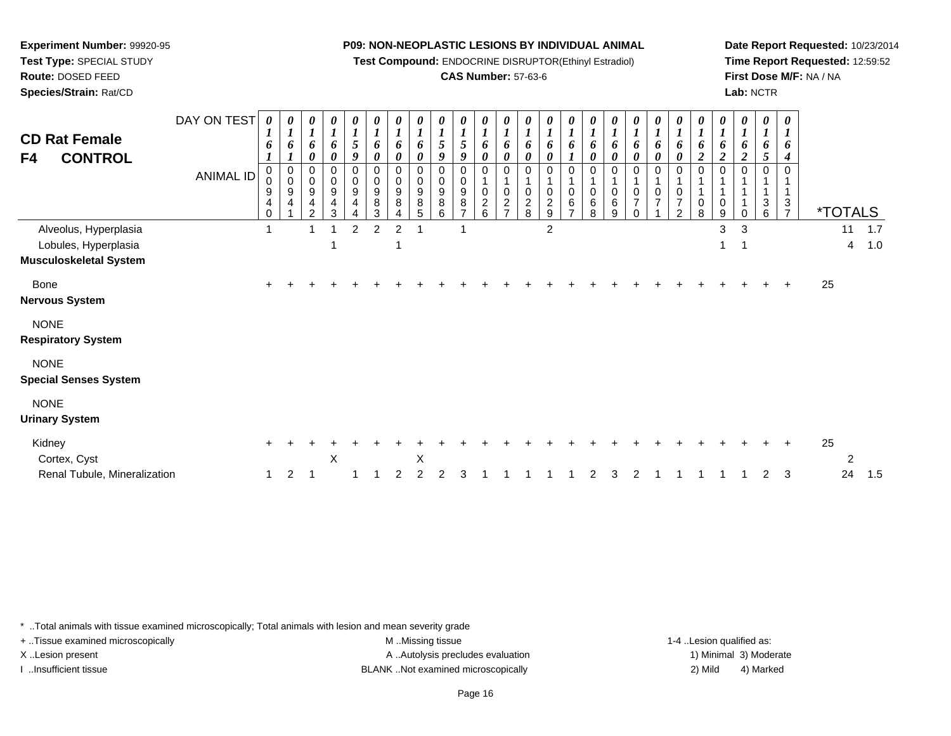**Test Compound:** ENDOCRINE DISRUPTOR(Ethinyl Estradiol)

#### **CAS Number:** 57-63-6

**Date Report Requested:** 10/23/2014**Time Report Requested:** 12:59:52**First Dose M/F:** NA / NA**Lab:** NCTR

| <b>CD Rat Female</b><br><b>CONTROL</b><br>F4                                   | DAY ON TEST<br><b>ANIMAL ID</b> | 0<br>1<br>6<br>0<br>0<br>9<br>4<br>0 | 0<br>$\boldsymbol{l}$<br>6<br>$\pmb{0}$<br>$\pmb{0}$<br>9<br>$\overline{4}$ | 0<br>$\boldsymbol{l}$<br>6<br>0<br>0<br>0<br>$\boldsymbol{9}$<br>4<br>$\overline{2}$ | 0<br>$\boldsymbol{I}$<br>6<br>0<br>0<br>$\pmb{0}$<br>$\boldsymbol{9}$<br>$\overline{\mathbf{4}}$<br>3 | 0<br>$\boldsymbol{l}$<br>$\sqrt{5}$<br>9<br>0<br>$\mathbf 0$<br>$9\,$<br>4 | 0<br>$\boldsymbol{l}$<br>6<br>0<br>$\mathbf 0$<br>$\mathbf 0$<br>$\boldsymbol{9}$<br>8<br>$\mathbf{3}$ | 0<br>$\boldsymbol{l}$<br>6<br>0<br>0<br>0<br>9<br>8 | 0<br>1<br>6<br>0<br>0<br>0<br>9<br>8<br>5 | 0<br>5<br>9<br>$\Omega$<br>0<br>9<br>8<br>6 | 0<br>$\mathfrak{s}$<br>9<br>$\mathbf 0$<br>0<br>$\boldsymbol{9}$<br>8 | 0<br>6<br>0<br>0<br>0<br>$\overline{c}$<br>6 | 0<br>$\boldsymbol{l}$<br>6<br>0<br>0<br>$\mathsf 0$<br>$\boldsymbol{2}$<br>$\overline{ }$ | 0<br>$\boldsymbol{l}$<br>6<br>0<br>0<br>$\mathbf{1}$<br>$\pmb{0}$<br>$\frac{2}{8}$ | 0<br>$\boldsymbol{l}$<br>6<br>$\boldsymbol{\theta}$<br>$\mathbf 0$<br>1<br>$\mathbf 0$<br>$\frac{2}{9}$ | 0<br>$\boldsymbol{l}$<br>6<br>$\boldsymbol{l}$<br>0<br>$\mathbf 1$<br>$\pmb{0}$<br>$\,6$<br>$\overline{z}$ | 0<br>$\boldsymbol{l}$<br>6<br>0<br>0<br>0<br>6<br>8 | 0<br>1<br>6<br>0<br>0<br>0<br>6<br>9 | 0<br>$\boldsymbol{l}$<br>6<br>0<br>0<br>$\pmb{0}$<br>$\overline{7}$<br>$\Omega$ | 0<br>1<br>6<br>0<br>0<br>0<br>$\overline{7}$ | $\pmb{\theta}$<br>$\boldsymbol{l}$<br>6<br>0<br>0<br>1<br>$\mathbf 0$<br>$\overline{7}$<br>$\overline{2}$ | 0<br>$\boldsymbol{l}$<br>6<br>$\overline{c}$<br>$\mathbf 0$<br>$\pmb{0}$<br>8 | 0<br>$\boldsymbol{l}$<br>6<br>$\boldsymbol{2}$<br>$\Omega$<br>0<br>9 | $\pmb{\theta}$<br>$\boldsymbol{l}$<br>6<br>$\boldsymbol{2}$<br>$\Omega$ | $\pmb{\theta}$<br>$\boldsymbol{l}$<br>6<br>5<br>0<br>3<br>6 | $\pmb{\theta}$<br>$\boldsymbol{l}$<br>6<br>$\boldsymbol{4}$<br>$\mathbf 0$<br>$\mathbf{1}$<br>$\frac{3}{7}$ |    | <i><b>*TOTALS</b></i> |            |
|--------------------------------------------------------------------------------|---------------------------------|--------------------------------------|-----------------------------------------------------------------------------|--------------------------------------------------------------------------------------|-------------------------------------------------------------------------------------------------------|----------------------------------------------------------------------------|--------------------------------------------------------------------------------------------------------|-----------------------------------------------------|-------------------------------------------|---------------------------------------------|-----------------------------------------------------------------------|----------------------------------------------|-------------------------------------------------------------------------------------------|------------------------------------------------------------------------------------|---------------------------------------------------------------------------------------------------------|------------------------------------------------------------------------------------------------------------|-----------------------------------------------------|--------------------------------------|---------------------------------------------------------------------------------|----------------------------------------------|-----------------------------------------------------------------------------------------------------------|-------------------------------------------------------------------------------|----------------------------------------------------------------------|-------------------------------------------------------------------------|-------------------------------------------------------------|-------------------------------------------------------------------------------------------------------------|----|-----------------------|------------|
| Alveolus, Hyperplasia<br>Lobules, Hyperplasia<br><b>Musculoskeletal System</b> |                                 |                                      |                                                                             |                                                                                      | 1                                                                                                     | $\overline{2}$                                                             | 2                                                                                                      | $\overline{2}$<br>1                                 |                                           |                                             |                                                                       |                                              |                                                                                           |                                                                                    | $\overline{2}$                                                                                          |                                                                                                            |                                                     |                                      |                                                                                 |                                              |                                                                                                           |                                                                               | 3<br>1                                                               | 3                                                                       |                                                             |                                                                                                             |    | 11<br>$\overline{4}$  | 1.7<br>1.0 |
| Bone<br><b>Nervous System</b>                                                  |                                 | $+$                                  |                                                                             |                                                                                      |                                                                                                       |                                                                            |                                                                                                        |                                                     |                                           |                                             |                                                                       |                                              |                                                                                           |                                                                                    |                                                                                                         |                                                                                                            |                                                     |                                      |                                                                                 |                                              |                                                                                                           |                                                                               |                                                                      |                                                                         |                                                             |                                                                                                             | 25 |                       |            |
| <b>NONE</b><br><b>Respiratory System</b>                                       |                                 |                                      |                                                                             |                                                                                      |                                                                                                       |                                                                            |                                                                                                        |                                                     |                                           |                                             |                                                                       |                                              |                                                                                           |                                                                                    |                                                                                                         |                                                                                                            |                                                     |                                      |                                                                                 |                                              |                                                                                                           |                                                                               |                                                                      |                                                                         |                                                             |                                                                                                             |    |                       |            |
| <b>NONE</b><br><b>Special Senses System</b>                                    |                                 |                                      |                                                                             |                                                                                      |                                                                                                       |                                                                            |                                                                                                        |                                                     |                                           |                                             |                                                                       |                                              |                                                                                           |                                                                                    |                                                                                                         |                                                                                                            |                                                     |                                      |                                                                                 |                                              |                                                                                                           |                                                                               |                                                                      |                                                                         |                                                             |                                                                                                             |    |                       |            |
| <b>NONE</b><br><b>Urinary System</b>                                           |                                 |                                      |                                                                             |                                                                                      |                                                                                                       |                                                                            |                                                                                                        |                                                     |                                           |                                             |                                                                       |                                              |                                                                                           |                                                                                    |                                                                                                         |                                                                                                            |                                                     |                                      |                                                                                 |                                              |                                                                                                           |                                                                               |                                                                      |                                                                         |                                                             |                                                                                                             |    |                       |            |
| Kidney<br>Cortex, Cyst<br>Renal Tubule, Mineralization                         |                                 | $\pm$<br>1                           | 2                                                                           |                                                                                      | X                                                                                                     |                                                                            |                                                                                                        | $\mathfrak{p}$                                      | X<br>2                                    | 2                                           | З                                                                     |                                              |                                                                                           |                                                                                    |                                                                                                         |                                                                                                            |                                                     | З                                    | 2                                                                               |                                              |                                                                                                           |                                                                               |                                                                      |                                                                         | $\overline{2}$                                              | 3                                                                                                           | 25 | 2<br>24               | 1.5        |

\* ..Total animals with tissue examined microscopically; Total animals with lesion and mean severity grade

**Experiment Number:** 99920-95**Test Type:** SPECIAL STUDY**Route:** DOSED FEED**Species/Strain:** Rat/CD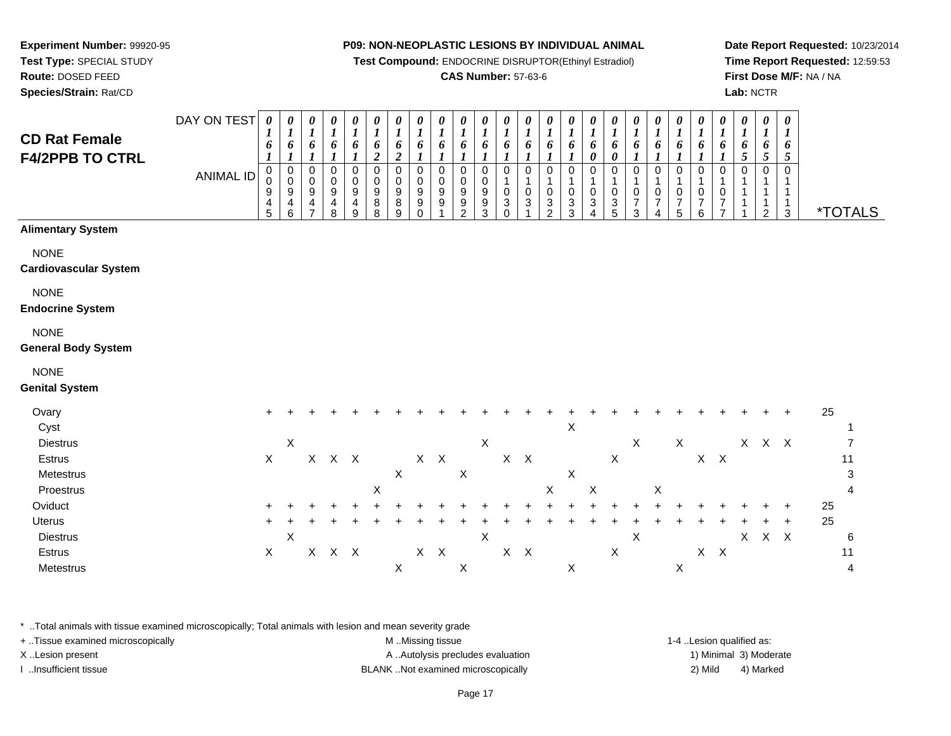**Test Compound:** ENDOCRINE DISRUPTOR(Ethinyl Estradiol)

#### **CAS Number:** 57-63-6

*0 1 6*

*0 1 6*

*0 1 6*

*0 1 6*

*0 1 6*

*0 1 6*

*0 1 6*

 $X$  X  $X$  4

*0 1 6*

*0 1 6*

*0 1 6*

*0 1 6*

*0 1 6*

*0 16*

**Date Report Requested:** 10/23/2014**Time Report Requested:** 12:59:53**First Dose M/F:** NA / NA**Lab:** NCTR

3 \*TOTALS

| <b>F4/2PPB TO CTRL</b>                    |                  | 1                         | 1                             |                            | $\boldsymbol{l}$                                                    |                                                | $\boldsymbol{2}$      | 2                     | 1                                    |                         | 1                                                                |                                      |                       |                  |                                    |                                            | 0                                        | 0                                         | 1                                            |                                         |                                                      |                                                    |                               | $5\overline{)}$ | 5                            | 5                                |         |
|-------------------------------------------|------------------|---------------------------|-------------------------------|----------------------------|---------------------------------------------------------------------|------------------------------------------------|-----------------------|-----------------------|--------------------------------------|-------------------------|------------------------------------------------------------------|--------------------------------------|-----------------------|------------------|------------------------------------|--------------------------------------------|------------------------------------------|-------------------------------------------|----------------------------------------------|-----------------------------------------|------------------------------------------------------|----------------------------------------------------|-------------------------------|-----------------|------------------------------|----------------------------------|---------|
|                                           | <b>ANIMAL ID</b> | 0<br>0<br>9<br>4<br>5     | $\pmb{0}$<br>0<br>9<br>4<br>6 | $\mathbf 0$<br>0<br>9<br>4 | $\mathbf 0$<br>$\pmb{0}$<br>$\boldsymbol{9}$<br>$\overline{4}$<br>8 | $\mathbf 0$<br>0<br>$\boldsymbol{9}$<br>4<br>9 | 0<br>0<br>9<br>8<br>8 | 0<br>0<br>9<br>8<br>9 | 0<br>0<br>9<br>$\boldsymbol{9}$<br>0 | 0<br>0<br>9<br>9        | 0<br>0<br>$\boldsymbol{9}$<br>$\boldsymbol{9}$<br>$\mathfrak{p}$ | 0<br>0<br>9<br>$\boldsymbol{9}$<br>3 | 0<br>1<br>0<br>3<br>0 | 0<br>1<br>0<br>3 | 0<br>1<br>0<br>3<br>$\mathfrak{p}$ | 0<br>$\mathbf 1$<br>0<br>$\mathbf{3}$<br>3 | 0<br>$\mathbf 1$<br>0<br>$\sqrt{3}$<br>4 | $\mathbf 0$<br>$\mathbf 1$<br>0<br>3<br>5 | 0<br>$\mathbf 1$<br>0<br>$\overline{7}$<br>3 | $\mathbf 0$<br>1<br>0<br>$\overline{7}$ | $\mathbf 0$<br>1<br>$\pmb{0}$<br>$\overline{7}$<br>5 | $\pmb{0}$<br>1<br>$\pmb{0}$<br>$\overline{7}$<br>6 | 0<br>1<br>0<br>$\overline{7}$ | 0               | $\mathbf 0$<br>-1<br>-1<br>2 | $\mathbf 0$<br>$\mathbf{1}$<br>3 | *TOT.   |
| <b>Alimentary System</b>                  |                  |                           |                               |                            |                                                                     |                                                |                       |                       |                                      |                         |                                                                  |                                      |                       |                  |                                    |                                            |                                          |                                           |                                              |                                         |                                                      |                                                    |                               |                 |                              |                                  |         |
| <b>NONE</b>                               |                  |                           |                               |                            |                                                                     |                                                |                       |                       |                                      |                         |                                                                  |                                      |                       |                  |                                    |                                            |                                          |                                           |                                              |                                         |                                                      |                                                    |                               |                 |                              |                                  |         |
| <b>Cardiovascular System</b>              |                  |                           |                               |                            |                                                                     |                                                |                       |                       |                                      |                         |                                                                  |                                      |                       |                  |                                    |                                            |                                          |                                           |                                              |                                         |                                                      |                                                    |                               |                 |                              |                                  |         |
| <b>NONE</b><br><b>Endocrine System</b>    |                  |                           |                               |                            |                                                                     |                                                |                       |                       |                                      |                         |                                                                  |                                      |                       |                  |                                    |                                            |                                          |                                           |                                              |                                         |                                                      |                                                    |                               |                 |                              |                                  |         |
| <b>NONE</b><br><b>General Body System</b> |                  |                           |                               |                            |                                                                     |                                                |                       |                       |                                      |                         |                                                                  |                                      |                       |                  |                                    |                                            |                                          |                                           |                                              |                                         |                                                      |                                                    |                               |                 |                              |                                  |         |
| <b>NONE</b>                               |                  |                           |                               |                            |                                                                     |                                                |                       |                       |                                      |                         |                                                                  |                                      |                       |                  |                                    |                                            |                                          |                                           |                                              |                                         |                                                      |                                                    |                               |                 |                              |                                  |         |
| <b>Genital System</b>                     |                  |                           |                               |                            |                                                                     |                                                |                       |                       |                                      |                         |                                                                  |                                      |                       |                  |                                    |                                            |                                          |                                           |                                              |                                         |                                                      |                                                    |                               |                 |                              |                                  |         |
| Ovary<br>Cyst                             |                  | $\ddot{}$                 |                               |                            |                                                                     |                                                |                       |                       |                                      |                         |                                                                  |                                      |                       |                  |                                    | X                                          |                                          |                                           |                                              |                                         |                                                      |                                                    |                               |                 |                              | $\ddot{}$                        | 25      |
| <b>Diestrus</b>                           |                  |                           | $\boldsymbol{\mathsf{X}}$     |                            |                                                                     |                                                |                       |                       |                                      |                         |                                                                  | X                                    |                       |                  |                                    |                                            |                                          |                                           | $\boldsymbol{X}$                             |                                         | $\mathsf X$                                          |                                                    |                               |                 | $X$ $X$ $X$                  |                                  |         |
| Estrus<br>Metestrus                       |                  | $\boldsymbol{\mathsf{X}}$ |                               |                            | $X$ $X$ $X$                                                         |                                                |                       | $\mathsf X$           |                                      | $X$ $X$                 | $\boldsymbol{\mathsf{X}}$                                        |                                      | $\mathsf X$           | $\mathsf{X}$     |                                    | X                                          |                                          | $\boldsymbol{\mathsf{X}}$                 |                                              |                                         |                                                      |                                                    | $X$ $X$                       |                 |                              |                                  | 11<br>3 |
| Proestrus                                 |                  |                           |                               |                            |                                                                     |                                                | X                     |                       |                                      |                         |                                                                  |                                      |                       |                  | X                                  |                                            | X                                        |                                           |                                              | X                                       |                                                      |                                                    |                               |                 |                              |                                  | 4       |
| Oviduct                                   |                  |                           |                               |                            |                                                                     |                                                |                       |                       |                                      |                         |                                                                  |                                      |                       |                  |                                    |                                            |                                          |                                           |                                              |                                         |                                                      |                                                    |                               |                 |                              | $\ddot{}$                        | 25      |
| Uterus                                    |                  | ÷                         |                               |                            |                                                                     |                                                |                       |                       |                                      |                         |                                                                  |                                      |                       |                  |                                    |                                            |                                          |                                           |                                              |                                         |                                                      |                                                    |                               |                 |                              |                                  | 25      |
| <b>Diestrus</b>                           |                  |                           | $\boldsymbol{\mathsf{X}}$     |                            |                                                                     |                                                |                       |                       |                                      |                         |                                                                  | $\mathsf X$                          |                       |                  |                                    |                                            |                                          |                                           | $\boldsymbol{\mathsf{X}}$                    |                                         |                                                      |                                                    |                               | $\mathsf{X}$    |                              | $X$ $X$                          | 6       |
| Estrus                                    |                  | $\mathsf X$               |                               |                            | X X X                                                               |                                                |                       |                       |                                      | $\mathsf{X}-\mathsf{X}$ |                                                                  |                                      | X                     | $\mathsf{X}$     |                                    |                                            |                                          | Χ                                         |                                              |                                         |                                                      |                                                    | $X$ $X$                       |                 |                              |                                  | 11      |

\* ..Total animals with tissue examined microscopically; Total animals with lesion and mean severity grade

s  $X$ 

+ ..Tissue examined microscopically examined microscopically examined as: M ..Missing tissue 1-4 ..Lesion qualified as: X..Lesion present **A ..**Autolysis precludes evaluation A ..Autolysis precludes evaluation 1) Minimal 3) Moderate I ..Insufficient tissue BLANK ..Not examined microscopically 2) Mild 4) Marked

#### **Test Type:** SPECIAL STUDY**Route:** DOSED FEED

**Species/Strain:** Rat/CD

# **Experiment Number:** 99920-95

**CD Rat Female**

**Metestrus** 

*0 1 6*

*0 1 6*

*0 1 6*

*0 1 6*

*0 1 6*

*0 1 6*

*0 1 6*

*0 1 6*

*0 1 6*

*0 1 6*

DAY ON TEST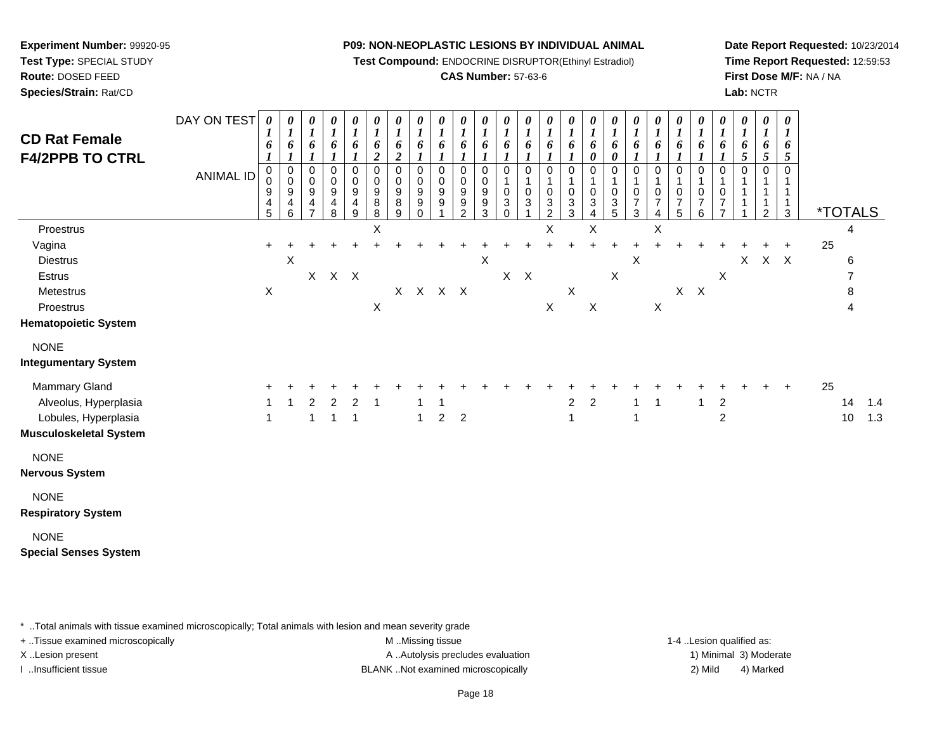**Test Compound:** ENDOCRINE DISRUPTOR(Ethinyl Estradiol)

#### **CAS Number:** 57-63-6

**Date Report Requested:** 10/23/2014**Time Report Requested:** 12:59:53**First Dose M/F:** NA / NA**Lab:** NCTR

| <b>CD Rat Female</b><br><b>F4/2PPB TO CTRL</b> | DAY ON TEST<br><b>ANIMAL ID</b> | 0<br>$\boldsymbol{l}$<br>6<br>$\boldsymbol{l}$<br>0<br>0<br>9<br>$\frac{4}{5}$ | 0<br>$\boldsymbol{l}$<br>6<br>$\boldsymbol{l}$<br>$\pmb{0}$<br>$\mathbf 0$<br>$\boldsymbol{9}$<br>4<br>6 | 0<br>$\boldsymbol{I}$<br>6<br>$\mathbf{I}$<br>$\pmb{0}$<br>$\frac{0}{9}$<br>$\overline{ }$ | $\boldsymbol{\theta}$<br>$\frac{1}{6}$<br>1<br>$\pmb{0}$<br>$\begin{array}{c} 0 \\ 9 \\ 4 \\ 8 \end{array}$ | 0<br>$\boldsymbol{l}$<br>6<br>$\boldsymbol{l}$<br>0<br>$\pmb{0}$<br>$\boldsymbol{9}$<br>$\overline{\mathbf{4}}$<br>9 | 0<br>$\boldsymbol{l}$<br>6<br>$\boldsymbol{2}$<br>$\mathbf 0$<br>0<br>9<br>8<br>8 | 0<br>$\boldsymbol{l}$<br>6<br>$\boldsymbol{2}$<br>$\mathbf 0$<br>0<br>$\boldsymbol{9}$<br>8<br>9 | 0<br>$\boldsymbol{l}$<br>6<br>$\boldsymbol{l}$<br>0<br>0<br>9<br>9<br>0 | 0<br>$\boldsymbol{l}$<br>6<br>$\mathbf 0$<br>0<br>9<br>9 | 0<br>$\boldsymbol{l}$<br>6<br>$\pmb{0}$<br>$\pmb{0}$<br>$\boldsymbol{9}$<br>9<br>$\mathfrak{p}$ | 0<br>$\boldsymbol{l}$<br>6<br>0<br>$\mathsf{O}\xspace$<br>9<br>$\frac{9}{3}$ | 0<br>$\boldsymbol{I}$<br>6<br>$\mathbf 0$<br>$\mathbf{1}$<br>$\mathbf 0$<br>$\mathbf{3}$<br>$\mathbf 0$ | 0<br>$\boldsymbol{l}$<br>6<br>0<br>1<br>$\mathbf 0$<br>3 | 0<br>$\boldsymbol{l}$<br>6<br>$\pmb{0}$<br>$\mathbf 1$<br>$\pmb{0}$<br>3<br>$\overline{c}$ | 0<br>$\boldsymbol{l}$<br>6<br>1<br>0<br>$\mathbf{1}$<br>$\pmb{0}$<br>3<br>3 | 0<br>$\boldsymbol{l}$<br>6<br>0<br>0<br>1<br>0<br>$\sqrt{3}$<br>4 | 0<br>$\boldsymbol{l}$<br>6<br>0<br>$\mathbf 0$<br>$\mathbf{1}$<br>$\mathbf 0$<br>$\mathbf{3}$<br>5 | 0<br>$\boldsymbol{l}$<br>6<br>0<br>1<br>$\frac{0}{7}$<br>3 | 0<br>$\boldsymbol{l}$<br>6<br>1<br>0<br>1<br>$\pmb{0}$<br>$\overline{7}$<br>4 | 0<br>$\boldsymbol{l}$<br>6<br>$\boldsymbol{l}$<br>$\mathbf 0$<br>$\mathbf{1}$<br>$\pmb{0}$<br>$\boldsymbol{7}$<br>5 | 0<br>$\boldsymbol{l}$<br>6<br>$\mathbf{I}$<br>0<br>$\mathbf 1$<br>$\pmb{0}$<br>$\overline{7}$<br>6 | 0<br>$\boldsymbol{l}$<br>6<br>0<br>1<br>$\mathbf 0$<br>$\overline{7}$<br>$\overline{7}$ | 0<br>$\boldsymbol{l}$<br>6<br>5<br>0 | 0<br>$\boldsymbol{l}$<br>6<br>$5\overline{)}$<br>0<br>1<br>$\mathbf 1$<br>2 | $\pmb{\theta}$<br>$\boldsymbol{l}$<br>6<br>5<br>0<br>-1<br>1<br>$\mathbf{1}$<br>$\mathbf{3}$ |    | <i><b>*TOTALS</b></i> |     |
|------------------------------------------------|---------------------------------|--------------------------------------------------------------------------------|----------------------------------------------------------------------------------------------------------|--------------------------------------------------------------------------------------------|-------------------------------------------------------------------------------------------------------------|----------------------------------------------------------------------------------------------------------------------|-----------------------------------------------------------------------------------|--------------------------------------------------------------------------------------------------|-------------------------------------------------------------------------|----------------------------------------------------------|-------------------------------------------------------------------------------------------------|------------------------------------------------------------------------------|---------------------------------------------------------------------------------------------------------|----------------------------------------------------------|--------------------------------------------------------------------------------------------|-----------------------------------------------------------------------------|-------------------------------------------------------------------|----------------------------------------------------------------------------------------------------|------------------------------------------------------------|-------------------------------------------------------------------------------|---------------------------------------------------------------------------------------------------------------------|----------------------------------------------------------------------------------------------------|-----------------------------------------------------------------------------------------|--------------------------------------|-----------------------------------------------------------------------------|----------------------------------------------------------------------------------------------|----|-----------------------|-----|
| Proestrus                                      |                                 |                                                                                |                                                                                                          |                                                                                            |                                                                                                             |                                                                                                                      | X                                                                                 |                                                                                                  |                                                                         |                                                          |                                                                                                 |                                                                              |                                                                                                         |                                                          | Χ                                                                                          |                                                                             | Χ                                                                 |                                                                                                    |                                                            | X                                                                             |                                                                                                                     |                                                                                                    |                                                                                         |                                      |                                                                             |                                                                                              |    | 4                     |     |
| Vagina                                         |                                 | $\ddot{}$                                                                      |                                                                                                          |                                                                                            |                                                                                                             |                                                                                                                      |                                                                                   |                                                                                                  |                                                                         |                                                          |                                                                                                 |                                                                              |                                                                                                         |                                                          |                                                                                            |                                                                             |                                                                   |                                                                                                    |                                                            |                                                                               |                                                                                                                     |                                                                                                    |                                                                                         |                                      |                                                                             | $\ddot{}$                                                                                    | 25 |                       |     |
| <b>Diestrus</b>                                |                                 |                                                                                | X                                                                                                        |                                                                                            |                                                                                                             |                                                                                                                      |                                                                                   |                                                                                                  |                                                                         |                                                          |                                                                                                 | $\boldsymbol{\mathsf{X}}$                                                    |                                                                                                         |                                                          |                                                                                            |                                                                             |                                                                   |                                                                                                    | X                                                          |                                                                               |                                                                                                                     |                                                                                                    |                                                                                         | X                                    |                                                                             | $X$ $X$                                                                                      |    | 6                     |     |
| Estrus                                         |                                 |                                                                                |                                                                                                          |                                                                                            | X X X                                                                                                       |                                                                                                                      |                                                                                   |                                                                                                  |                                                                         |                                                          |                                                                                                 |                                                                              | X                                                                                                       | $\mathsf{X}$                                             |                                                                                            |                                                                             |                                                                   | $\boldsymbol{\mathsf{X}}$                                                                          |                                                            |                                                                               |                                                                                                                     |                                                                                                    | $\boldsymbol{\mathsf{X}}$                                                               |                                      |                                                                             |                                                                                              |    | 7                     |     |
| Metestrus                                      |                                 | X                                                                              |                                                                                                          |                                                                                            |                                                                                                             |                                                                                                                      |                                                                                   |                                                                                                  | $X$ $X$ $X$ $X$                                                         |                                                          |                                                                                                 |                                                                              |                                                                                                         |                                                          |                                                                                            | $\boldsymbol{\mathsf{X}}$                                                   |                                                                   |                                                                                                    |                                                            |                                                                               |                                                                                                                     | $X$ $X$                                                                                            |                                                                                         |                                      |                                                                             |                                                                                              |    | 8                     |     |
| Proestrus                                      |                                 |                                                                                |                                                                                                          |                                                                                            |                                                                                                             |                                                                                                                      | $\mathsf X$                                                                       |                                                                                                  |                                                                         |                                                          |                                                                                                 |                                                                              |                                                                                                         |                                                          | $\mathsf X$                                                                                |                                                                             | $\mathsf X$                                                       |                                                                                                    |                                                            | $\mathsf X$                                                                   |                                                                                                                     |                                                                                                    |                                                                                         |                                      |                                                                             |                                                                                              |    |                       |     |
| <b>Hematopoietic System</b>                    |                                 |                                                                                |                                                                                                          |                                                                                            |                                                                                                             |                                                                                                                      |                                                                                   |                                                                                                  |                                                                         |                                                          |                                                                                                 |                                                                              |                                                                                                         |                                                          |                                                                                            |                                                                             |                                                                   |                                                                                                    |                                                            |                                                                               |                                                                                                                     |                                                                                                    |                                                                                         |                                      |                                                                             |                                                                                              |    |                       |     |
| <b>NONE</b><br><b>Integumentary System</b>     |                                 |                                                                                |                                                                                                          |                                                                                            |                                                                                                             |                                                                                                                      |                                                                                   |                                                                                                  |                                                                         |                                                          |                                                                                                 |                                                                              |                                                                                                         |                                                          |                                                                                            |                                                                             |                                                                   |                                                                                                    |                                                            |                                                                               |                                                                                                                     |                                                                                                    |                                                                                         |                                      |                                                                             |                                                                                              |    |                       |     |
| Mammary Gland                                  |                                 |                                                                                |                                                                                                          |                                                                                            |                                                                                                             |                                                                                                                      |                                                                                   |                                                                                                  |                                                                         |                                                          |                                                                                                 |                                                                              |                                                                                                         |                                                          |                                                                                            |                                                                             |                                                                   |                                                                                                    |                                                            |                                                                               |                                                                                                                     |                                                                                                    |                                                                                         |                                      |                                                                             | $\ddot{}$                                                                                    | 25 |                       |     |
| Alveolus, Hyperplasia                          |                                 |                                                                                |                                                                                                          | 2                                                                                          | $\overline{c}$                                                                                              | $\overline{2}$                                                                                                       | $\overline{1}$                                                                    |                                                                                                  |                                                                         |                                                          |                                                                                                 |                                                                              |                                                                                                         |                                                          |                                                                                            | $\overline{2}$                                                              | $\overline{2}$                                                    |                                                                                                    | $\overline{1}$                                             | $\overline{1}$                                                                |                                                                                                                     | -1                                                                                                 | $\boldsymbol{2}$                                                                        |                                      |                                                                             |                                                                                              |    | 14                    | 1.4 |
| Lobules, Hyperplasia                           |                                 | $\overline{1}$                                                                 |                                                                                                          | 1                                                                                          | $\mathbf{1}$                                                                                                | $\overline{1}$                                                                                                       |                                                                                   |                                                                                                  | $\overline{1}$                                                          | $\overline{2}$                                           | $\overline{2}$                                                                                  |                                                                              |                                                                                                         |                                                          |                                                                                            | $\mathbf{1}$                                                                |                                                                   |                                                                                                    | $\mathbf{1}$                                               |                                                                               |                                                                                                                     |                                                                                                    | $\overline{c}$                                                                          |                                      |                                                                             |                                                                                              |    | 10                    | 1.3 |
| <b>Musculoskeletal System</b>                  |                                 |                                                                                |                                                                                                          |                                                                                            |                                                                                                             |                                                                                                                      |                                                                                   |                                                                                                  |                                                                         |                                                          |                                                                                                 |                                                                              |                                                                                                         |                                                          |                                                                                            |                                                                             |                                                                   |                                                                                                    |                                                            |                                                                               |                                                                                                                     |                                                                                                    |                                                                                         |                                      |                                                                             |                                                                                              |    |                       |     |
| <b>NONE</b><br><b>Nervous System</b>           |                                 |                                                                                |                                                                                                          |                                                                                            |                                                                                                             |                                                                                                                      |                                                                                   |                                                                                                  |                                                                         |                                                          |                                                                                                 |                                                                              |                                                                                                         |                                                          |                                                                                            |                                                                             |                                                                   |                                                                                                    |                                                            |                                                                               |                                                                                                                     |                                                                                                    |                                                                                         |                                      |                                                                             |                                                                                              |    |                       |     |
| <b>NONE</b>                                    |                                 |                                                                                |                                                                                                          |                                                                                            |                                                                                                             |                                                                                                                      |                                                                                   |                                                                                                  |                                                                         |                                                          |                                                                                                 |                                                                              |                                                                                                         |                                                          |                                                                                            |                                                                             |                                                                   |                                                                                                    |                                                            |                                                                               |                                                                                                                     |                                                                                                    |                                                                                         |                                      |                                                                             |                                                                                              |    |                       |     |
| <b>Respiratory System</b>                      |                                 |                                                                                |                                                                                                          |                                                                                            |                                                                                                             |                                                                                                                      |                                                                                   |                                                                                                  |                                                                         |                                                          |                                                                                                 |                                                                              |                                                                                                         |                                                          |                                                                                            |                                                                             |                                                                   |                                                                                                    |                                                            |                                                                               |                                                                                                                     |                                                                                                    |                                                                                         |                                      |                                                                             |                                                                                              |    |                       |     |
| <b>NONE</b><br><b>Special Senses System</b>    |                                 |                                                                                |                                                                                                          |                                                                                            |                                                                                                             |                                                                                                                      |                                                                                   |                                                                                                  |                                                                         |                                                          |                                                                                                 |                                                                              |                                                                                                         |                                                          |                                                                                            |                                                                             |                                                                   |                                                                                                    |                                                            |                                                                               |                                                                                                                     |                                                                                                    |                                                                                         |                                      |                                                                             |                                                                                              |    |                       |     |

\* ..Total animals with tissue examined microscopically; Total animals with lesion and mean severity grade

**Experiment Number:** 99920-95**Test Type:** SPECIAL STUDY**Route:** DOSED FEED**Species/Strain:** Rat/CD

+ ..Tissue examined microscopically examined microscopically examined as:  $M$  ..Missing tissue 1-4 ..Lesion qualified as: X..Lesion present **A ..Autolysis precludes evaluation** A ..Autolysis precludes evaluation 1) Minimal 3) Moderate

I ..Insufficient tissue BLANK ..Not examined microscopically 2) Mild 4) Marked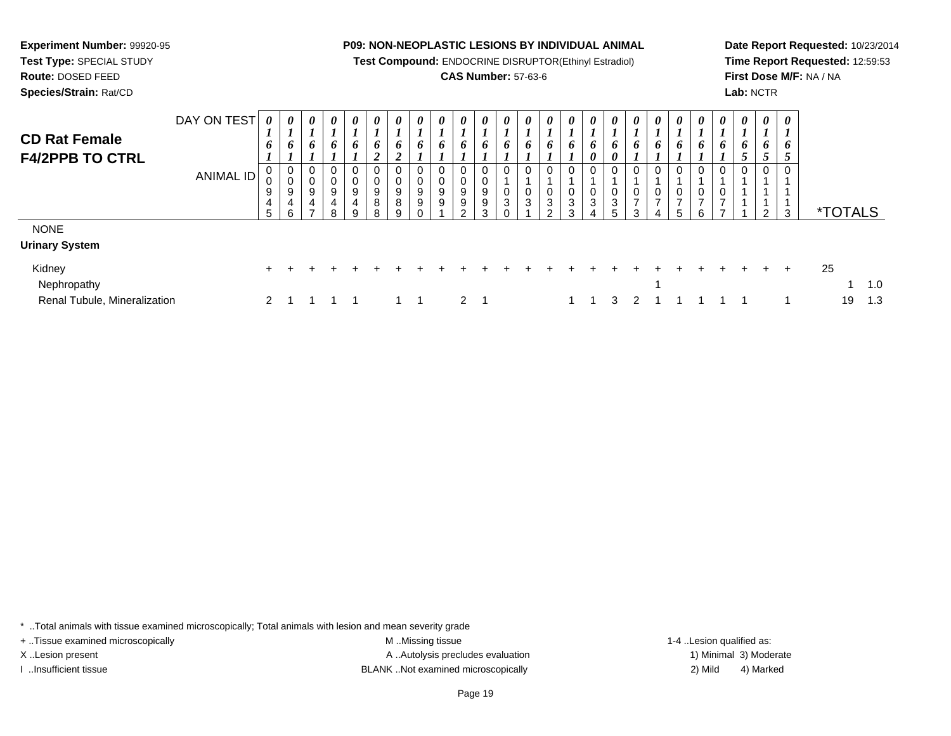**Test Compound:** ENDOCRINE DISRUPTOR(Ethinyl Estradiol)

#### **CAS Number:** 57-63-6

**Date Report Requested:** 10/23/2014**Time Report Requested:** 12:59:53**First Dose M/F:** NA / NA**Lab:** NCTR

| <b>CD Rat Female</b>         | DAY ON TEST      |               | 0<br><b>L</b> | $\boldsymbol{\theta}$ | 0<br>J.     | $\boldsymbol{\theta}$ | 0           | 0           | 0           | $\boldsymbol{\theta}$ | $\boldsymbol{\theta}$ | 0           | 0      | 0      |   |        |                                   |   |             | $\theta$ | 0                   | 0      | $\boldsymbol{\theta}$ | 0 | $\boldsymbol{\theta}$ | $\boldsymbol{\theta}$<br>$\mathbf{I}$ |                       |     |
|------------------------------|------------------|---------------|---------------|-----------------------|-------------|-----------------------|-------------|-------------|-------------|-----------------------|-----------------------|-------------|--------|--------|---|--------|-----------------------------------|---|-------------|----------|---------------------|--------|-----------------------|---|-----------------------|---------------------------------------|-----------------------|-----|
| <b>F4/2PPB TO CTRL</b>       |                  | 6             | 6             | 6                     | 6           | 6                     | 6           | 6           | 6           | 6                     | 6                     | 6           | 6      | o      | o | 0      | $\bm{o}$<br>$\boldsymbol{\theta}$ |   |             | 6        | 6                   | 6      |                       | 6 | 6<br>◡                | 6<br>◡                                |                       |     |
|                              | <b>ANIMAL ID</b> |               | 0<br>0<br>9   | 0<br>0<br>9           | 0<br>0<br>9 | 0<br>0<br>9           | 0<br>0<br>9 | 0<br>0<br>9 | 0<br>0<br>9 | 0<br>$\mathbf 0$<br>9 | 0<br>0<br>9           | 0<br>0<br>9 | 0<br>0 | 0<br>0 | U | 0<br>0 | 0<br>0                            | 0 | 0           | 0<br>0   | 0<br>0              | 0<br>0 |                       | 0 | $\mathbf 0$           |                                       |                       |     |
|                              |                  | 4<br>5        | 4<br>6        | 4<br>⇁                | 4<br>8      | 4<br>9                | 8<br>8      | 8           | 9           | 9                     | 9<br>ົ                | 9<br>3      | 3      | 3      | 3 | 3<br>3 | 3                                 | 3 | ⇁<br>$\sim$ | ⇁        | $\overline{ }$<br>5 | ⇁<br>6 | U                     |   | ົ                     | 3                                     | <i><b>*TOTALS</b></i> |     |
| <b>NONE</b>                  |                  |               |               |                       |             |                       |             |             |             |                       |                       |             |        |        |   |        |                                   |   |             |          |                     |        |                       |   |                       |                                       |                       |     |
| Urinary System               |                  |               |               |                       |             |                       |             |             |             |                       |                       |             |        |        |   |        |                                   |   |             |          |                     |        |                       |   |                       |                                       |                       |     |
| Kidney<br>Nephropathy        |                  | $+$           |               |                       |             |                       |             |             |             |                       |                       |             |        |        |   |        |                                   |   |             |          |                     |        |                       |   |                       | $\pm$                                 | 25                    | 1.0 |
| Renal Tubule, Mineralization |                  | $\mathcal{P}$ |               |                       |             |                       |             |             |             |                       | $\mathcal{P}$         |             |        |        |   |        |                                   | 3 |             |          |                     |        |                       |   |                       |                                       | 19                    | 1.3 |

\* ..Total animals with tissue examined microscopically; Total animals with lesion and mean severity grade

**Experiment Number:** 99920-95**Test Type:** SPECIAL STUDY**Route:** DOSED FEED**Species/Strain:** Rat/CD

Renal Tubule, Mineralization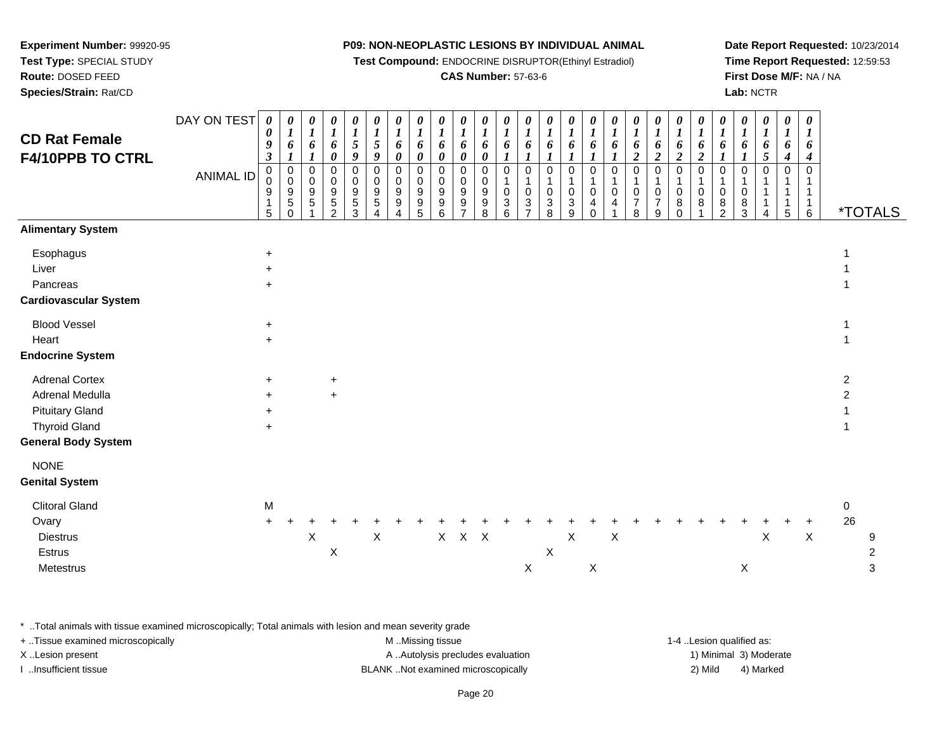**Test Compound:** ENDOCRINE DISRUPTOR(Ethinyl Estradiol)

#### **CAS Number:** 57-63-6

**Date Report Requested:** 10/23/2014**Time Report Requested:** 12:59:53**First Dose M/F:** NA / NA**Lab:** NCTR

| <b>CD Rat Female</b><br>F4/10PPB TO CTRL                                 | DAY ON TEST<br><b>ANIMAL ID</b> | $\boldsymbol{\theta}$<br>$\pmb{\theta}$<br>9<br>$\boldsymbol{\beta}$<br>0<br>0<br>9<br>5 | 0<br>$\boldsymbol{l}$<br>6<br>$\boldsymbol{l}$<br>0<br>$\pmb{0}$<br>$\overline{9}$<br>$\overline{5}$<br>$\mathbf 0$ | $\pmb{\theta}$<br>$\boldsymbol{l}$<br>6<br>$\mathbf{I}$<br>0<br>$\boldsymbol{0}$<br>$\boldsymbol{9}$<br>5 | 0<br>$\boldsymbol{l}$<br>6<br>0<br>0<br>0<br>9<br>5<br>$\overline{2}$ | 0<br>$\boldsymbol{l}$<br>$\sqrt{5}$<br>$\boldsymbol{g}$<br>0<br>0<br>$\boldsymbol{9}$<br>$\sqrt{5}$<br>3 | 0<br>$\boldsymbol{l}$<br>$\mathfrak{s}$<br>9<br>$\mathbf 0$<br>$\pmb{0}$<br>$\boldsymbol{9}$<br>5 | 0<br>$\boldsymbol{l}$<br>6<br>0<br>0<br>0<br>9<br>$\boldsymbol{9}$<br>4 | 0<br>$\boldsymbol{l}$<br>6<br>$\pmb{\theta}$<br>0<br>0<br>$\overline{9}$<br>9<br>5 | 0<br>$\boldsymbol{l}$<br>6<br>$\boldsymbol{\theta}$<br>$\mathbf 0$<br>$\boldsymbol{0}$<br>$\boldsymbol{9}$<br>$9\,$<br>6 | 0<br>$\boldsymbol{l}$<br>6<br>$\pmb{\theta}$<br>0<br>0<br>9<br>9<br>$\overline{ }$ | 0<br>$\boldsymbol{l}$<br>6<br>$\pmb{\theta}$<br>0<br>0<br>9<br>$9\,$<br>8 | $\boldsymbol{\theta}$<br>$\boldsymbol{l}$<br>6<br>$\mathbf 0$<br>$\pmb{0}$<br>$\sqrt{3}$<br>6 | 0<br>$\boldsymbol{l}$<br>6<br>0<br>1<br>0<br>$\mathbf{3}$<br>$\overline{7}$ | 0<br>$\boldsymbol{l}$<br>6<br>$\boldsymbol{l}$<br>0<br>$\mathbf{1}$<br>0<br>$\mathfrak{S}$<br>8 | $\boldsymbol{\theta}$<br>$\boldsymbol{l}$<br>6<br>$\mathbf{I}$<br>$\mathbf 0$<br>$\mathbf 1$<br>$\pmb{0}$<br>$\sqrt{3}$<br>9 | 0<br>$\boldsymbol{l}$<br>6<br>0<br>1<br>$\mathbf 0$<br>4<br>$\Omega$ | 0<br>$\boldsymbol{l}$<br>6<br>$\boldsymbol{l}$<br>$\mathbf 0$<br>$\mathbf{1}$<br>0<br>4 | 0<br>$\boldsymbol{l}$<br>6<br>$\boldsymbol{2}$<br>$\mathbf 0$<br>0<br>7<br>8 | 0<br>$\boldsymbol{l}$<br>6<br>$\overline{2}$<br>0<br>1<br>0<br>$\overline{7}$<br>9 | 0<br>$\boldsymbol{l}$<br>6<br>$\overline{\mathbf{c}}$<br>0<br>$\mathbf{1}$<br>0<br>8<br>$\mathbf 0$ | 0<br>$\boldsymbol{l}$<br>6<br>$\boldsymbol{2}$<br>$\mathbf 0$<br>$\mathbf 1$<br>$\pmb{0}$<br>8 | 0<br>$\boldsymbol{l}$<br>6<br>$\boldsymbol{l}$<br>0<br>1<br>$\pmb{0}$<br>8<br>$\overline{2}$ | 0<br>$\boldsymbol{I}$<br>6<br>$\boldsymbol{l}$<br>0<br>1<br>0<br>8<br>3 | 0<br>$\boldsymbol{l}$<br>6<br>5<br>0 | 0<br>$\boldsymbol{l}$<br>6<br>4<br>0<br>1<br>1<br>1<br>5 | 0<br>$\boldsymbol{I}$<br>6<br>$\boldsymbol{4}$<br>$\mathbf 0$<br>$\mathbf{1}$<br>1<br>$\mathbf{1}$<br>$6\phantom{a}$ |                                                          | <i><b>*TOTALS</b></i>    |
|--------------------------------------------------------------------------|---------------------------------|------------------------------------------------------------------------------------------|---------------------------------------------------------------------------------------------------------------------|-----------------------------------------------------------------------------------------------------------|-----------------------------------------------------------------------|----------------------------------------------------------------------------------------------------------|---------------------------------------------------------------------------------------------------|-------------------------------------------------------------------------|------------------------------------------------------------------------------------|--------------------------------------------------------------------------------------------------------------------------|------------------------------------------------------------------------------------|---------------------------------------------------------------------------|-----------------------------------------------------------------------------------------------|-----------------------------------------------------------------------------|-------------------------------------------------------------------------------------------------|------------------------------------------------------------------------------------------------------------------------------|----------------------------------------------------------------------|-----------------------------------------------------------------------------------------|------------------------------------------------------------------------------|------------------------------------------------------------------------------------|-----------------------------------------------------------------------------------------------------|------------------------------------------------------------------------------------------------|----------------------------------------------------------------------------------------------|-------------------------------------------------------------------------|--------------------------------------|----------------------------------------------------------|----------------------------------------------------------------------------------------------------------------------|----------------------------------------------------------|--------------------------|
| <b>Alimentary System</b>                                                 |                                 |                                                                                          |                                                                                                                     |                                                                                                           |                                                                       |                                                                                                          |                                                                                                   |                                                                         |                                                                                    |                                                                                                                          |                                                                                    |                                                                           |                                                                                               |                                                                             |                                                                                                 |                                                                                                                              |                                                                      |                                                                                         |                                                                              |                                                                                    |                                                                                                     |                                                                                                |                                                                                              |                                                                         |                                      |                                                          |                                                                                                                      |                                                          |                          |
| Esophagus<br>Liver<br>Pancreas<br><b>Cardiovascular System</b>           |                                 | $\ddot{}$<br>$\ddot{}$<br>$+$                                                            |                                                                                                                     |                                                                                                           |                                                                       |                                                                                                          |                                                                                                   |                                                                         |                                                                                    |                                                                                                                          |                                                                                    |                                                                           |                                                                                               |                                                                             |                                                                                                 |                                                                                                                              |                                                                      |                                                                                         |                                                                              |                                                                                    |                                                                                                     |                                                                                                |                                                                                              |                                                                         |                                      |                                                          |                                                                                                                      | 1<br>1<br>1                                              |                          |
| <b>Blood Vessel</b>                                                      |                                 | $\ddot{}$                                                                                |                                                                                                                     |                                                                                                           |                                                                       |                                                                                                          |                                                                                                   |                                                                         |                                                                                    |                                                                                                                          |                                                                                    |                                                                           |                                                                                               |                                                                             |                                                                                                 |                                                                                                                              |                                                                      |                                                                                         |                                                                              |                                                                                    |                                                                                                     |                                                                                                |                                                                                              |                                                                         |                                      |                                                          |                                                                                                                      | 1                                                        |                          |
| Heart                                                                    |                                 | $\ddot{}$                                                                                |                                                                                                                     |                                                                                                           |                                                                       |                                                                                                          |                                                                                                   |                                                                         |                                                                                    |                                                                                                                          |                                                                                    |                                                                           |                                                                                               |                                                                             |                                                                                                 |                                                                                                                              |                                                                      |                                                                                         |                                                                              |                                                                                    |                                                                                                     |                                                                                                |                                                                                              |                                                                         |                                      |                                                          |                                                                                                                      | 1                                                        |                          |
| <b>Endocrine System</b>                                                  |                                 |                                                                                          |                                                                                                                     |                                                                                                           |                                                                       |                                                                                                          |                                                                                                   |                                                                         |                                                                                    |                                                                                                                          |                                                                                    |                                                                           |                                                                                               |                                                                             |                                                                                                 |                                                                                                                              |                                                                      |                                                                                         |                                                                              |                                                                                    |                                                                                                     |                                                                                                |                                                                                              |                                                                         |                                      |                                                          |                                                                                                                      |                                                          |                          |
| <b>Adrenal Cortex</b><br>Adrenal Medulla<br><b>Pituitary Gland</b>       |                                 | $\ddot{}$<br>$\ddot{}$<br>$+$                                                            |                                                                                                                     |                                                                                                           | $\ddot{}$<br>$\ddot{}$                                                |                                                                                                          |                                                                                                   |                                                                         |                                                                                    |                                                                                                                          |                                                                                    |                                                                           |                                                                                               |                                                                             |                                                                                                 |                                                                                                                              |                                                                      |                                                                                         |                                                                              |                                                                                    |                                                                                                     |                                                                                                |                                                                                              |                                                                         |                                      |                                                          |                                                                                                                      | $\overline{\mathbf{c}}$<br>$\overline{c}$<br>$\mathbf 1$ |                          |
| <b>Thyroid Gland</b><br><b>General Body System</b>                       |                                 | $\ddot{}$                                                                                |                                                                                                                     |                                                                                                           |                                                                       |                                                                                                          |                                                                                                   |                                                                         |                                                                                    |                                                                                                                          |                                                                                    |                                                                           |                                                                                               |                                                                             |                                                                                                 |                                                                                                                              |                                                                      |                                                                                         |                                                                              |                                                                                    |                                                                                                     |                                                                                                |                                                                                              |                                                                         |                                      |                                                          |                                                                                                                      | 1                                                        |                          |
| <b>NONE</b><br><b>Genital System</b>                                     |                                 |                                                                                          |                                                                                                                     |                                                                                                           |                                                                       |                                                                                                          |                                                                                                   |                                                                         |                                                                                    |                                                                                                                          |                                                                                    |                                                                           |                                                                                               |                                                                             |                                                                                                 |                                                                                                                              |                                                                      |                                                                                         |                                                                              |                                                                                    |                                                                                                     |                                                                                                |                                                                                              |                                                                         |                                      |                                                          |                                                                                                                      |                                                          |                          |
| <b>Clitoral Gland</b><br>Ovary<br><b>Diestrus</b><br>Estrus<br>Metestrus |                                 | M                                                                                        |                                                                                                                     | $\boldsymbol{\mathsf{X}}$                                                                                 | X                                                                     |                                                                                                          | X                                                                                                 |                                                                         |                                                                                    | X                                                                                                                        | $X$ $X$                                                                            |                                                                           |                                                                                               | X                                                                           | X                                                                                               | $\boldsymbol{\mathsf{X}}$                                                                                                    | $\boldsymbol{\mathsf{X}}$                                            | $\mathsf X$                                                                             |                                                                              |                                                                                    |                                                                                                     |                                                                                                |                                                                                              | X                                                                       | X                                    |                                                          | $\pmb{\times}$                                                                                                       | 0<br>26                                                  | 9<br>$\overline{c}$<br>3 |

\* ..Total animals with tissue examined microscopically; Total animals with lesion and mean severity grade

| + Tissue examined microscopically | M Missing tissue                   | 1-4 Lesion qualified as: |                        |
|-----------------------------------|------------------------------------|--------------------------|------------------------|
| X Lesion present                  | A Autolysis precludes evaluation   |                          | 1) Minimal 3) Moderate |
| Insufficient tissue               | BLANK Not examined microscopically | 2) Mild                  | 4) Marked              |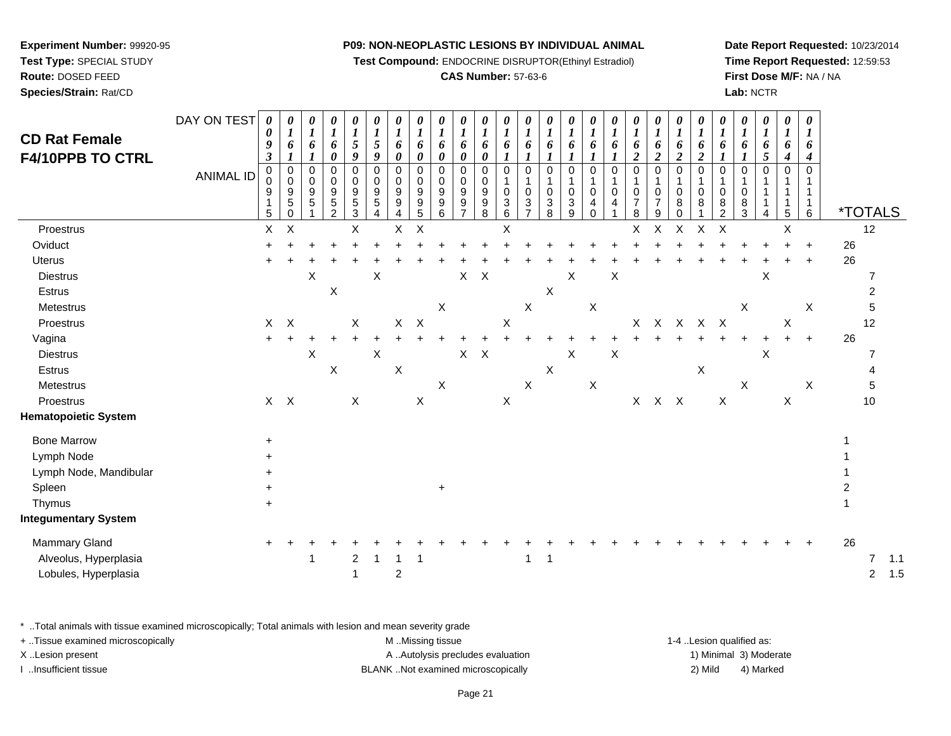**Test Compound:** ENDOCRINE DISRUPTOR(Ethinyl Estradiol)

#### **CAS Number:** 57-63-6

**Date Report Requested:** 10/23/2014**Time Report Requested:** 12:59:53**First Dose M/F:** NA / NA**Lab:** NCTR

| <b>CD Rat Female</b><br><b>F4/10PPB TO CTRL</b> | DAY ON TEST<br>ANIMAL ID | 0<br>0<br>9<br>$\boldsymbol{\beta}$<br>$\mathbf 0$<br>0 | 0<br>$\boldsymbol{l}$<br>6<br>$\mathbf 0$<br>$\Omega$ | 0<br>$\boldsymbol{l}$<br>6<br>$\boldsymbol{l}$<br>0<br>$\Omega$ | 0<br>$\boldsymbol{l}$<br>6<br>$\boldsymbol{\theta}$<br>$\mathbf 0$<br>0 | 0<br>$\boldsymbol{l}$<br>5<br>9<br>0<br>0 | 0<br>$\boldsymbol{l}$<br>5<br>9<br>0<br>0 | 0<br>$\boldsymbol{l}$<br>6<br>$\boldsymbol{\theta}$<br>$\mathbf 0$<br>0 | 0<br>$\boldsymbol{l}$<br>6<br>$\boldsymbol{\theta}$<br>0<br>$\mathbf 0$ | 0<br>$\boldsymbol{l}$<br>6<br>$\pmb{\theta}$<br>0<br>0 | 0<br>$\boldsymbol{l}$<br>6<br>$\boldsymbol{\theta}$<br>$\mathbf 0$<br>0 | $\boldsymbol{\theta}$<br>$\boldsymbol{l}$<br>6<br>$\boldsymbol{\theta}$<br>0<br>0 | 0<br>$\boldsymbol{l}$<br>6<br>$\boldsymbol{l}$<br>$\mathbf 0$<br>$\mathbf{1}$ | $\boldsymbol{\theta}$<br>$\boldsymbol{l}$<br>6<br>$\mathbf{I}$<br>$\mathbf 0$<br>1 | $\boldsymbol{\theta}$<br>$\boldsymbol{l}$<br>6<br>$\mathbf 0$ | 0<br>$\boldsymbol{l}$<br>6<br>1<br>0<br>$\mathbf{1}$ | 0<br>$\boldsymbol{l}$<br>6<br>$\mathbf 0$ | 0<br>$\boldsymbol{l}$<br>6<br>0 | 0<br>$\boldsymbol{l}$<br>6<br>$\overline{2}$<br>$\mathbf 0$<br>1 | 0<br>$\boldsymbol{l}$<br>6<br>$\overline{2}$<br>$\mathbf 0$<br>$\mathbf{1}$ | 0<br>$\boldsymbol{l}$<br>6<br>$\boldsymbol{2}$<br>$\mathbf 0$<br>1 | 0<br>$\boldsymbol{l}$<br>6<br>$\boldsymbol{2}$<br>$\mathbf 0$ | $\boldsymbol{\theta}$<br>$\boldsymbol{l}$<br>6<br>$\mathbf 0$ | $\boldsymbol{\theta}$<br>$\boldsymbol{l}$<br>6<br>1<br>0<br>1 | 0<br>$\boldsymbol{l}$<br>6<br>5<br>$\mathbf 0$ | 0<br>$\boldsymbol{l}$<br>6<br>$\boldsymbol{4}$<br>$\mathbf 0$ | $\boldsymbol{\theta}$<br>$\boldsymbol{\mathit{1}}$<br>6<br>4<br>0<br>1 |                       |                |            |
|-------------------------------------------------|--------------------------|---------------------------------------------------------|-------------------------------------------------------|-----------------------------------------------------------------|-------------------------------------------------------------------------|-------------------------------------------|-------------------------------------------|-------------------------------------------------------------------------|-------------------------------------------------------------------------|--------------------------------------------------------|-------------------------------------------------------------------------|-----------------------------------------------------------------------------------|-------------------------------------------------------------------------------|------------------------------------------------------------------------------------|---------------------------------------------------------------|------------------------------------------------------|-------------------------------------------|---------------------------------|------------------------------------------------------------------|-----------------------------------------------------------------------------|--------------------------------------------------------------------|---------------------------------------------------------------|---------------------------------------------------------------|---------------------------------------------------------------|------------------------------------------------|---------------------------------------------------------------|------------------------------------------------------------------------|-----------------------|----------------|------------|
|                                                 |                          | 9<br>1<br>5                                             | 9<br>5<br>0                                           | 9<br>5                                                          | 9<br>$\sqrt{5}$<br>$\overline{2}$                                       | 9<br>$\,$ 5 $\,$<br>$\mathbf{3}$          | $\boldsymbol{9}$<br>$\sqrt{5}$<br>4       | 9<br>$\boldsymbol{9}$<br>4                                              | 9<br>$\boldsymbol{9}$<br>5                                              | 9<br>$\boldsymbol{9}$<br>$\,6$                         | $\boldsymbol{9}$<br>9<br>$\overline{7}$                                 | 9<br>$\boldsymbol{9}$<br>8                                                        | 0<br>$\sqrt{3}$<br>6                                                          | 0<br>$\sqrt{3}$<br>$\overline{7}$                                                  | 0<br>3<br>8                                                   | 0<br>$\ensuremath{\mathsf{3}}$<br>9                  | 0<br>4<br>$\Omega$                        | 0<br>4                          | 0<br>$\overline{7}$<br>8                                         | 0<br>$\overline{7}$<br>9                                                    | 0<br>8<br>0                                                        | 0<br>8                                                        | 0<br>8<br>$\overline{c}$                                      | 0<br>8<br>3                                                   | 1                                              | 5                                                             | $\mathbf{1}$<br>$\overline{1}$<br>6                                    | <i><b>*TOTALS</b></i> |                |            |
| Proestrus                                       |                          | X                                                       | $\times$                                              |                                                                 |                                                                         | X                                         |                                           | $\mathsf{X}$                                                            | $\boldsymbol{\mathsf{X}}$                                               |                                                        |                                                                         |                                                                                   | X                                                                             |                                                                                    |                                                               |                                                      |                                           |                                 | X                                                                | X                                                                           | $\sf X$                                                            | $\pmb{\times}$                                                | X                                                             |                                                               |                                                | X                                                             |                                                                        |                       | 12             |            |
| Oviduct                                         |                          |                                                         |                                                       |                                                                 |                                                                         |                                           |                                           |                                                                         |                                                                         |                                                        |                                                                         |                                                                                   |                                                                               |                                                                                    |                                                               |                                                      |                                           |                                 |                                                                  |                                                                             |                                                                    |                                                               |                                                               |                                                               |                                                |                                                               |                                                                        | 26                    |                |            |
| Uterus                                          |                          |                                                         |                                                       |                                                                 |                                                                         |                                           |                                           |                                                                         |                                                                         |                                                        |                                                                         |                                                                                   |                                                                               |                                                                                    |                                                               |                                                      |                                           |                                 |                                                                  |                                                                             |                                                                    |                                                               |                                                               |                                                               |                                                |                                                               | $\ddot{}$                                                              | 26                    |                |            |
| <b>Diestrus</b>                                 |                          |                                                         |                                                       | X                                                               |                                                                         |                                           | X                                         |                                                                         |                                                                         |                                                        | $\mathsf X$                                                             | $\boldsymbol{\mathsf{X}}$                                                         |                                                                               |                                                                                    |                                                               | X                                                    |                                           | Χ                               |                                                                  |                                                                             |                                                                    |                                                               |                                                               |                                                               | X                                              |                                                               |                                                                        |                       |                |            |
| Estrus                                          |                          |                                                         |                                                       |                                                                 | $\pmb{\times}$                                                          |                                           |                                           |                                                                         |                                                                         |                                                        |                                                                         |                                                                                   |                                                                               |                                                                                    | X                                                             |                                                      |                                           |                                 |                                                                  |                                                                             |                                                                    |                                                               |                                                               |                                                               |                                                |                                                               |                                                                        |                       |                |            |
| Metestrus                                       |                          |                                                         |                                                       |                                                                 |                                                                         |                                           |                                           |                                                                         |                                                                         | X                                                      |                                                                         |                                                                                   |                                                                               | X                                                                                  |                                                               |                                                      | X                                         |                                 |                                                                  |                                                                             |                                                                    |                                                               |                                                               | X                                                             |                                                |                                                               | X                                                                      |                       |                |            |
| Proestrus                                       |                          | X                                                       | $\mathsf{X}$                                          |                                                                 |                                                                         | X                                         |                                           | $\mathsf{X}$                                                            | $\boldsymbol{\mathsf{X}}$                                               |                                                        |                                                                         |                                                                                   | X                                                                             |                                                                                    |                                                               |                                                      |                                           |                                 | X                                                                | $\mathsf{X}$                                                                | $\mathsf{X}$                                                       | $X$ $X$                                                       |                                                               |                                                               |                                                | X                                                             |                                                                        |                       | 12             |            |
| Vagina                                          |                          |                                                         |                                                       |                                                                 |                                                                         |                                           |                                           |                                                                         |                                                                         |                                                        |                                                                         |                                                                                   |                                                                               |                                                                                    |                                                               |                                                      |                                           |                                 |                                                                  |                                                                             |                                                                    |                                                               |                                                               |                                                               |                                                |                                                               | $\ddot{}$                                                              | 26                    |                |            |
| <b>Diestrus</b>                                 |                          |                                                         |                                                       | X                                                               |                                                                         |                                           | X                                         |                                                                         |                                                                         |                                                        | $\mathsf{X}$                                                            | $\boldsymbol{\mathsf{X}}$                                                         |                                                                               |                                                                                    |                                                               | $\boldsymbol{\mathsf{X}}$                            |                                           | X                               |                                                                  |                                                                             |                                                                    |                                                               |                                                               |                                                               | X                                              |                                                               |                                                                        |                       |                |            |
| Estrus                                          |                          |                                                         |                                                       |                                                                 | $\mathsf X$                                                             |                                           |                                           | $\boldsymbol{\mathsf{X}}$                                               |                                                                         |                                                        |                                                                         |                                                                                   |                                                                               |                                                                                    | $\times$                                                      |                                                      |                                           |                                 |                                                                  |                                                                             |                                                                    | $\boldsymbol{\mathsf{X}}$                                     |                                                               |                                                               |                                                |                                                               |                                                                        |                       |                |            |
| Metestrus                                       |                          |                                                         |                                                       |                                                                 |                                                                         |                                           |                                           |                                                                         |                                                                         | X                                                      |                                                                         |                                                                                   |                                                                               | X                                                                                  |                                                               |                                                      | X                                         |                                 |                                                                  |                                                                             |                                                                    |                                                               |                                                               | $\mathsf{X}$                                                  |                                                |                                                               | X                                                                      |                       |                |            |
| Proestrus                                       |                          |                                                         | $X$ $X$                                               |                                                                 |                                                                         | X                                         |                                           |                                                                         | $\pmb{\times}$                                                          |                                                        |                                                                         |                                                                                   | $\mathsf X$                                                                   |                                                                                    |                                                               |                                                      |                                           |                                 | $\mathsf{X}$                                                     | $X$ $X$                                                                     |                                                                    |                                                               | $\pmb{\times}$                                                |                                                               |                                                | X                                                             |                                                                        |                       | 10             |            |
| <b>Hematopoietic System</b>                     |                          |                                                         |                                                       |                                                                 |                                                                         |                                           |                                           |                                                                         |                                                                         |                                                        |                                                                         |                                                                                   |                                                                               |                                                                                    |                                                               |                                                      |                                           |                                 |                                                                  |                                                                             |                                                                    |                                                               |                                                               |                                                               |                                                |                                                               |                                                                        |                       |                |            |
| <b>Bone Marrow</b>                              |                          | $\pm$                                                   |                                                       |                                                                 |                                                                         |                                           |                                           |                                                                         |                                                                         |                                                        |                                                                         |                                                                                   |                                                                               |                                                                                    |                                                               |                                                      |                                           |                                 |                                                                  |                                                                             |                                                                    |                                                               |                                                               |                                                               |                                                |                                                               |                                                                        |                       |                |            |
| Lymph Node                                      |                          |                                                         |                                                       |                                                                 |                                                                         |                                           |                                           |                                                                         |                                                                         |                                                        |                                                                         |                                                                                   |                                                                               |                                                                                    |                                                               |                                                      |                                           |                                 |                                                                  |                                                                             |                                                                    |                                                               |                                                               |                                                               |                                                |                                                               |                                                                        |                       |                |            |
| Lymph Node, Mandibular                          |                          |                                                         |                                                       |                                                                 |                                                                         |                                           |                                           |                                                                         |                                                                         |                                                        |                                                                         |                                                                                   |                                                                               |                                                                                    |                                                               |                                                      |                                           |                                 |                                                                  |                                                                             |                                                                    |                                                               |                                                               |                                                               |                                                |                                                               |                                                                        |                       |                |            |
| Spleen                                          |                          |                                                         |                                                       |                                                                 |                                                                         |                                           |                                           |                                                                         |                                                                         | $\ddot{}$                                              |                                                                         |                                                                                   |                                                                               |                                                                                    |                                                               |                                                      |                                           |                                 |                                                                  |                                                                             |                                                                    |                                                               |                                                               |                                                               |                                                |                                                               |                                                                        |                       |                |            |
| Thymus                                          |                          |                                                         |                                                       |                                                                 |                                                                         |                                           |                                           |                                                                         |                                                                         |                                                        |                                                                         |                                                                                   |                                                                               |                                                                                    |                                                               |                                                      |                                           |                                 |                                                                  |                                                                             |                                                                    |                                                               |                                                               |                                                               |                                                |                                                               |                                                                        |                       |                |            |
| <b>Integumentary System</b>                     |                          |                                                         |                                                       |                                                                 |                                                                         |                                           |                                           |                                                                         |                                                                         |                                                        |                                                                         |                                                                                   |                                                                               |                                                                                    |                                                               |                                                      |                                           |                                 |                                                                  |                                                                             |                                                                    |                                                               |                                                               |                                                               |                                                |                                                               |                                                                        |                       |                |            |
| Mammary Gland                                   |                          |                                                         |                                                       |                                                                 |                                                                         |                                           |                                           |                                                                         |                                                                         |                                                        |                                                                         |                                                                                   |                                                                               |                                                                                    |                                                               |                                                      |                                           |                                 |                                                                  |                                                                             |                                                                    |                                                               |                                                               |                                                               |                                                |                                                               |                                                                        | 26                    |                |            |
| Alveolus, Hyperplasia<br>Lobules, Hyperplasia   |                          |                                                         |                                                       |                                                                 |                                                                         | $\overline{\mathbf{c}}$<br>1              |                                           | $\overline{c}$                                                          |                                                                         |                                                        |                                                                         |                                                                                   |                                                                               | $\overline{\mathbf{1}}$                                                            | $\mathbf 1$                                                   |                                                      |                                           |                                 |                                                                  |                                                                             |                                                                    |                                                               |                                                               |                                                               |                                                |                                                               |                                                                        |                       | $\overline{2}$ | 1.1<br>1.5 |
|                                                 |                          |                                                         |                                                       |                                                                 |                                                                         |                                           |                                           |                                                                         |                                                                         |                                                        |                                                                         |                                                                                   |                                                                               |                                                                                    |                                                               |                                                      |                                           |                                 |                                                                  |                                                                             |                                                                    |                                                               |                                                               |                                                               |                                                |                                                               |                                                                        |                       |                |            |

\* ..Total animals with tissue examined microscopically; Total animals with lesion and mean severity grade

| + Tissue examined microscopically | M Missing tissue                   | 1-4 Lesion qualified as: |                        |
|-----------------------------------|------------------------------------|--------------------------|------------------------|
| X Lesion present                  | A Autolysis precludes evaluation   |                          | 1) Minimal 3) Moderate |
| Insufficient tissue               | BLANK Not examined microscopically | 2) Mild                  | 4) Marked              |

**Experiment Number:** 99920-95

**Test Type:** SPECIAL STUDY**Route:** DOSED FEED

**Species/Strain:** Rat/CD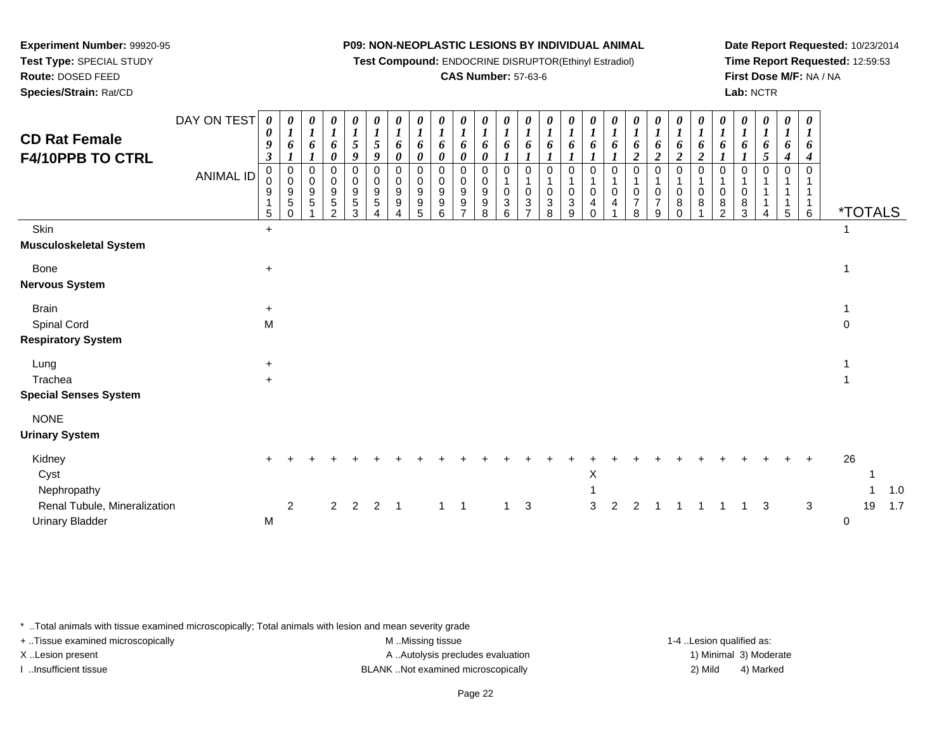**Test Compound:** ENDOCRINE DISRUPTOR(Ethinyl Estradiol)

#### **CAS Number:** 57-63-6

**Date Report Requested:** 10/23/2014**Time Report Requested:** 12:59:53**First Dose M/F:** NA / NA**Lab:** NCTR

| <b>CD Rat Female</b>                                                  | DAY ON TEST | $\boldsymbol{\theta}$<br>$\pmb{\theta}$                     | $\boldsymbol{\theta}$<br>$\boldsymbol{l}$                                            | $\theta$<br>$\boldsymbol{l}$ | $\boldsymbol{\theta}$<br>$\boldsymbol{l}$                                     | 0<br>$\boldsymbol{l}$                         | 0<br>$\boldsymbol{l}$      | $\boldsymbol{\theta}$<br>$\boldsymbol{l}$           | 0<br>$\boldsymbol{l}$                                      | $\boldsymbol{\theta}$<br>$\boldsymbol{l}$ | $\boldsymbol{\theta}$<br>$\boldsymbol{l}$                                              | 0                                                        | $\boldsymbol{\theta}$<br>$\boldsymbol{l}$                           | $\boldsymbol{\theta}$<br>$\boldsymbol{l}$                                  | $\boldsymbol{\theta}$<br>$\boldsymbol{l}$            | $\boldsymbol{l}$                         | 0                                 | $\frac{\theta}{I}$                | 0<br>$\boldsymbol{l}$                                                          | $\boldsymbol{\theta}$<br>$\boldsymbol{l}$                                               | $\boldsymbol{\theta}$<br>$\boldsymbol{l}$           | $\boldsymbol{\theta}$<br>$\boldsymbol{l}$   | $\boldsymbol{\theta}$                    | 0<br>$\boldsymbol{l}$             | 0<br>$\boldsymbol{l}$        | 0<br>$\boldsymbol{l}$                  | 0<br>$\boldsymbol{I}$                                                |             |                       |              |
|-----------------------------------------------------------------------|-------------|-------------------------------------------------------------|--------------------------------------------------------------------------------------|------------------------------|-------------------------------------------------------------------------------|-----------------------------------------------|----------------------------|-----------------------------------------------------|------------------------------------------------------------|-------------------------------------------|----------------------------------------------------------------------------------------|----------------------------------------------------------|---------------------------------------------------------------------|----------------------------------------------------------------------------|------------------------------------------------------|------------------------------------------|-----------------------------------|-----------------------------------|--------------------------------------------------------------------------------|-----------------------------------------------------------------------------------------|-----------------------------------------------------|---------------------------------------------|------------------------------------------|-----------------------------------|------------------------------|----------------------------------------|----------------------------------------------------------------------|-------------|-----------------------|--------------|
| F4/10PPB TO CTRL                                                      | ANIMAL ID   | $\boldsymbol{9}$<br>$\mathfrak{z}$<br>0<br>0<br>9<br>1<br>5 | 6<br>$\boldsymbol{l}$<br>0<br>$\mathsf{O}\xspace$<br>9<br>$\overline{5}$<br>$\Omega$ | 6<br>1<br>0<br>0<br>9<br>5   | 6<br>0<br>$\Omega$<br>$\mathbf 0$<br>$9\,$<br>$\overline{5}$<br>$\mathcal{D}$ | 5<br>9<br>$\mathbf 0$<br>0<br>$9\,$<br>5<br>3 | 5<br>9<br>0<br>0<br>9<br>5 | 6<br>0<br>0<br>$\mathbf 0$<br>$\boldsymbol{9}$<br>9 | 6<br>$\boldsymbol{\theta}$<br>$\Omega$<br>0<br>9<br>9<br>5 | 6<br>0<br>$\Omega$<br>0<br>9<br>9<br>6    | 6<br>$\boldsymbol{\theta}$<br>$\mathbf 0$<br>0<br>$\boldsymbol{9}$<br>$\boldsymbol{9}$ | 6<br>0<br>0<br>$\mathbf 0$<br>$\boldsymbol{9}$<br>9<br>8 | 6<br>$\Omega$<br>$\boldsymbol{0}$<br>$\ensuremath{\mathsf{3}}$<br>6 | 6<br>$\mathbf{I}$<br>$\Omega$<br>$\overline{1}$<br>$\pmb{0}$<br>$\sqrt{3}$ | 6<br>$\Omega$<br>$\mathbf{1}$<br>$\pmb{0}$<br>3<br>8 | 6<br>0<br>$\ensuremath{\mathsf{3}}$<br>9 | 6<br>$\Omega$<br>$\mathbf 0$<br>4 | 6<br>$\Omega$<br>$\mathbf 0$<br>4 | 6<br>$\overline{2}$<br>0<br>$\mathbf{1}$<br>$\mathbf 0$<br>$\overline{7}$<br>8 | 6<br>$\boldsymbol{2}$<br>$\Omega$<br>$\mathbf{1}$<br>$\mathbf 0$<br>$\overline{7}$<br>9 | 6<br>$\overline{2}$<br>$\Omega$<br>1<br>0<br>8<br>0 | 6<br>$\boldsymbol{2}$<br>$\Omega$<br>0<br>8 | 6<br>$\Omega$<br>0<br>8<br>$\mathcal{P}$ | 6<br>$\Omega$<br>1<br>0<br>8<br>3 | 6<br>5<br>$\Omega$<br>1<br>1 | 6<br>$\boldsymbol{4}$<br>$\Omega$<br>5 | 6<br>$\boldsymbol{4}$<br>0<br>1<br>$\mathbf{1}$<br>$\mathbf{1}$<br>6 |             | <i><b>*TOTALS</b></i> |              |
| Skin                                                                  |             | $\ddot{}$                                                   |                                                                                      |                              |                                                                               |                                               |                            |                                                     |                                                            |                                           |                                                                                        |                                                          |                                                                     |                                                                            |                                                      |                                          |                                   |                                   |                                                                                |                                                                                         |                                                     |                                             |                                          |                                   |                              |                                        |                                                                      |             |                       |              |
| Musculoskeletal System                                                |             |                                                             |                                                                                      |                              |                                                                               |                                               |                            |                                                     |                                                            |                                           |                                                                                        |                                                          |                                                                     |                                                                            |                                                      |                                          |                                   |                                   |                                                                                |                                                                                         |                                                     |                                             |                                          |                                   |                              |                                        |                                                                      |             |                       |              |
| <b>Bone</b><br><b>Nervous System</b>                                  |             | $\ddot{}$                                                   |                                                                                      |                              |                                                                               |                                               |                            |                                                     |                                                            |                                           |                                                                                        |                                                          |                                                                     |                                                                            |                                                      |                                          |                                   |                                   |                                                                                |                                                                                         |                                                     |                                             |                                          |                                   |                              |                                        |                                                                      |             |                       |              |
| <b>Brain</b>                                                          |             | $+$                                                         |                                                                                      |                              |                                                                               |                                               |                            |                                                     |                                                            |                                           |                                                                                        |                                                          |                                                                     |                                                                            |                                                      |                                          |                                   |                                   |                                                                                |                                                                                         |                                                     |                                             |                                          |                                   |                              |                                        |                                                                      | $\mathbf 1$ |                       |              |
| Spinal Cord                                                           |             | M                                                           |                                                                                      |                              |                                                                               |                                               |                            |                                                     |                                                            |                                           |                                                                                        |                                                          |                                                                     |                                                                            |                                                      |                                          |                                   |                                   |                                                                                |                                                                                         |                                                     |                                             |                                          |                                   |                              |                                        |                                                                      | $\mathbf 0$ |                       |              |
| <b>Respiratory System</b>                                             |             |                                                             |                                                                                      |                              |                                                                               |                                               |                            |                                                     |                                                            |                                           |                                                                                        |                                                          |                                                                     |                                                                            |                                                      |                                          |                                   |                                   |                                                                                |                                                                                         |                                                     |                                             |                                          |                                   |                              |                                        |                                                                      |             |                       |              |
| Lung                                                                  |             | $+$                                                         |                                                                                      |                              |                                                                               |                                               |                            |                                                     |                                                            |                                           |                                                                                        |                                                          |                                                                     |                                                                            |                                                      |                                          |                                   |                                   |                                                                                |                                                                                         |                                                     |                                             |                                          |                                   |                              |                                        |                                                                      |             |                       |              |
| Trachea                                                               |             | $+$                                                         |                                                                                      |                              |                                                                               |                                               |                            |                                                     |                                                            |                                           |                                                                                        |                                                          |                                                                     |                                                                            |                                                      |                                          |                                   |                                   |                                                                                |                                                                                         |                                                     |                                             |                                          |                                   |                              |                                        |                                                                      |             |                       |              |
| <b>Special Senses System</b>                                          |             |                                                             |                                                                                      |                              |                                                                               |                                               |                            |                                                     |                                                            |                                           |                                                                                        |                                                          |                                                                     |                                                                            |                                                      |                                          |                                   |                                   |                                                                                |                                                                                         |                                                     |                                             |                                          |                                   |                              |                                        |                                                                      |             |                       |              |
| <b>NONE</b><br><b>Urinary System</b>                                  |             |                                                             |                                                                                      |                              |                                                                               |                                               |                            |                                                     |                                                            |                                           |                                                                                        |                                                          |                                                                     |                                                                            |                                                      |                                          |                                   |                                   |                                                                                |                                                                                         |                                                     |                                             |                                          |                                   |                              |                                        |                                                                      |             |                       |              |
| Kidney<br>Cyst                                                        |             |                                                             |                                                                                      |                              |                                                                               |                                               |                            |                                                     |                                                            |                                           |                                                                                        |                                                          |                                                                     |                                                                            |                                                      |                                          | X                                 |                                   |                                                                                |                                                                                         |                                                     |                                             |                                          |                                   |                              |                                        | $\ddot{}$                                                            | 26          |                       |              |
| Nephropathy<br>Renal Tubule, Mineralization<br><b>Urinary Bladder</b> |             | M                                                           | $\overline{2}$                                                                       |                              | $\overline{2}$                                                                | $\overline{2}$                                | $\overline{2}$             | $\overline{1}$                                      |                                                            | $1 \quad 1$                               |                                                                                        |                                                          | $\mathbf{1}$                                                        | 3                                                                          |                                                      |                                          | 3                                 | 2                                 | 2                                                                              |                                                                                         |                                                     |                                             |                                          | $\mathbf{1}$                      | 3                            |                                        | $\sqrt{3}$                                                           | 0           | 19                    | $1.0$<br>1.7 |
|                                                                       |             |                                                             |                                                                                      |                              |                                                                               |                                               |                            |                                                     |                                                            |                                           |                                                                                        |                                                          |                                                                     |                                                                            |                                                      |                                          |                                   |                                   |                                                                                |                                                                                         |                                                     |                                             |                                          |                                   |                              |                                        |                                                                      |             |                       |              |

\* ..Total animals with tissue examined microscopically; Total animals with lesion and mean severity grade

**Experiment Number:** 99920-95**Test Type:** SPECIAL STUDY**Route:** DOSED FEED**Species/Strain:** Rat/CD

+ ..Tissue examined microscopically examined microscopically examined as:  $M$  ..Missing tissue 1-4 ..Lesion qualified as: X..Lesion present **A ..Autolysis precludes evaluation** A ..Autolysis precludes evaluation 1) Minimal 3) Moderate

I ..Insufficient tissue BLANK ..Not examined microscopically 2) Mild 4) Marked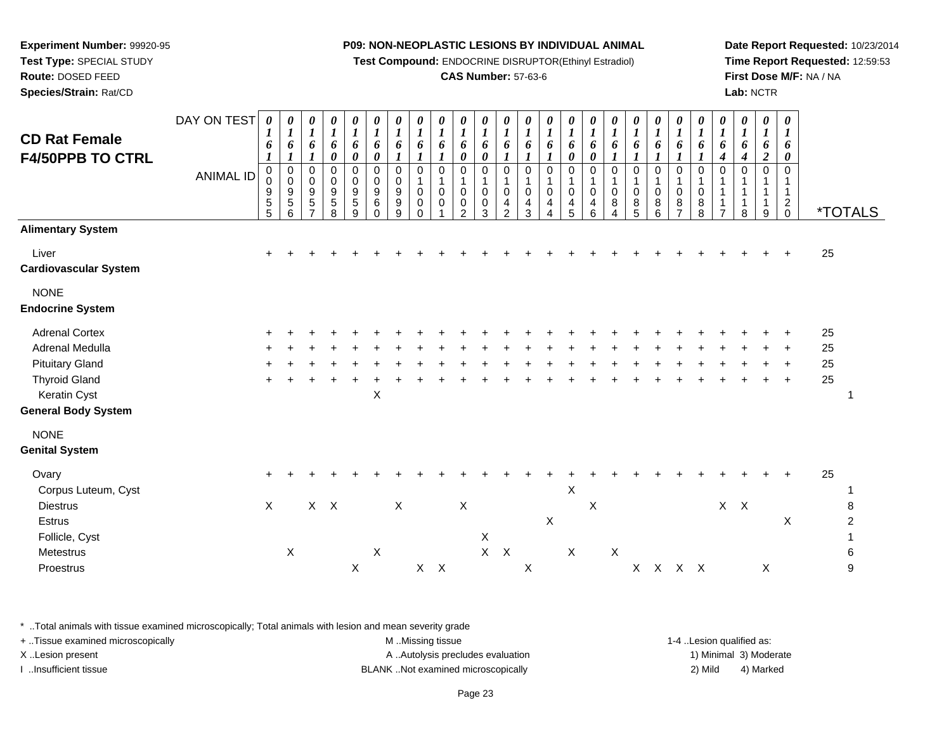**Test Compound:** ENDOCRINE DISRUPTOR(Ethinyl Estradiol)

#### **CAS Number:** 57-63-6

**Date Report Requested:** 10/23/2014**Time Report Requested:** 12:59:53**First Dose M/F:** NA / NA**Lab:** NCTR

| <b>CD Rat Female</b><br><b>F4/50PPB TO CTRL</b>                                                                                                         | DAY ON TEST<br><b>ANIMAL ID</b> | $\pmb{\theta}$<br>1<br>6<br>$\boldsymbol{l}$<br>0<br>0<br>$\begin{array}{c} 9 \\ 5 \\ 5 \end{array}$ | $\boldsymbol{\theta}$<br>$\boldsymbol{l}$<br>6<br>$\boldsymbol{l}$<br>$\overline{0}$<br>$\mathbf 0$<br>$\boldsymbol{9}$<br>$\sqrt{5}$<br>6 | $\boldsymbol{\theta}$<br>$\boldsymbol{l}$<br>6<br>1<br>$\pmb{0}$<br>$\pmb{0}$<br>$\boldsymbol{9}$<br>$\,$ 5 $\,$<br>$\overline{\phantom{0}}$ | 0<br>$\boldsymbol{l}$<br>6<br>0<br>0<br>0<br>$\boldsymbol{9}$<br>5<br>8 | 0<br>$\boldsymbol{l}$<br>6<br>$\boldsymbol{\theta}$<br>$\mathbf 0$<br>$\pmb{0}$<br>$\boldsymbol{9}$<br>$\mathbf 5$<br>9 | $\begin{matrix} 0 \\ 1 \end{matrix}$<br>6<br>$\boldsymbol{\theta}$<br>$\mathbf 0$<br>$\pmb{0}$<br>$\boldsymbol{9}$<br>$\,6$<br>$\Omega$ | $\begin{matrix} 0 \\ 1 \end{matrix}$<br>6<br>$\boldsymbol{l}$<br>$\mathbf 0$<br>$\pmb{0}$<br>$\boldsymbol{9}$<br>$\boldsymbol{9}$<br>9 | $\boldsymbol{\theta}$<br>$\boldsymbol{l}$<br>6<br>$\boldsymbol{l}$<br>$\mathbf 0$<br>$\mathbf{1}$<br>0<br>0<br>$\Omega$ | 0<br>$\boldsymbol{l}$<br>6<br>1<br>$\mathbf 0$<br>$\mathbf{1}$<br>0<br>0 | 0<br>$\boldsymbol{l}$<br>6<br>0<br>$\mathbf 0$<br>$\mathbf{1}$<br>$\mathbf 0$<br>0<br>$\mathcal{P}$ | 0<br>$\boldsymbol{l}$<br>6<br>0<br>$\mathbf 0$<br>$\mathbf 1$<br>$\mathbf 0$<br>$\pmb{0}$<br>3 | 0<br>$\boldsymbol{l}$<br>6<br>$\boldsymbol{l}$<br>$\mathbf 0$<br>1<br>0<br>4<br>$\overline{2}$ | 0<br>$\boldsymbol{l}$<br>6<br>$\boldsymbol{l}$<br>$\Omega$<br>$\mathbf{1}$<br>$\mathbf 0$<br>4<br>3 | 0<br>$\boldsymbol{l}$<br>6<br>1<br>$\mathbf 0$<br>$\mathbf 1$<br>0<br>4<br>4 | $\frac{\theta}{I}$<br>6<br>0<br>$\mathbf 0$<br>$\mathbf{1}$<br>$\pmb{0}$<br>$\overline{\mathbf{4}}$<br>5 | 0<br>$\boldsymbol{l}$<br>6<br>$\boldsymbol{\theta}$<br>$\mathbf 0$<br>$\mathbf{1}$<br>0<br>$\begin{array}{c} 4 \\ 6 \end{array}$ | 0<br>$\boldsymbol{l}$<br>6<br>$\boldsymbol{l}$<br>$\mathbf 0$<br>1<br>$\mathbf 0$<br>8<br>$\overline{4}$ | $\begin{matrix} 0 \\ 1 \end{matrix}$<br>6<br>$\boldsymbol{\mathcal{I}}$<br>$\mathbf 0$<br>$\mathbf{1}$<br>$\pmb{0}$<br>$\bf 8$<br>$\overline{5}$ | $\frac{\boldsymbol{0}}{\boldsymbol{1}}$<br>6<br>$\boldsymbol{l}$<br>0<br>$\mathbf{1}$<br>$\pmb{0}$<br>8<br>$\overline{6}$ | $\begin{matrix} 0 \\ 1 \end{matrix}$<br>6<br>$\boldsymbol{l}$<br>0<br>$\mathbf{1}$<br>$\pmb{0}$<br>$\frac{8}{7}$ | $\boldsymbol{\theta}$<br>$\boldsymbol{l}$<br>6<br>1<br>$\mathbf 0$<br>$\mathbf{1}$<br>$\mathbf 0$<br>$\,$ 8 $\,$<br>8 | 0<br>$\boldsymbol{l}$<br>6<br>4<br>0<br>1<br>$\overline{7}$ | 0<br>$\boldsymbol{l}$<br>6<br>$\boldsymbol{4}$<br>$\Omega$<br>-1<br>8 | 0<br>$\boldsymbol{l}$<br>6<br>$\boldsymbol{2}$<br>$\Omega$<br>9 | $\boldsymbol{\theta}$<br>$\boldsymbol{l}$<br>6<br>0<br>$\Omega$<br>1<br>$^2_{\rm 0}$ |                      | <i><b>*TOTALS</b></i>    |
|---------------------------------------------------------------------------------------------------------------------------------------------------------|---------------------------------|------------------------------------------------------------------------------------------------------|--------------------------------------------------------------------------------------------------------------------------------------------|----------------------------------------------------------------------------------------------------------------------------------------------|-------------------------------------------------------------------------|-------------------------------------------------------------------------------------------------------------------------|-----------------------------------------------------------------------------------------------------------------------------------------|----------------------------------------------------------------------------------------------------------------------------------------|-------------------------------------------------------------------------------------------------------------------------|--------------------------------------------------------------------------|-----------------------------------------------------------------------------------------------------|------------------------------------------------------------------------------------------------|------------------------------------------------------------------------------------------------|-----------------------------------------------------------------------------------------------------|------------------------------------------------------------------------------|----------------------------------------------------------------------------------------------------------|----------------------------------------------------------------------------------------------------------------------------------|----------------------------------------------------------------------------------------------------------|--------------------------------------------------------------------------------------------------------------------------------------------------|---------------------------------------------------------------------------------------------------------------------------|------------------------------------------------------------------------------------------------------------------|-----------------------------------------------------------------------------------------------------------------------|-------------------------------------------------------------|-----------------------------------------------------------------------|-----------------------------------------------------------------|--------------------------------------------------------------------------------------|----------------------|--------------------------|
| <b>Alimentary System</b>                                                                                                                                |                                 |                                                                                                      |                                                                                                                                            |                                                                                                                                              |                                                                         |                                                                                                                         |                                                                                                                                         |                                                                                                                                        |                                                                                                                         |                                                                          |                                                                                                     |                                                                                                |                                                                                                |                                                                                                     |                                                                              |                                                                                                          |                                                                                                                                  |                                                                                                          |                                                                                                                                                  |                                                                                                                           |                                                                                                                  |                                                                                                                       |                                                             |                                                                       |                                                                 |                                                                                      |                      |                          |
| Liver<br><b>Cardiovascular System</b>                                                                                                                   |                                 |                                                                                                      |                                                                                                                                            |                                                                                                                                              |                                                                         |                                                                                                                         |                                                                                                                                         |                                                                                                                                        |                                                                                                                         |                                                                          |                                                                                                     |                                                                                                |                                                                                                |                                                                                                     |                                                                              |                                                                                                          |                                                                                                                                  |                                                                                                          |                                                                                                                                                  |                                                                                                                           |                                                                                                                  |                                                                                                                       |                                                             |                                                                       |                                                                 |                                                                                      | 25                   |                          |
| <b>NONE</b><br><b>Endocrine System</b>                                                                                                                  |                                 |                                                                                                      |                                                                                                                                            |                                                                                                                                              |                                                                         |                                                                                                                         |                                                                                                                                         |                                                                                                                                        |                                                                                                                         |                                                                          |                                                                                                     |                                                                                                |                                                                                                |                                                                                                     |                                                                              |                                                                                                          |                                                                                                                                  |                                                                                                          |                                                                                                                                                  |                                                                                                                           |                                                                                                                  |                                                                                                                       |                                                             |                                                                       |                                                                 |                                                                                      |                      |                          |
| <b>Adrenal Cortex</b><br>Adrenal Medulla<br><b>Pituitary Gland</b><br><b>Thyroid Gland</b><br>Keratin Cyst<br><b>General Body System</b><br><b>NONE</b> |                                 |                                                                                                      |                                                                                                                                            |                                                                                                                                              |                                                                         |                                                                                                                         | X                                                                                                                                       |                                                                                                                                        |                                                                                                                         |                                                                          |                                                                                                     |                                                                                                |                                                                                                |                                                                                                     |                                                                              |                                                                                                          |                                                                                                                                  |                                                                                                          |                                                                                                                                                  |                                                                                                                           |                                                                                                                  |                                                                                                                       |                                                             |                                                                       |                                                                 |                                                                                      | 25<br>25<br>25<br>25 |                          |
| <b>Genital System</b>                                                                                                                                   |                                 |                                                                                                      |                                                                                                                                            |                                                                                                                                              |                                                                         |                                                                                                                         |                                                                                                                                         |                                                                                                                                        |                                                                                                                         |                                                                          |                                                                                                     |                                                                                                |                                                                                                |                                                                                                     |                                                                              |                                                                                                          |                                                                                                                                  |                                                                                                          |                                                                                                                                                  |                                                                                                                           |                                                                                                                  |                                                                                                                       |                                                             |                                                                       |                                                                 |                                                                                      |                      |                          |
| Ovary<br>Corpus Luteum, Cyst<br><b>Diestrus</b><br>Estrus<br>Follicle, Cyst<br>Metestrus                                                                |                                 | $\pm$<br>$\mathsf X$                                                                                 | $\mathsf X$                                                                                                                                |                                                                                                                                              | $X$ $X$                                                                 |                                                                                                                         | $\sf X$                                                                                                                                 | $\mathsf X$                                                                                                                            |                                                                                                                         |                                                                          | $\mathsf X$                                                                                         | $\mathsf X$<br>$\mathsf{X}$                                                                    | $\boldsymbol{\mathsf{X}}$                                                                      |                                                                                                     | $\boldsymbol{\mathsf{X}}$                                                    | $\boldsymbol{\mathsf{X}}$<br>$\mathsf X$                                                                 | $\mathsf X$                                                                                                                      | $\boldsymbol{\mathsf{X}}$                                                                                |                                                                                                                                                  |                                                                                                                           |                                                                                                                  |                                                                                                                       | $X$ $X$                                                     |                                                                       |                                                                 | $\div$<br>$\mathsf X$                                                                | 25                   | 8<br>$\overline{c}$<br>6 |
| Proestrus                                                                                                                                               |                                 |                                                                                                      |                                                                                                                                            |                                                                                                                                              |                                                                         | $\pmb{\times}$                                                                                                          |                                                                                                                                         |                                                                                                                                        | $X$ $X$                                                                                                                 |                                                                          |                                                                                                     |                                                                                                |                                                                                                | $\boldsymbol{\mathsf{X}}$                                                                           |                                                                              |                                                                                                          |                                                                                                                                  |                                                                                                          |                                                                                                                                                  | X X X X                                                                                                                   |                                                                                                                  |                                                                                                                       |                                                             |                                                                       | $\boldsymbol{\mathsf{X}}$                                       |                                                                                      |                      | 9                        |

\* ..Total animals with tissue examined microscopically; Total animals with lesion and mean severity grade

| + Tissue examined microscopically | M Missing tissue                   | 1-4 Lesion qualified as: |                        |
|-----------------------------------|------------------------------------|--------------------------|------------------------|
| X Lesion present                  | A Autolysis precludes evaluation   |                          | 1) Minimal 3) Moderate |
| …Insufficient tissue              | BLANK Not examined microscopically | 2) Mild                  | 4) Marked              |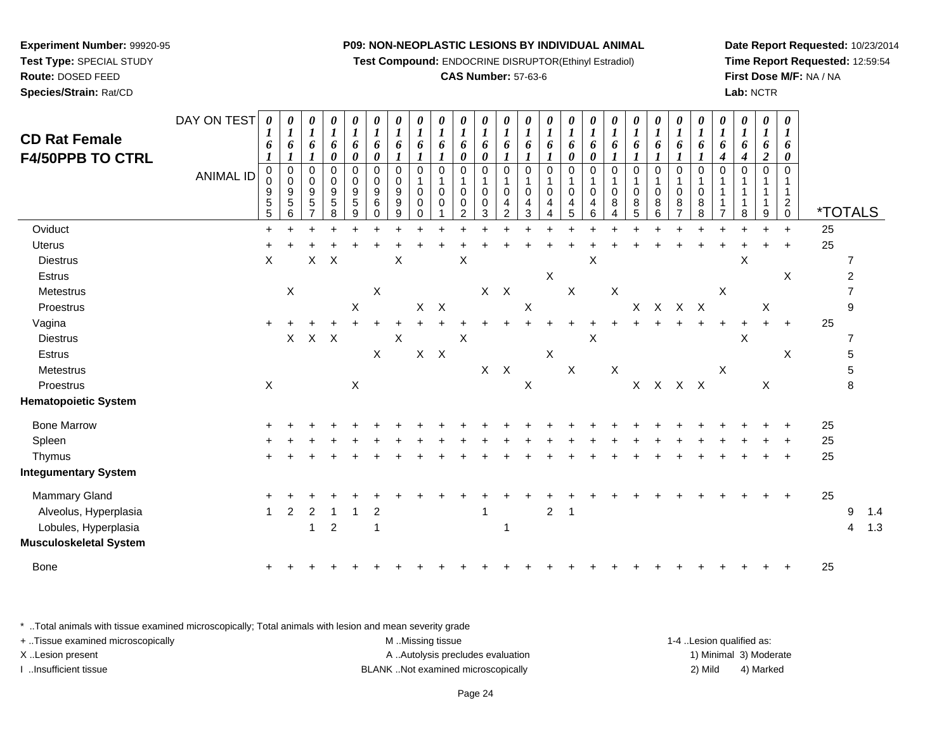**Test Compound:** ENDOCRINE DISRUPTOR(Ethinyl Estradiol)

#### **CAS Number:** 57-63-6

**Date Report Requested:** 10/23/2014**Time Report Requested:** 12:59:54**First Dose M/F:** NA / NA**Lab:** NCTR

| <b>CD Rat Female</b><br><b>F4/50PPB TO CTRL</b> | DAY ON TEST<br><b>ANIMAL ID</b> | $\boldsymbol{\theta}$<br>6<br>0<br>9<br>5<br>5 | $\boldsymbol{\theta}$<br>1<br>6<br>$\pmb{0}$<br>$\pmb{0}$<br>9<br>5<br>6 | $\pmb{\theta}$<br>$\boldsymbol{l}$<br>6<br>$\pmb{0}$<br>0<br>9<br>5 | 0<br>$\boldsymbol{l}$<br>6<br>0<br>0<br>$\pmb{0}$<br>$\boldsymbol{9}$<br>$\overline{5}$<br>8 | 0<br>$\boldsymbol{l}$<br>6<br>$\boldsymbol{\theta}$<br>$\mathbf 0$<br>$\pmb{0}$<br>$\boldsymbol{9}$<br>$\,$ 5 $\,$<br>9 | $\pmb{\theta}$<br>$\boldsymbol{l}$<br>6<br>0<br>$\pmb{0}$<br>$\pmb{0}$<br>$\boldsymbol{9}$<br>$\,6$<br>0 | $\pmb{\theta}$<br>$\boldsymbol{l}$<br>6<br>$\mathbf 0$<br>0<br>9<br>9<br>9 | $\pmb{\theta}$<br>$\boldsymbol{l}$<br>6<br>$\Omega$<br>$\mathbf 0$<br>0<br>0 | $\boldsymbol{\theta}$<br>$\boldsymbol{l}$<br>6<br>1<br>$\mathbf 0$<br>$\mathbf 0$<br>0 | $\pmb{\theta}$<br>$\boldsymbol{l}$<br>6<br>$\pmb{\theta}$<br>$\mathbf 0$<br>1<br>$\mathbf 0$<br>0<br>$\mathcal{P}$ | 0<br>$\boldsymbol{l}$<br>6<br>0<br>$\mathbf 0$<br>$\mathbf{1}$<br>$\mathbf 0$<br>0<br>3 | 0<br>$\boldsymbol{l}$<br>6<br>0<br>1<br>0<br>4<br>2 | $\pmb{\theta}$<br>$\boldsymbol{I}$<br>6<br>$\Omega$<br>1<br>$\mathbf 0$<br>4<br>3 | 0<br>$\boldsymbol{l}$<br>6<br>$\mathbf 0$<br>1<br>$\mathbf 0$<br>4 | 0<br>$\boldsymbol{l}$<br>6<br>0<br>$\mathbf 0$<br>$\mathbf 0$<br>4<br>5 | 0<br>1<br>6<br>0<br>$\Omega$<br>$\Omega$<br>4<br>6 | $\pmb{\theta}$<br>6<br>$\mathbf 0$<br>$\mathbf 0$<br>8 | 0<br>$\boldsymbol{l}$<br>6<br>$\mathbf 0$<br>$\mathbf{1}$<br>$\mathbf 0$<br>8<br>5 | 0<br>$\boldsymbol{l}$<br>6<br>$\pmb{0}$<br>1<br>$\pmb{0}$<br>8<br>6 | 0<br>$\boldsymbol{l}$<br>6<br>1<br>$\boldsymbol{0}$<br>1<br>$\mathbf 0$<br>8<br>$\overline{7}$ | $\pmb{\theta}$<br>$\boldsymbol{l}$<br>6<br>$\pmb{0}$<br>$\mathbf 0$<br>8<br>8 | $\pmb{\theta}$<br>$\boldsymbol{l}$<br>6<br>4<br>$\Omega$ | $\pmb{\theta}$<br>$\boldsymbol{l}$<br>6<br>4<br>$\Omega$<br>8 | $\pmb{\theta}$<br>$\boldsymbol{l}$<br>6<br>$\boldsymbol{2}$<br>$\mathbf 0$<br>1<br>9 | $\pmb{\theta}$<br>$\bm{l}$<br>6<br>0<br>$\overline{0}$<br>$\mathbf{1}$<br>$\mathbf{1}$<br>$\overline{c}$<br>$\pmb{0}$ | <i><b>*TOTALS</b></i> |   |     |
|-------------------------------------------------|---------------------------------|------------------------------------------------|--------------------------------------------------------------------------|---------------------------------------------------------------------|----------------------------------------------------------------------------------------------|-------------------------------------------------------------------------------------------------------------------------|----------------------------------------------------------------------------------------------------------|----------------------------------------------------------------------------|------------------------------------------------------------------------------|----------------------------------------------------------------------------------------|--------------------------------------------------------------------------------------------------------------------|-----------------------------------------------------------------------------------------|-----------------------------------------------------|-----------------------------------------------------------------------------------|--------------------------------------------------------------------|-------------------------------------------------------------------------|----------------------------------------------------|--------------------------------------------------------|------------------------------------------------------------------------------------|---------------------------------------------------------------------|------------------------------------------------------------------------------------------------|-------------------------------------------------------------------------------|----------------------------------------------------------|---------------------------------------------------------------|--------------------------------------------------------------------------------------|-----------------------------------------------------------------------------------------------------------------------|-----------------------|---|-----|
| Oviduct                                         |                                 | $\ddot{}$                                      |                                                                          |                                                                     |                                                                                              |                                                                                                                         |                                                                                                          |                                                                            |                                                                              |                                                                                        |                                                                                                                    |                                                                                         |                                                     |                                                                                   |                                                                    |                                                                         |                                                    |                                                        |                                                                                    |                                                                     |                                                                                                |                                                                               |                                                          |                                                               |                                                                                      | $\ddot{}$                                                                                                             | 25                    |   |     |
| <b>Uterus</b>                                   |                                 |                                                |                                                                          |                                                                     |                                                                                              |                                                                                                                         |                                                                                                          |                                                                            |                                                                              |                                                                                        |                                                                                                                    |                                                                                         |                                                     |                                                                                   |                                                                    |                                                                         |                                                    |                                                        |                                                                                    |                                                                     |                                                                                                |                                                                               |                                                          |                                                               |                                                                                      | $\ddot{}$                                                                                                             | 25                    |   |     |
| <b>Diestrus</b>                                 |                                 | $\sf X$                                        |                                                                          | X                                                                   | X                                                                                            |                                                                                                                         |                                                                                                          | X                                                                          |                                                                              |                                                                                        | Χ                                                                                                                  |                                                                                         |                                                     |                                                                                   |                                                                    |                                                                         | X                                                  |                                                        |                                                                                    |                                                                     |                                                                                                |                                                                               |                                                          | X                                                             |                                                                                      |                                                                                                                       |                       | 7 |     |
| Estrus                                          |                                 |                                                |                                                                          |                                                                     |                                                                                              |                                                                                                                         |                                                                                                          |                                                                            |                                                                              |                                                                                        |                                                                                                                    |                                                                                         |                                                     |                                                                                   | X                                                                  |                                                                         |                                                    |                                                        |                                                                                    |                                                                     |                                                                                                |                                                                               |                                                          |                                                               |                                                                                      | X                                                                                                                     |                       | 2 |     |
| Metestrus                                       |                                 |                                                | $\mathsf X$                                                              |                                                                     |                                                                                              |                                                                                                                         | $\mathsf X$                                                                                              |                                                                            |                                                                              |                                                                                        |                                                                                                                    |                                                                                         | $X$ $X$                                             |                                                                                   |                                                                    | X                                                                       |                                                    | $\mathsf X$                                            |                                                                                    |                                                                     |                                                                                                |                                                                               | X                                                        |                                                               |                                                                                      |                                                                                                                       |                       |   |     |
| Proestrus                                       |                                 |                                                |                                                                          |                                                                     |                                                                                              | $\mathsf X$                                                                                                             |                                                                                                          |                                                                            |                                                                              | $X$ $X$                                                                                |                                                                                                                    |                                                                                         |                                                     | $\boldsymbol{\mathsf{X}}$                                                         |                                                                    |                                                                         |                                                    |                                                        | X                                                                                  |                                                                     | X X X                                                                                          |                                                                               |                                                          |                                                               | X                                                                                    |                                                                                                                       |                       | 9 |     |
| Vagina                                          |                                 |                                                |                                                                          |                                                                     |                                                                                              |                                                                                                                         |                                                                                                          |                                                                            |                                                                              |                                                                                        |                                                                                                                    |                                                                                         |                                                     |                                                                                   |                                                                    |                                                                         |                                                    |                                                        |                                                                                    |                                                                     |                                                                                                |                                                                               |                                                          |                                                               |                                                                                      | $\ddot{}$                                                                                                             | 25                    |   |     |
| <b>Diestrus</b>                                 |                                 |                                                | $\mathsf{X}$                                                             | $X$ $X$                                                             |                                                                                              |                                                                                                                         |                                                                                                          | X                                                                          |                                                                              |                                                                                        | X                                                                                                                  |                                                                                         |                                                     |                                                                                   |                                                                    |                                                                         | X                                                  |                                                        |                                                                                    |                                                                     |                                                                                                |                                                                               |                                                          | X                                                             |                                                                                      |                                                                                                                       |                       | 7 |     |
| Estrus                                          |                                 |                                                |                                                                          |                                                                     |                                                                                              |                                                                                                                         | $\boldsymbol{\mathsf{X}}$                                                                                |                                                                            |                                                                              | $X$ $X$                                                                                |                                                                                                                    |                                                                                         |                                                     |                                                                                   | $\boldsymbol{\mathsf{X}}$                                          |                                                                         |                                                    |                                                        |                                                                                    |                                                                     |                                                                                                |                                                                               |                                                          |                                                               |                                                                                      | X                                                                                                                     |                       | 5 |     |
| Metestrus                                       |                                 |                                                |                                                                          |                                                                     |                                                                                              |                                                                                                                         |                                                                                                          |                                                                            |                                                                              |                                                                                        |                                                                                                                    |                                                                                         | $X$ $X$                                             |                                                                                   |                                                                    | $\boldsymbol{\mathsf{X}}$                                               |                                                    | $\boldsymbol{\mathsf{X}}$                              |                                                                                    |                                                                     |                                                                                                |                                                                               | $\boldsymbol{\mathsf{X}}$                                |                                                               |                                                                                      |                                                                                                                       |                       | 5 |     |
| Proestrus                                       |                                 | $\boldsymbol{\mathsf{X}}$                      |                                                                          |                                                                     |                                                                                              | $\boldsymbol{X}$                                                                                                        |                                                                                                          |                                                                            |                                                                              |                                                                                        |                                                                                                                    |                                                                                         |                                                     | $\boldsymbol{\mathsf{X}}$                                                         |                                                                    |                                                                         |                                                    |                                                        | X                                                                                  |                                                                     | X X X                                                                                          |                                                                               |                                                          |                                                               | $\mathsf{X}$                                                                         |                                                                                                                       |                       | 8 |     |
| <b>Hematopoietic System</b>                     |                                 |                                                |                                                                          |                                                                     |                                                                                              |                                                                                                                         |                                                                                                          |                                                                            |                                                                              |                                                                                        |                                                                                                                    |                                                                                         |                                                     |                                                                                   |                                                                    |                                                                         |                                                    |                                                        |                                                                                    |                                                                     |                                                                                                |                                                                               |                                                          |                                                               |                                                                                      |                                                                                                                       |                       |   |     |
| <b>Bone Marrow</b>                              |                                 |                                                |                                                                          |                                                                     |                                                                                              |                                                                                                                         |                                                                                                          |                                                                            |                                                                              |                                                                                        |                                                                                                                    |                                                                                         |                                                     |                                                                                   |                                                                    |                                                                         |                                                    |                                                        |                                                                                    |                                                                     |                                                                                                |                                                                               |                                                          |                                                               |                                                                                      |                                                                                                                       | 25                    |   |     |
| Spleen                                          |                                 |                                                |                                                                          |                                                                     |                                                                                              |                                                                                                                         |                                                                                                          |                                                                            |                                                                              |                                                                                        |                                                                                                                    |                                                                                         |                                                     |                                                                                   |                                                                    |                                                                         |                                                    |                                                        |                                                                                    |                                                                     |                                                                                                |                                                                               |                                                          |                                                               |                                                                                      |                                                                                                                       | 25                    |   |     |
| Thymus                                          |                                 |                                                |                                                                          |                                                                     |                                                                                              |                                                                                                                         |                                                                                                          |                                                                            |                                                                              |                                                                                        |                                                                                                                    |                                                                                         |                                                     |                                                                                   |                                                                    |                                                                         |                                                    |                                                        |                                                                                    |                                                                     |                                                                                                |                                                                               |                                                          |                                                               |                                                                                      | $\ddot{}$                                                                                                             | 25                    |   |     |
| <b>Integumentary System</b>                     |                                 |                                                |                                                                          |                                                                     |                                                                                              |                                                                                                                         |                                                                                                          |                                                                            |                                                                              |                                                                                        |                                                                                                                    |                                                                                         |                                                     |                                                                                   |                                                                    |                                                                         |                                                    |                                                        |                                                                                    |                                                                     |                                                                                                |                                                                               |                                                          |                                                               |                                                                                      |                                                                                                                       |                       |   |     |
| <b>Mammary Gland</b>                            |                                 |                                                |                                                                          |                                                                     |                                                                                              |                                                                                                                         |                                                                                                          |                                                                            |                                                                              |                                                                                        |                                                                                                                    |                                                                                         |                                                     |                                                                                   |                                                                    |                                                                         |                                                    |                                                        |                                                                                    |                                                                     |                                                                                                |                                                                               |                                                          |                                                               |                                                                                      |                                                                                                                       | 25                    |   |     |
| Alveolus, Hyperplasia                           |                                 | 1                                              | $\overline{2}$                                                           | $\overline{2}$                                                      |                                                                                              | $\overline{1}$                                                                                                          | $\overline{2}$                                                                                           |                                                                            |                                                                              |                                                                                        |                                                                                                                    | 1                                                                                       |                                                     |                                                                                   | $\overline{c}$                                                     | $\overline{1}$                                                          |                                                    |                                                        |                                                                                    |                                                                     |                                                                                                |                                                                               |                                                          |                                                               |                                                                                      |                                                                                                                       |                       | 9 | 1.4 |
| Lobules, Hyperplasia                            |                                 |                                                |                                                                          | 1                                                                   | $\boldsymbol{2}$                                                                             |                                                                                                                         | -1                                                                                                       |                                                                            |                                                                              |                                                                                        |                                                                                                                    |                                                                                         | -1                                                  |                                                                                   |                                                                    |                                                                         |                                                    |                                                        |                                                                                    |                                                                     |                                                                                                |                                                                               |                                                          |                                                               |                                                                                      |                                                                                                                       |                       | 4 | 1.3 |
| <b>Musculoskeletal System</b>                   |                                 |                                                |                                                                          |                                                                     |                                                                                              |                                                                                                                         |                                                                                                          |                                                                            |                                                                              |                                                                                        |                                                                                                                    |                                                                                         |                                                     |                                                                                   |                                                                    |                                                                         |                                                    |                                                        |                                                                                    |                                                                     |                                                                                                |                                                                               |                                                          |                                                               |                                                                                      |                                                                                                                       |                       |   |     |
| Bone                                            |                                 |                                                |                                                                          |                                                                     |                                                                                              |                                                                                                                         |                                                                                                          |                                                                            |                                                                              |                                                                                        |                                                                                                                    |                                                                                         |                                                     |                                                                                   |                                                                    |                                                                         |                                                    |                                                        |                                                                                    |                                                                     |                                                                                                |                                                                               |                                                          |                                                               |                                                                                      |                                                                                                                       | 25                    |   |     |

\* ..Total animals with tissue examined microscopically; Total animals with lesion and mean severity grade

| + Tissue examined microscopically | M Missing tissue                   | 1-4 Lesion qualified as: |                        |
|-----------------------------------|------------------------------------|--------------------------|------------------------|
| X Lesion present                  | A Autolysis precludes evaluation   |                          | 1) Minimal 3) Moderate |
| Insufficient tissue               | BLANK Not examined microscopically | 2) Mild                  | 4) Marked              |